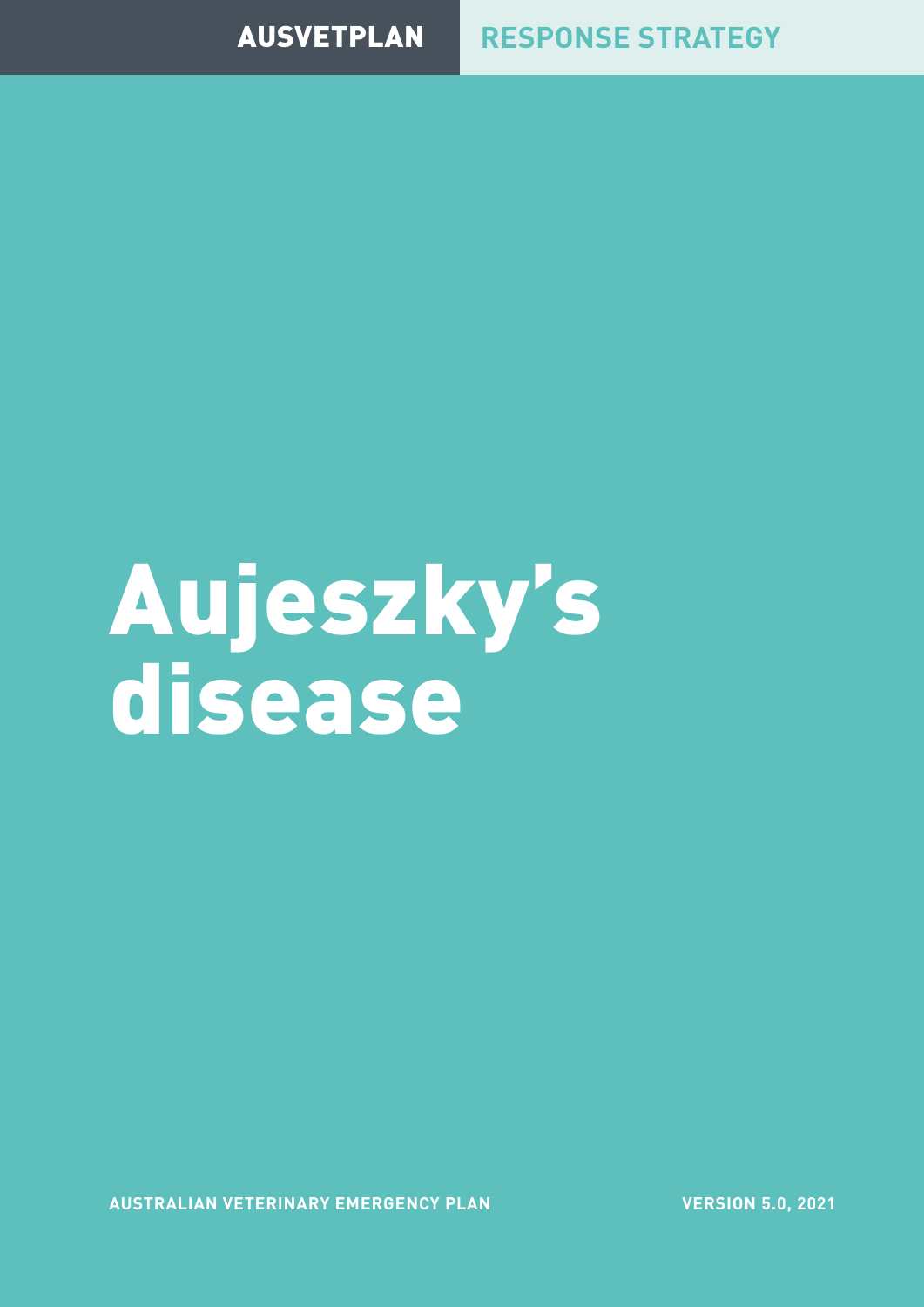### AUSVETPLAN **RESPONSE STRATEGY**

Aujeszky's disease

**AUSTRALIAN VETERINARY EMERGENCY PLAN**

**VERSION 5.0, 2021**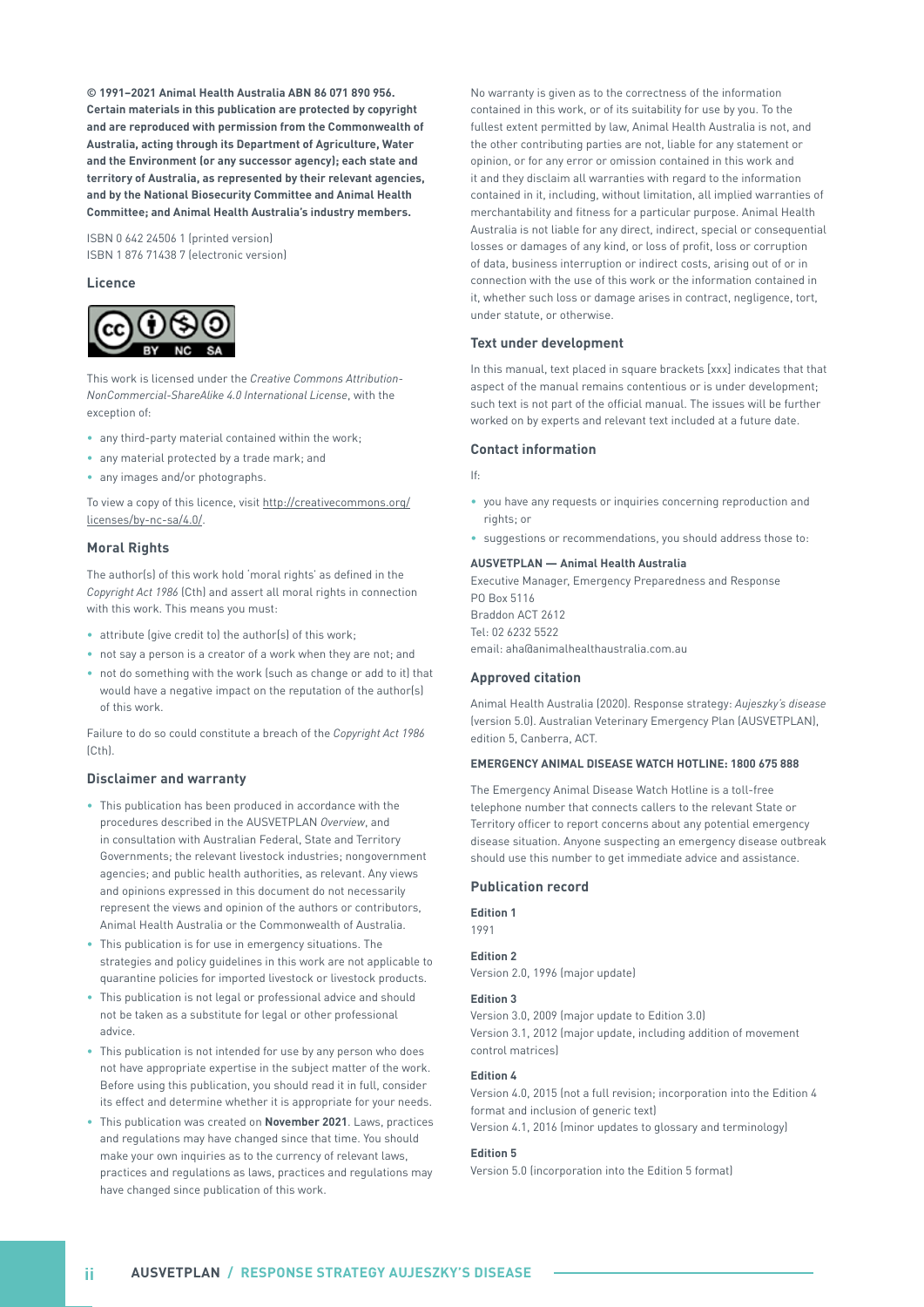**© 1991–2021 Animal Health Australia ABN 86 071 890 956. Certain materials in this publication are protected by copyright and are reproduced with permission from the Commonwealth of Australia, acting through its Department of Agriculture, Water and the Environment (or any successor agency); each state and territory of Australia, as represented by their relevant agencies, and by the National Biosecurity Committee and Animal Health Committee; and Animal Health Australia's industry members.**

ISBN 0 642 24506 1 (printed version) ISBN 1 876 71438 7 (electronic version)

#### **Licence**



This work is licensed under the *Creative Commons Attribution-NonCommercial-ShareAlike 4.0 International License*, with the exception of:

- any third-party material contained within the work;
- any material protected by a trade mark; and
- any images and/or photographs.

To view a copy of this licence, visit http://creativecommons.org/ licenses/by-nc-sa/4.0/.

#### **Moral Rights**

The author(s) of this work hold 'moral rights' as defined in the *Copyright Act 1986* (Cth) and assert all moral rights in connection with this work. This means you must:

- attribute (give credit to) the author(s) of this work;
- not say a person is a creator of a work when they are not; and
- not do something with the work (such as change or add to it) that would have a negative impact on the reputation of the author(s) of this work.

Failure to do so could constitute a breach of the *Copyright Act 1986*  $[C<sub>th</sub>]$ 

#### **Disclaimer and warranty**

- This publication has been produced in accordance with the procedures described in the AUSVETPLAN *Overview*, and in consultation with Australian Federal, State and Territory Governments; the relevant livestock industries; nongovernment agencies; and public health authorities, as relevant. Any views and opinions expressed in this document do not necessarily represent the views and opinion of the authors or contributors, Animal Health Australia or the Commonwealth of Australia.
- This publication is for use in emergency situations. The strategies and policy guidelines in this work are not applicable to quarantine policies for imported livestock or livestock products.
- This publication is not legal or professional advice and should not be taken as a substitute for legal or other professional advice.
- This publication is not intended for use by any person who does not have appropriate expertise in the subject matter of the work. Before using this publication, you should read it in full, consider its effect and determine whether it is appropriate for your needs.
- This publication was created on **November 2021**. Laws, practices and regulations may have changed since that time. You should make your own inquiries as to the currency of relevant laws, practices and regulations as laws, practices and regulations may have changed since publication of this work.

No warranty is given as to the correctness of the information contained in this work, or of its suitability for use by you. To the fullest extent permitted by law, Animal Health Australia is not, and the other contributing parties are not, liable for any statement or opinion, or for any error or omission contained in this work and it and they disclaim all warranties with regard to the information contained in it, including, without limitation, all implied warranties of merchantability and fitness for a particular purpose. Animal Health Australia is not liable for any direct, indirect, special or consequential losses or damages of any kind, or loss of profit, loss or corruption of data, business interruption or indirect costs, arising out of or in connection with the use of this work or the information contained in it, whether such loss or damage arises in contract, negligence, tort, under statute, or otherwise.

#### **Text under development**

In this manual, text placed in square brackets [xxx] indicates that that aspect of the manual remains contentious or is under development; such text is not part of the official manual. The issues will be further worked on by experts and relevant text included at a future date.

#### **Contact information**

If:

- you have any requests or inquiries concerning reproduction and rights; or
- suggestions or recommendations, you should address those to:

#### **AUSVETPLAN — Animal Health Australia**

Executive Manager, Emergency Preparedness and Response PO Box 5116 Braddon ACT 2612 Tel: 02 6232 5522 email: aha@animalhealthaustralia.com.au

#### **Approved citation**

Animal Health Australia (2020). Response strategy: *Aujeszky's disease* (version 5.0). Australian Veterinary Emergency Plan (AUSVETPLAN), edition 5, Canberra, ACT.

#### **EMERGENCY ANIMAL DISEASE WATCH HOTLINE: 1800 675 888**

The Emergency Animal Disease Watch Hotline is a toll-free telephone number that connects callers to the relevant State or Territory officer to report concerns about any potential emergency disease situation. Anyone suspecting an emergency disease outbreak should use this number to get immediate advice and assistance.

#### **Publication record**

**Edition 1**

1991

#### **Edition 2**

Version 2.0, 1996 (major update)

#### **Edition 3**

Version 3.0, 2009 (major update to Edition 3.0) Version 3.1, 2012 (major update, including addition of movement control matrices)

#### **Edition 4**

Version 4.0, 2015 (not a full revision; incorporation into the Edition 4 format and inclusion of generic text) Version 4.1, 2016 (minor updates to glossary and terminology)

#### **Edition 5**

Version 5.0 (incorporation into the Edition 5 format)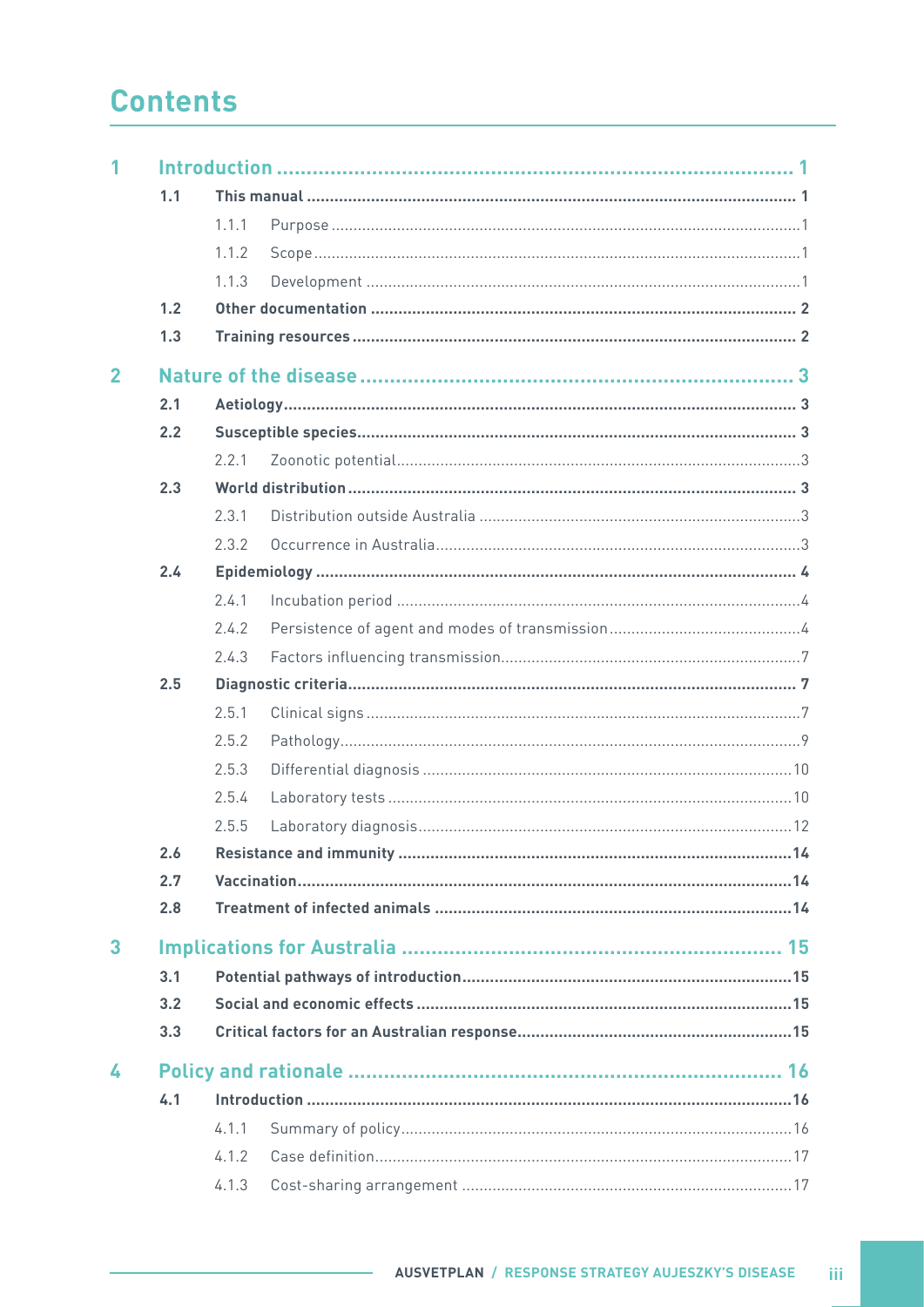## **Contents**

| 1              |     |       |  |  |  |  |
|----------------|-----|-------|--|--|--|--|
|                | 1.1 |       |  |  |  |  |
|                |     | 1.1.1 |  |  |  |  |
|                |     | 1.1.2 |  |  |  |  |
|                |     | 1.1.3 |  |  |  |  |
|                | 1.2 |       |  |  |  |  |
|                | 1.3 |       |  |  |  |  |
| $\overline{2}$ |     |       |  |  |  |  |
|                | 2.1 |       |  |  |  |  |
|                | 2.2 |       |  |  |  |  |
|                |     | 2.2.1 |  |  |  |  |
|                | 2.3 |       |  |  |  |  |
|                |     | 2.3.1 |  |  |  |  |
|                |     | 2.3.2 |  |  |  |  |
|                | 2.4 |       |  |  |  |  |
|                |     | 2.4.1 |  |  |  |  |
|                |     | 2.4.2 |  |  |  |  |
|                |     | 2.4.3 |  |  |  |  |
|                | 2.5 |       |  |  |  |  |
|                |     | 2.5.1 |  |  |  |  |
|                |     | 2.5.2 |  |  |  |  |
|                |     | 2.5.3 |  |  |  |  |
|                |     | 2.5.4 |  |  |  |  |
|                |     | 2.5.5 |  |  |  |  |
|                | 2.6 |       |  |  |  |  |
|                | 2.7 |       |  |  |  |  |
|                | 2.8 |       |  |  |  |  |
| 3              |     |       |  |  |  |  |
|                | 3.1 |       |  |  |  |  |
|                | 3.2 |       |  |  |  |  |
|                | 3.3 |       |  |  |  |  |
| 4              |     |       |  |  |  |  |
|                | 4.1 |       |  |  |  |  |
|                |     | 4.1.1 |  |  |  |  |
|                |     | 4.1.2 |  |  |  |  |
|                |     | 4.1.3 |  |  |  |  |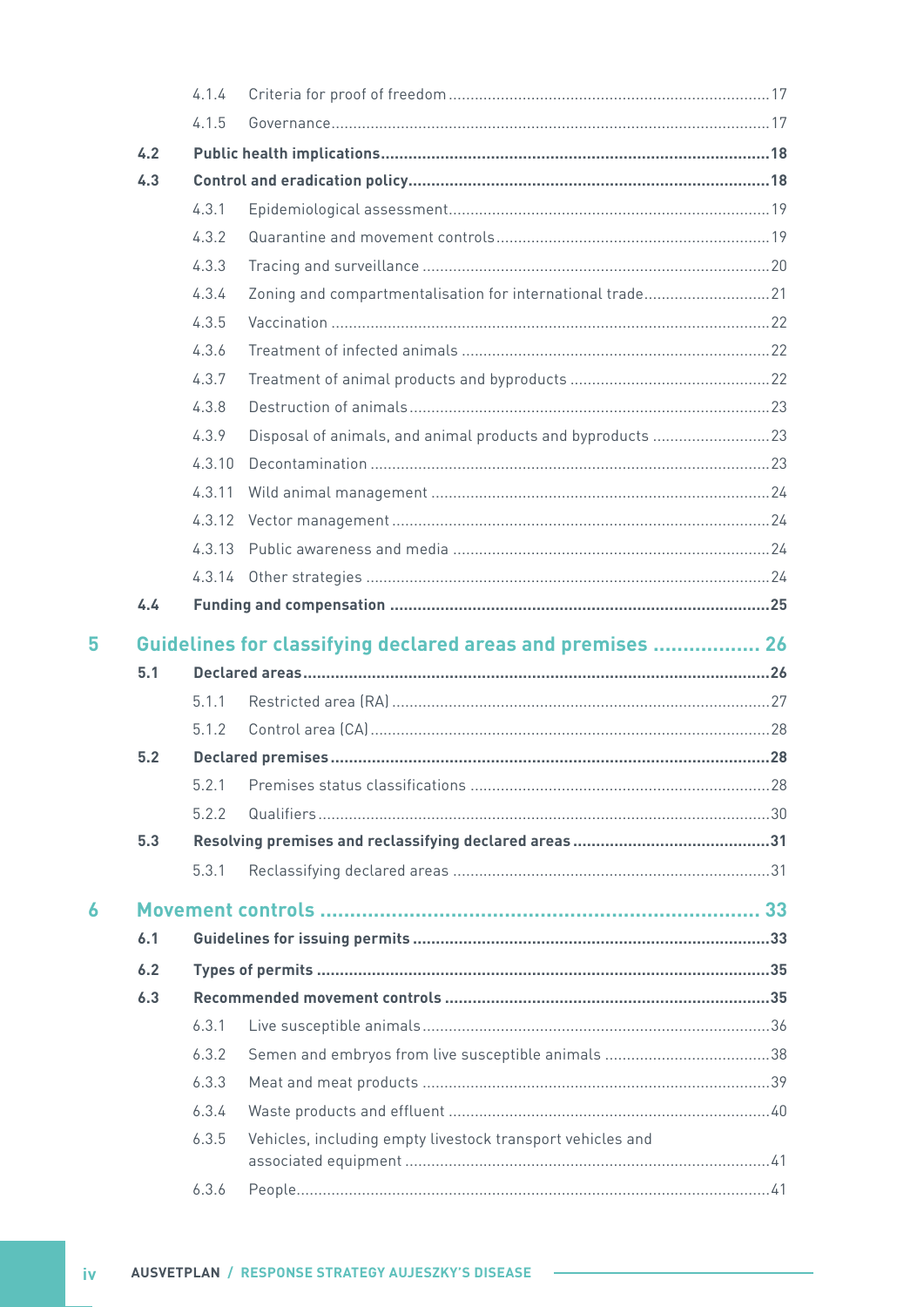|   |     | 4.1.4  |                                                            |  |
|---|-----|--------|------------------------------------------------------------|--|
|   |     | 4.1.5  |                                                            |  |
|   | 4.2 |        |                                                            |  |
|   | 4.3 |        |                                                            |  |
|   |     | 4.3.1  |                                                            |  |
|   |     | 4.3.2  |                                                            |  |
|   |     | 4.3.3  |                                                            |  |
|   |     | 4.3.4  | Zoning and compartmentalisation for international trade21  |  |
|   |     | 4.3.5  |                                                            |  |
|   |     | 4.3.6  |                                                            |  |
|   |     | 4.3.7  |                                                            |  |
|   |     | 4.3.8  |                                                            |  |
|   |     | 4.3.9  | Disposal of animals, and animal products and byproducts 23 |  |
|   |     | 4.3.10 |                                                            |  |
|   |     | 4.3.11 |                                                            |  |
|   |     | 4.3.12 |                                                            |  |
|   |     |        |                                                            |  |
|   |     |        |                                                            |  |
|   | 4.4 |        |                                                            |  |
| 5 |     |        | Guidelines for classifying declared areas and premises  26 |  |
|   | 5.1 |        |                                                            |  |
|   |     | 5.1.1  |                                                            |  |
|   |     | 5.1.2  |                                                            |  |
|   | 5.2 |        |                                                            |  |
|   |     |        |                                                            |  |
|   |     | 5.2.2  |                                                            |  |
|   | 5.3 |        |                                                            |  |
|   |     | 5.3.1  |                                                            |  |
| 6 |     |        |                                                            |  |
|   | 6.1 |        |                                                            |  |
|   | 6.2 |        |                                                            |  |
|   | 6.3 |        |                                                            |  |
|   |     | 6.3.1  |                                                            |  |
|   |     | 6.3.2  |                                                            |  |
|   |     | 6.3.3  |                                                            |  |
|   |     | 6.3.4  |                                                            |  |
|   |     | 6.3.5  | Vehicles, including empty livestock transport vehicles and |  |
|   |     |        |                                                            |  |
|   |     | 6.3.6  |                                                            |  |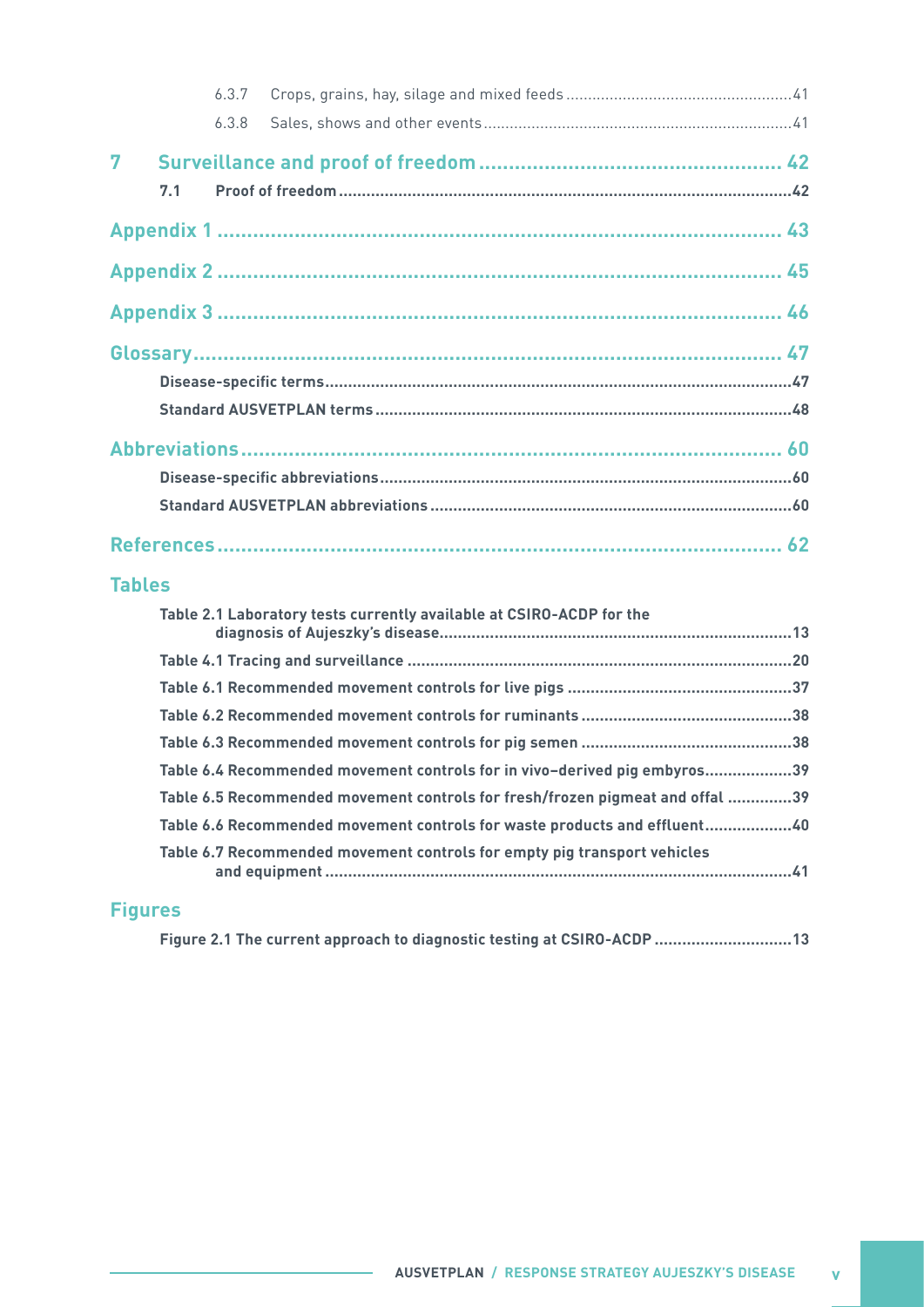|   |     | 6.3.7 |  |
|---|-----|-------|--|
|   |     | 6.3.8 |  |
| 7 |     |       |  |
|   | 7.1 |       |  |
|   |     |       |  |
|   |     |       |  |
|   |     |       |  |
|   |     |       |  |
|   |     |       |  |
|   |     |       |  |
|   |     |       |  |
|   |     |       |  |
|   |     |       |  |
|   |     |       |  |

#### **Tables**

| Table 2.1 Laboratory tests currently available at CSIRO-ACDP for the          |  |
|-------------------------------------------------------------------------------|--|
|                                                                               |  |
|                                                                               |  |
|                                                                               |  |
|                                                                               |  |
| Table 6.4 Recommended movement controls for in vivo-derived pig embyros39     |  |
| Table 6.5 Recommended movement controls for fresh/frozen pigmeat and offal 39 |  |
| Table 6.6 Recommended movement controls for waste products and effluent40     |  |
| Table 6.7 Recommended movement controls for empty pig transport vehicles      |  |

#### **Figures**

|  |  | Figure 2.1 The current approach to diagnostic testing at CSIRO-ACDP  13 |  |
|--|--|-------------------------------------------------------------------------|--|
|--|--|-------------------------------------------------------------------------|--|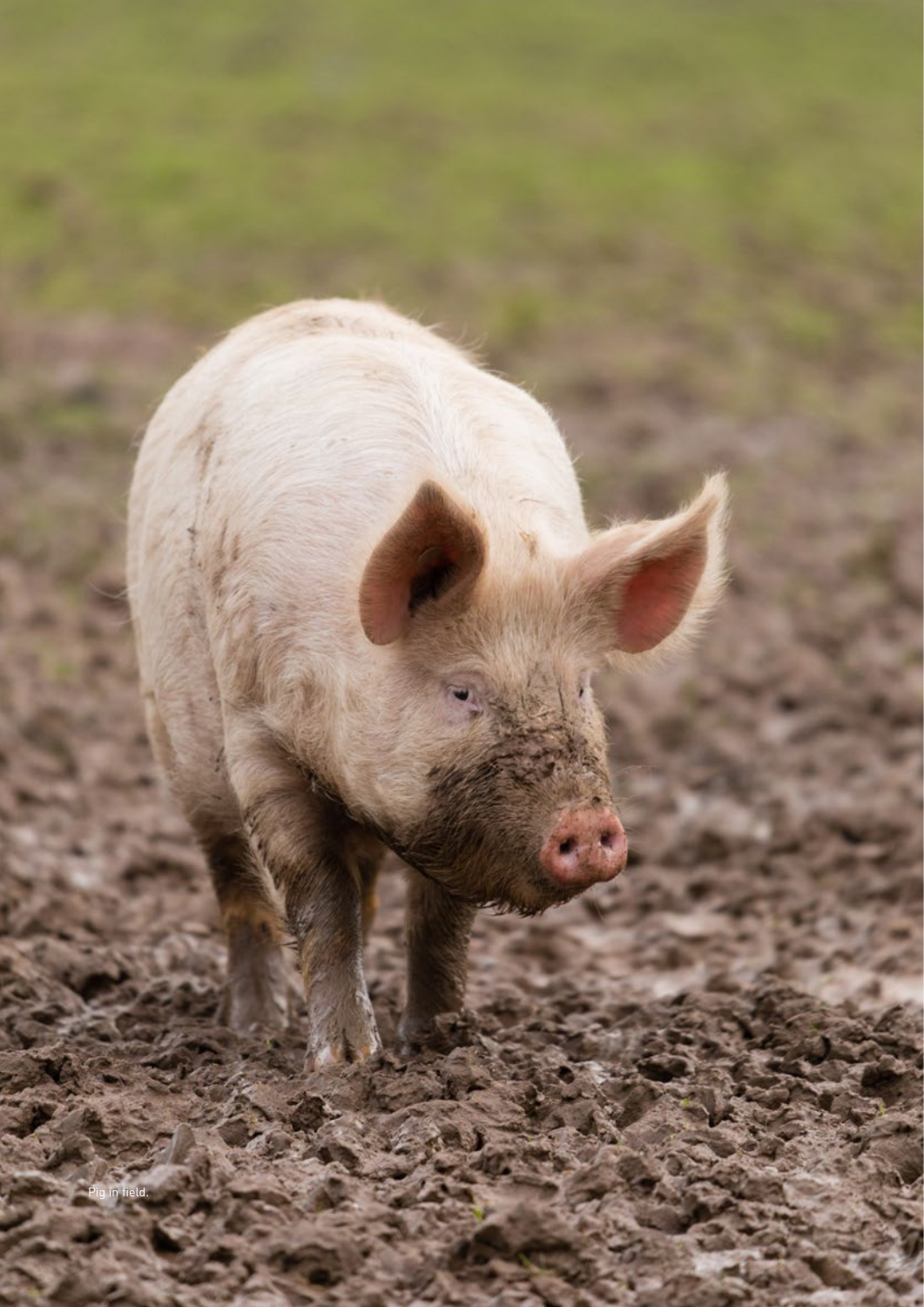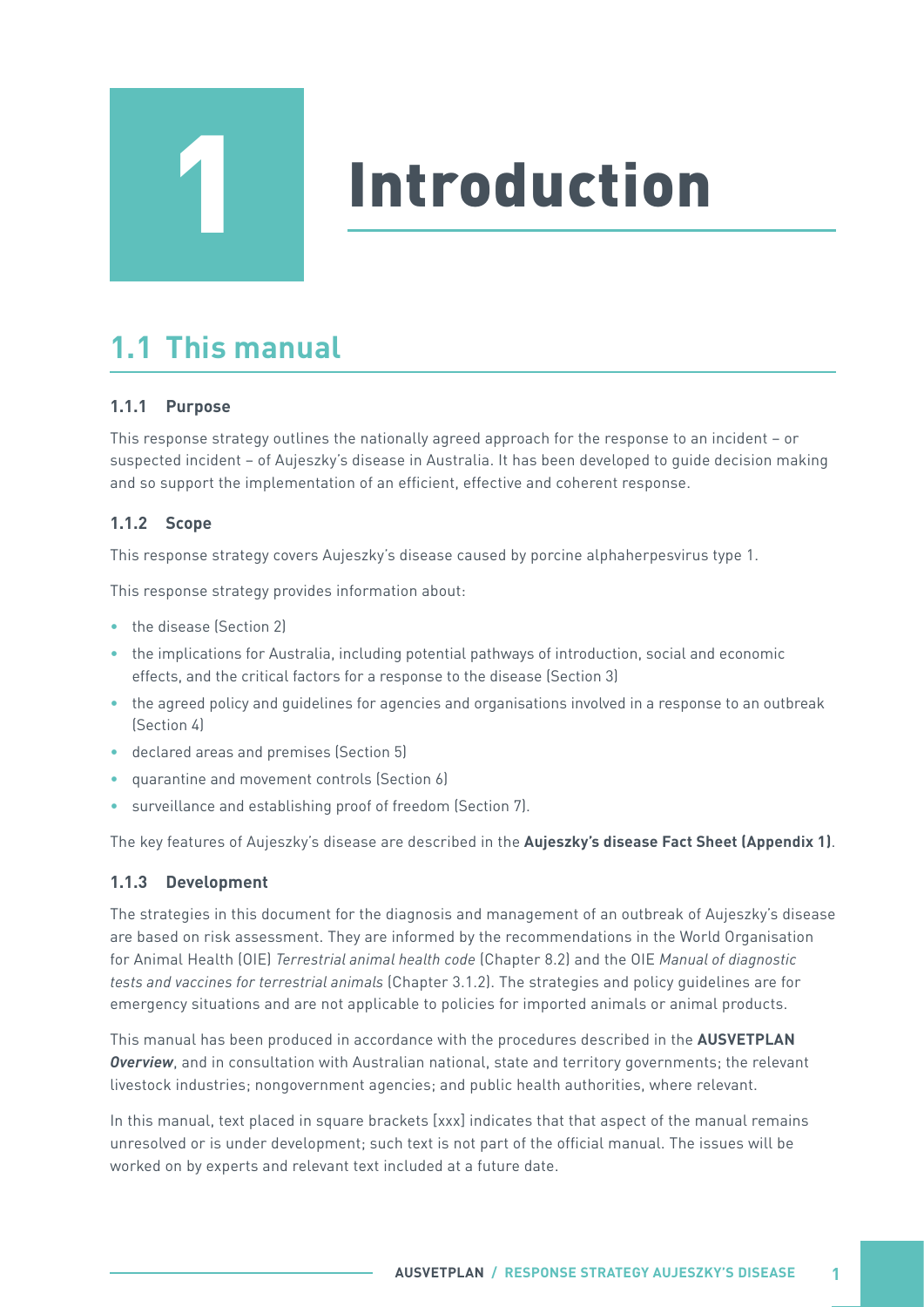# Introduction

# **1.1 This manual**

<span id="page-6-0"></span>1

#### **1.1.1 Purpose**

This response strategy outlines the nationally agreed approach for the response to an incident – or suspected incident – of Aujeszky's disease in Australia. It has been developed to guide decision making and so support the implementation of an efficient, effective and coherent response.

#### **1.1.2 Scope**

This response strategy covers Aujeszky's disease caused by porcine alphaherpesvirus type 1.

This response strategy provides information about:

- the disease (Section 2)
- the implications for Australia, including potential pathways of introduction, social and economic effects, and the critical factors for a response to the disease (Section 3)
- the agreed policy and guidelines for agencies and organisations involved in a response to an outbreak (Section 4)
- declared areas and premises (Section 5)
- quarantine and movement controls (Section 6)
- surveillance and establishing proof of freedom (Section 7).

The key features of Aujeszky's disease are described in the **Aujeszky's disease Fact Sheet (Appendix 1)**.

#### **1.1.3 Development**

The strategies in this document for the diagnosis and management of an outbreak of Aujeszky's disease are based on risk assessment. They are informed by the recommendations in the World Organisation for Animal Health (OIE) *Terrestrial animal health code* (Chapter 8.2) and the OIE *Manual of diagnostic tests and vaccines for terrestrial animals* (Chapter 3.1.2). The strategies and policy guidelines are for emergency situations and are not applicable to policies for imported animals or animal products.

This manual has been produced in accordance with the procedures described in the **AUSVETPLAN**  *Overview*, and in consultation with Australian national, state and territory governments; the relevant livestock industries; nongovernment agencies; and public health authorities, where relevant.

In this manual, text placed in square brackets [xxx] indicates that that aspect of the manual remains unresolved or is under development; such text is not part of the official manual. The issues will be worked on by experts and relevant text included at a future date.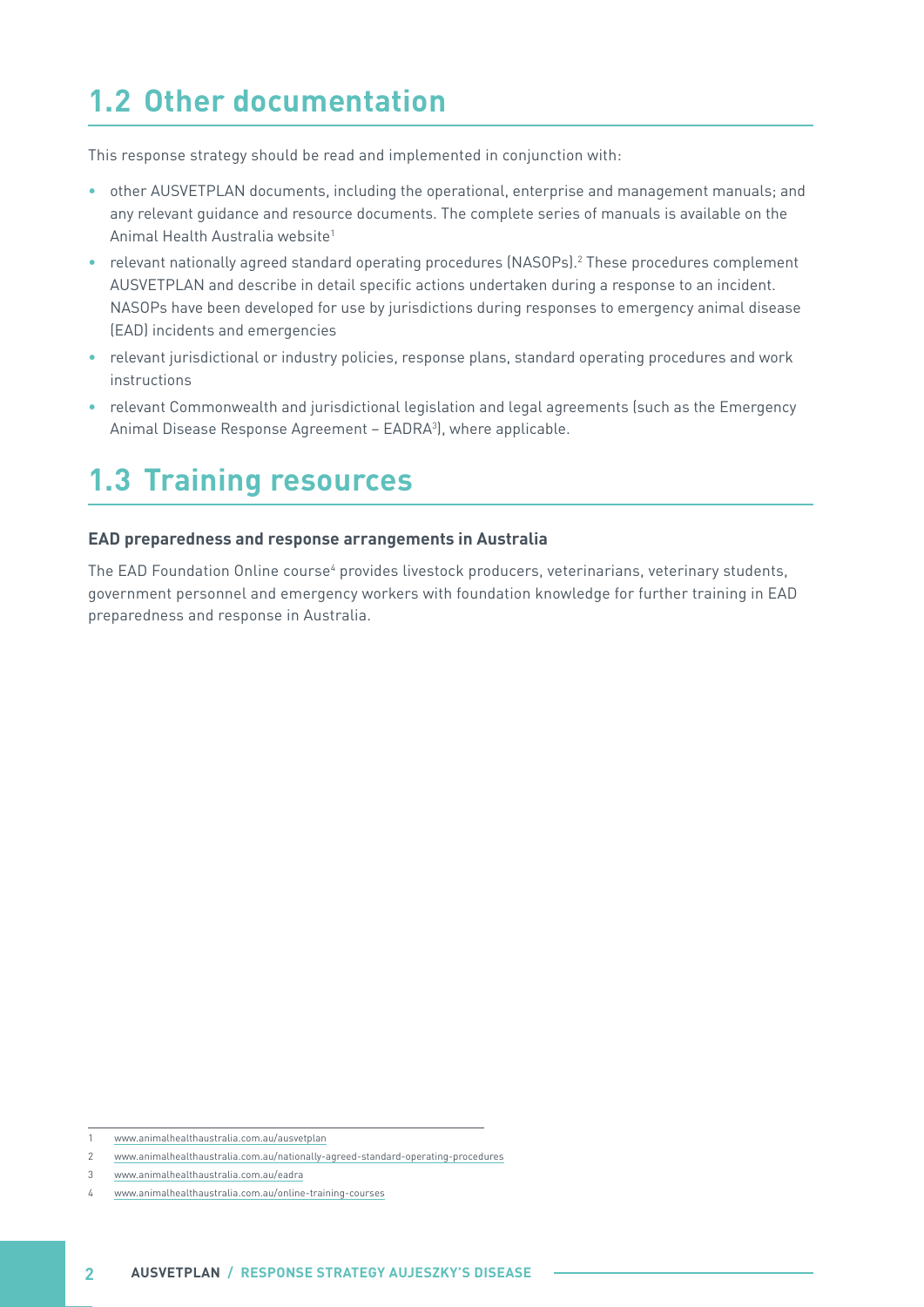# <span id="page-7-0"></span>**1.2 Other documentation**

This response strategy should be read and implemented in conjunction with:

- other AUSVETPLAN documents, including the operational, enterprise and management manuals; and any relevant guidance and resource documents. The complete series of manuals is available on the Animal Health Australia website1
- relevant nationally agreed standard operating procedures (NASOPs).<sup>2</sup> These procedures complement AUSVETPLAN and describe in detail specific actions undertaken during a response to an incident. NASOPs have been developed for use by jurisdictions during responses to emergency animal disease (EAD) incidents and emergencies
- relevant jurisdictional or industry policies, response plans, standard operating procedures and work instructions
- relevant Commonwealth and jurisdictional legislation and legal agreements (such as the Emergency Animal Disease Response Agreement – EADRA<sup>3</sup>), where applicable.

# **1.3 Training resources**

#### **EAD preparedness and response arrangements in Australia**

The EAD Foundation Online course<sup>4</sup> provides livestock producers, veterinarians, veterinary students, government personnel and emergency workers with foundation knowledge for further training in EAD preparedness and response in Australia.

3 [www.animalhealthaustralia.com.au/eadra](https://animalhealthaustralia.com.au/eadra/)

<sup>1</sup> [www.animalhealthaustralia.com.au/ausvetplan](https://animalhealthaustralia.com.au/ausvetplan/)

<sup>2</sup> [www.animalhealthaustralia.com.au/nationally-agreed-standard-operating-procedures](https://animalhealthaustralia.com.au/nationally-agreed-standard-operating-procedures/)

<sup>4</sup> [www.animalhealthaustralia.com.au/online-training-courses](https://animalhealthaustralia.com.au/online-training-courses/)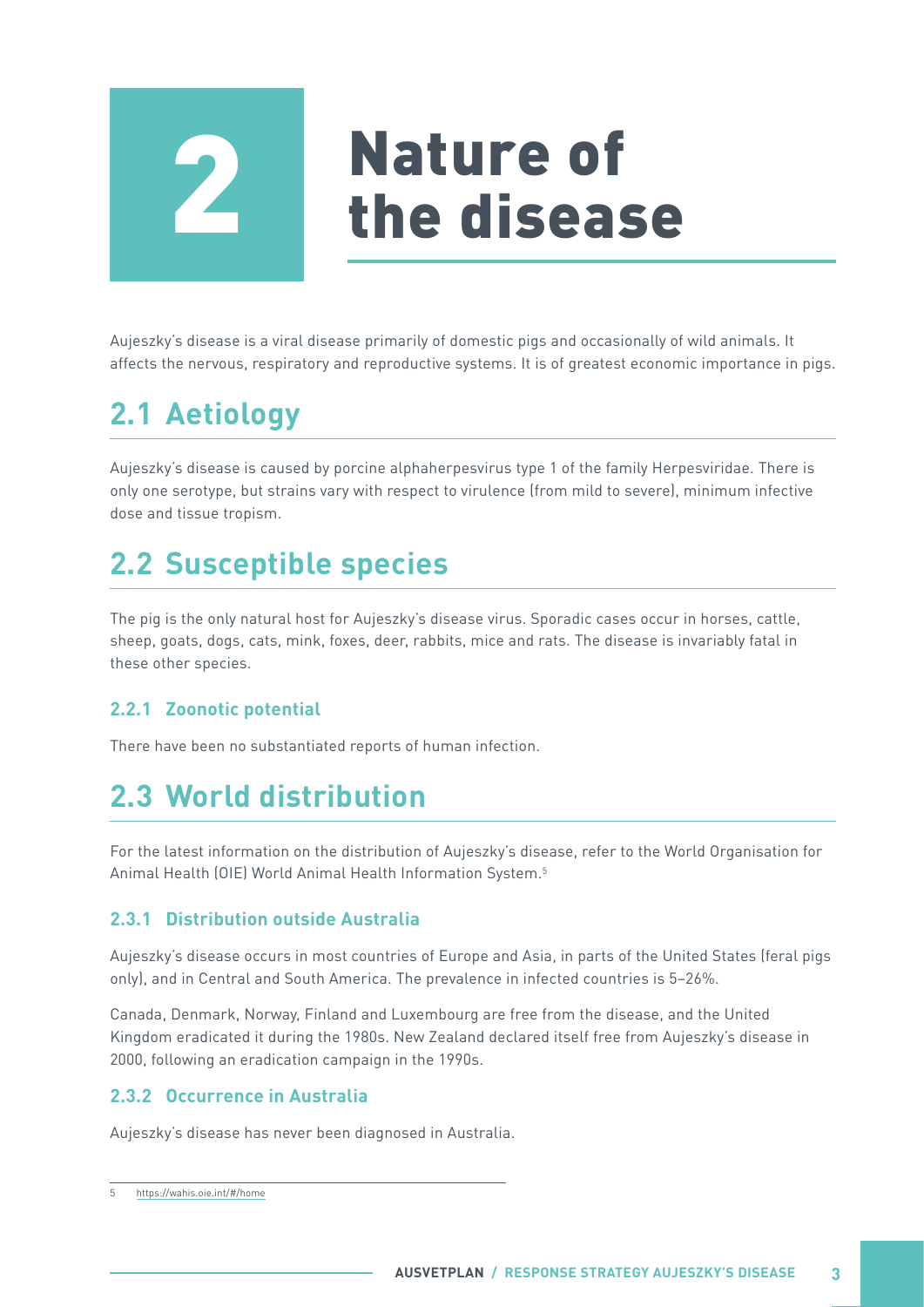<span id="page-8-0"></span>

# Nature of<br>the disease

Aujeszky's disease is a viral disease primarily of domestic pigs and occasionally of wild animals. It affects the nervous, respiratory and reproductive systems. It is of greatest economic importance in pigs.

# **2.1 Aetiology**

Aujeszky's disease is caused by porcine alphaherpesvirus type 1 of the family Herpesviridae. There is only one serotype, but strains vary with respect to virulence (from mild to severe), minimum infective dose and tissue tropism.

# **2.2 Susceptible species**

The pig is the only natural host for Aujeszky's disease virus. Sporadic cases occur in horses, cattle, sheep, goats, dogs, cats, mink, foxes, deer, rabbits, mice and rats. The disease is invariably fatal in these other species.

#### **2.2.1 Zoonotic potential**

There have been no substantiated reports of human infection.

## **2.3 World distribution**

For the latest information on the distribution of Aujeszky's disease, refer to the World Organisation for Animal Health (OIE) World Animal Health Information System.5

#### **2.3.1 Distribution outside Australia**

Aujeszky's disease occurs in most countries of Europe and Asia, in parts of the United States (feral pigs only), and in Central and South America. The prevalence in infected countries is 5–26%.

Canada, Denmark, Norway, Finland and Luxembourg are free from the disease, and the United Kingdom eradicated it during the 1980s. New Zealand declared itself free from Aujeszky's disease in 2000, following an eradication campaign in the 1990s.

#### **2.3.2 Occurrence in Australia**

Aujeszky's disease has never been diagnosed in Australia.

<sup>5</sup> <https://wahis.oie.int/#/home>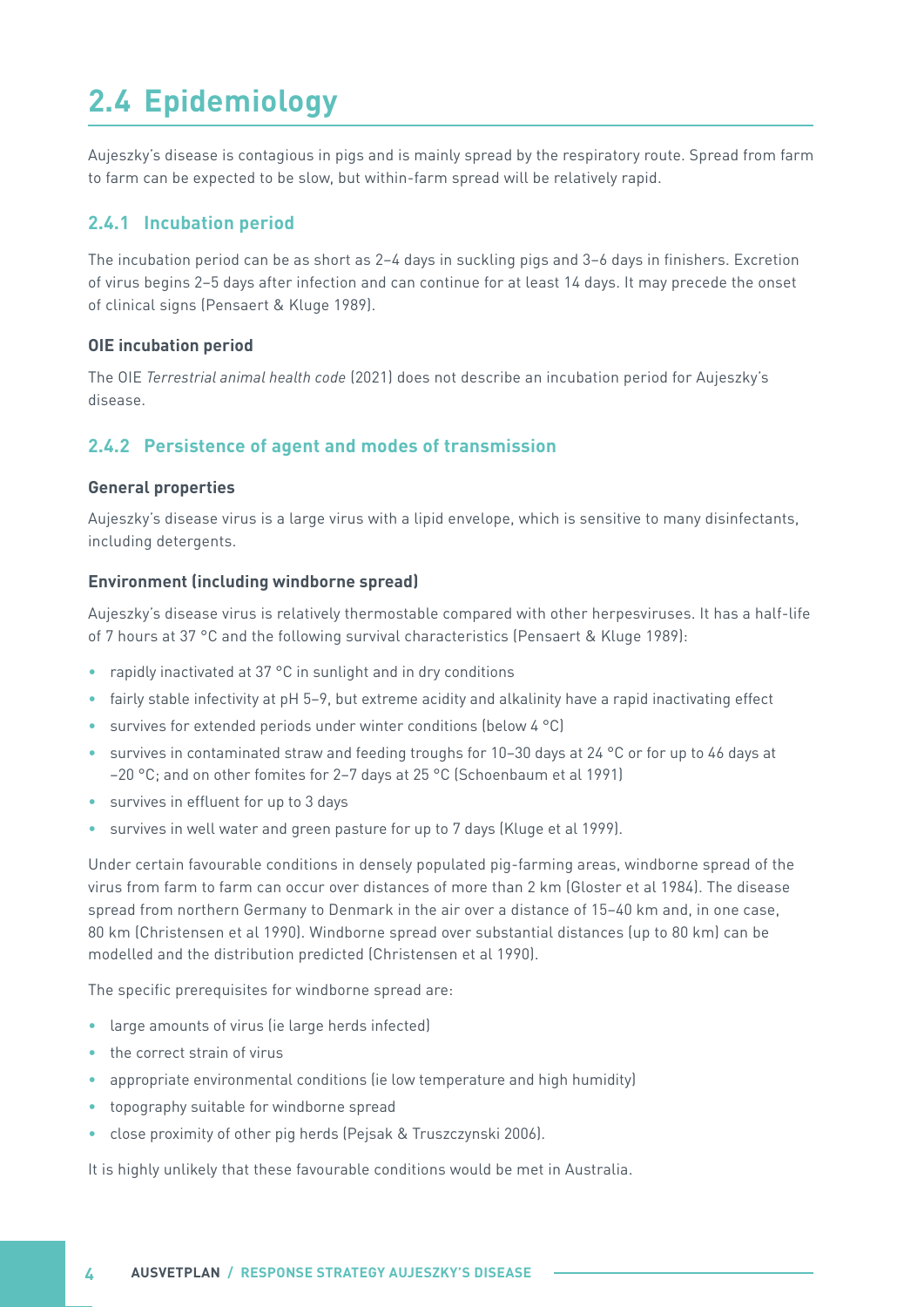# <span id="page-9-0"></span>**2.4 Epidemiology**

Aujeszky's disease is contagious in pigs and is mainly spread by the respiratory route. Spread from farm to farm can be expected to be slow, but within-farm spread will be relatively rapid.

#### **2.4.1 Incubation period**

The incubation period can be as short as 2–4 days in suckling pigs and 3–6 days in finishers. Excretion of virus begins 2–5 days after infection and can continue for at least 14 days. It may precede the onset of clinical signs (Pensaert & Kluge 1989).

#### **OIE incubation period**

The OIE *Terrestrial animal health code* (2021) does not describe an incubation period for Aujeszky's disease.

#### **2.4.2 Persistence of agent and modes of transmission**

#### **General properties**

Aujeszky's disease virus is a large virus with a lipid envelope, which is sensitive to many disinfectants, including detergents.

#### **Environment (including windborne spread)**

Aujeszky's disease virus is relatively thermostable compared with other herpesviruses. It has a half-life of 7 hours at 37 °C and the following survival characteristics (Pensaert & Kluge 1989):

- rapidly inactivated at 37 °C in sunlight and in dry conditions
- fairly stable infectivity at pH 5–9, but extreme acidity and alkalinity have a rapid inactivating effect
- survives for extended periods under winter conditions (below 4 °C)
- survives in contaminated straw and feeding troughs for 10–30 days at 24 °C or for up to 46 days at –20 °C; and on other fomites for 2–7 days at 25 °C (Schoenbaum et al 1991)
- survives in effluent for up to 3 days
- survives in well water and green pasture for up to 7 days (Kluge et al 1999).

Under certain favourable conditions in densely populated pig-farming areas, windborne spread of the virus from farm to farm can occur over distances of more than 2 km (Gloster et al 1984). The disease spread from northern Germany to Denmark in the air over a distance of 15–40 km and, in one case, 80 km (Christensen et al 1990). Windborne spread over substantial distances (up to 80 km) can be modelled and the distribution predicted (Christensen et al 1990).

The specific prerequisites for windborne spread are:

- large amounts of virus (ie large herds infected)
- the correct strain of virus
- appropriate environmental conditions (ie low temperature and high humidity)
- topography suitable for windborne spread
- close proximity of other pig herds (Pejsak & Truszczynski 2006).

It is highly unlikely that these favourable conditions would be met in Australia.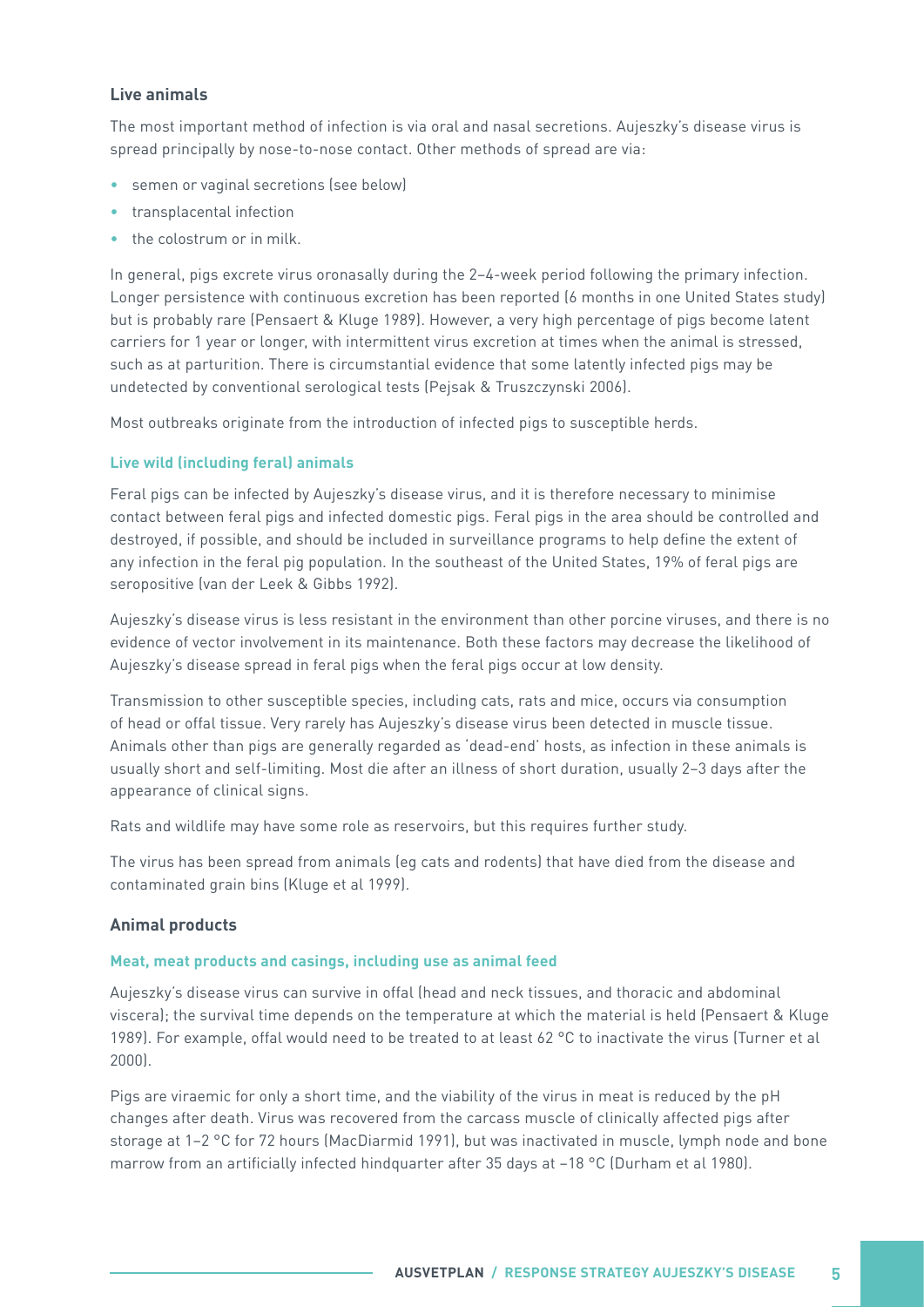#### **Live animals**

The most important method of infection is via oral and nasal secretions. Aujeszky's disease virus is spread principally by nose-to-nose contact. Other methods of spread are via:

- semen or vaginal secretions (see below)
- transplacental infection
- the colostrum or in milk.

In general, pigs excrete virus oronasally during the 2–4-week period following the primary infection. Longer persistence with continuous excretion has been reported (6 months in one United States study) but is probably rare (Pensaert & Kluge 1989). However, a very high percentage of pigs become latent carriers for 1 year or longer, with intermittent virus excretion at times when the animal is stressed, such as at parturition. There is circumstantial evidence that some latently infected pigs may be undetected by conventional serological tests (Pejsak & Truszczynski 2006).

Most outbreaks originate from the introduction of infected pigs to susceptible herds.

#### **Live wild (including feral) animals**

Feral pigs can be infected by Aujeszky's disease virus, and it is therefore necessary to minimise contact between feral pigs and infected domestic pigs. Feral pigs in the area should be controlled and destroyed, if possible, and should be included in surveillance programs to help define the extent of any infection in the feral pig population. In the southeast of the United States, 19% of feral pigs are seropositive (van der Leek & Gibbs 1992).

Aujeszky's disease virus is less resistant in the environment than other porcine viruses, and there is no evidence of vector involvement in its maintenance. Both these factors may decrease the likelihood of Aujeszky's disease spread in feral pigs when the feral pigs occur at low density.

Transmission to other susceptible species, including cats, rats and mice, occurs via consumption of head or offal tissue. Very rarely has Aujeszky's disease virus been detected in muscle tissue. Animals other than pigs are generally regarded as 'dead-end' hosts, as infection in these animals is usually short and self-limiting. Most die after an illness of short duration, usually 2–3 days after the appearance of clinical signs.

Rats and wildlife may have some role as reservoirs, but this requires further study.

The virus has been spread from animals (eg cats and rodents) that have died from the disease and contaminated grain bins (Kluge et al 1999).

#### **Animal products**

#### **Meat, meat products and casings, including use as animal feed**

Aujeszky's disease virus can survive in offal (head and neck tissues, and thoracic and abdominal viscera); the survival time depends on the temperature at which the material is held (Pensaert & Kluge 1989). For example, offal would need to be treated to at least 62 °C to inactivate the virus (Turner et al 2000).

Pigs are viraemic for only a short time, and the viability of the virus in meat is reduced by the pH changes after death. Virus was recovered from the carcass muscle of clinically affected pigs after storage at 1–2 °C for 72 hours (MacDiarmid 1991), but was inactivated in muscle, lymph node and bone marrow from an artificially infected hindquarter after 35 days at –18 °C (Durham et al 1980).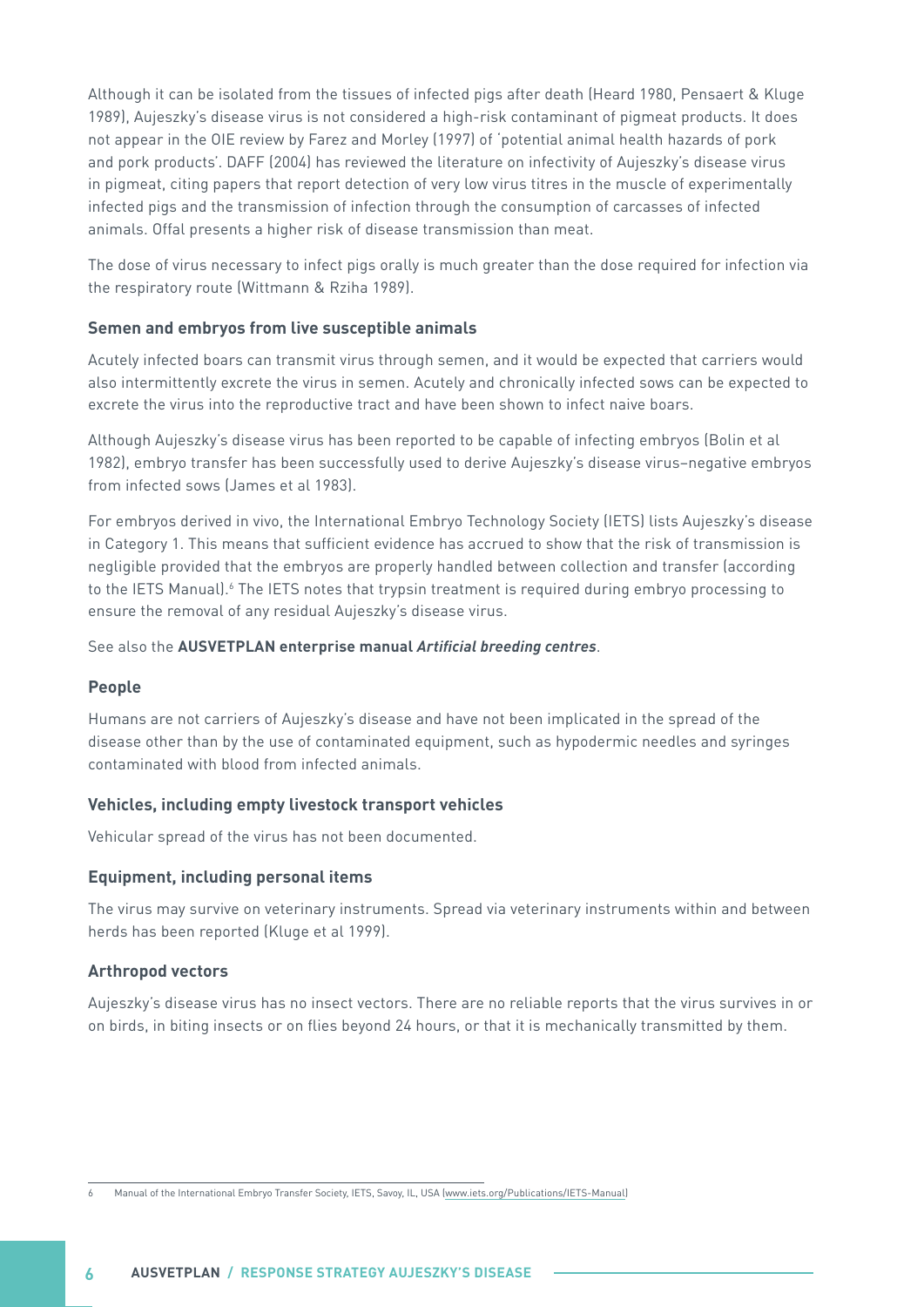Although it can be isolated from the tissues of infected pigs after death (Heard 1980, Pensaert & Kluge 1989), Aujeszky's disease virus is not considered a high-risk contaminant of pigmeat products. It does not appear in the OIE review by Farez and Morley (1997) of 'potential animal health hazards of pork and pork products'. DAFF (2004) has reviewed the literature on infectivity of Aujeszky's disease virus in pigmeat, citing papers that report detection of very low virus titres in the muscle of experimentally infected pigs and the transmission of infection through the consumption of carcasses of infected animals. Offal presents a higher risk of disease transmission than meat.

The dose of virus necessary to infect pigs orally is much greater than the dose required for infection via the respiratory route (Wittmann & Rziha 1989).

#### **Semen and embryos from live susceptible animals**

Acutely infected boars can transmit virus through semen, and it would be expected that carriers would also intermittently excrete the virus in semen. Acutely and chronically infected sows can be expected to excrete the virus into the reproductive tract and have been shown to infect naive boars.

Although Aujeszky's disease virus has been reported to be capable of infecting embryos (Bolin et al 1982), embryo transfer has been successfully used to derive Aujeszky's disease virus–negative embryos from infected sows (James et al 1983).

For embryos derived in vivo, the International Embryo Technology Society (IETS) lists Aujeszky's disease in Category 1. This means that sufficient evidence has accrued to show that the risk of transmission is negligible provided that the embryos are properly handled between collection and transfer (according to the IETS Manual).<sup>6</sup> The IETS notes that trypsin treatment is required during embryo processing to ensure the removal of any residual Aujeszky's disease virus.

#### See also the **AUSVETPLAN enterprise manual Artificial breeding centres**.

#### **People**

Humans are not carriers of Aujeszky's disease and have not been implicated in the spread of the disease other than by the use of contaminated equipment, such as hypodermic needles and syringes contaminated with blood from infected animals.

#### **Vehicles, including empty livestock transport vehicles**

Vehicular spread of the virus has not been documented.

#### **Equipment, including personal items**

The virus may survive on veterinary instruments. Spread via veterinary instruments within and between herds has been reported (Kluge et al 1999).

#### **Arthropod vectors**

Aujeszky's disease virus has no insect vectors. There are no reliable reports that the virus survives in or on birds, in biting insects or on flies beyond 24 hours, or that it is mechanically transmitted by them.

<sup>6</sup> Manual of the International Embryo Transfer Society, IETS, Savoy, IL, USA ([www.iets.org/Publications/IETS-Manual\)](https://www.iets.org/Publications/IETS-Manual)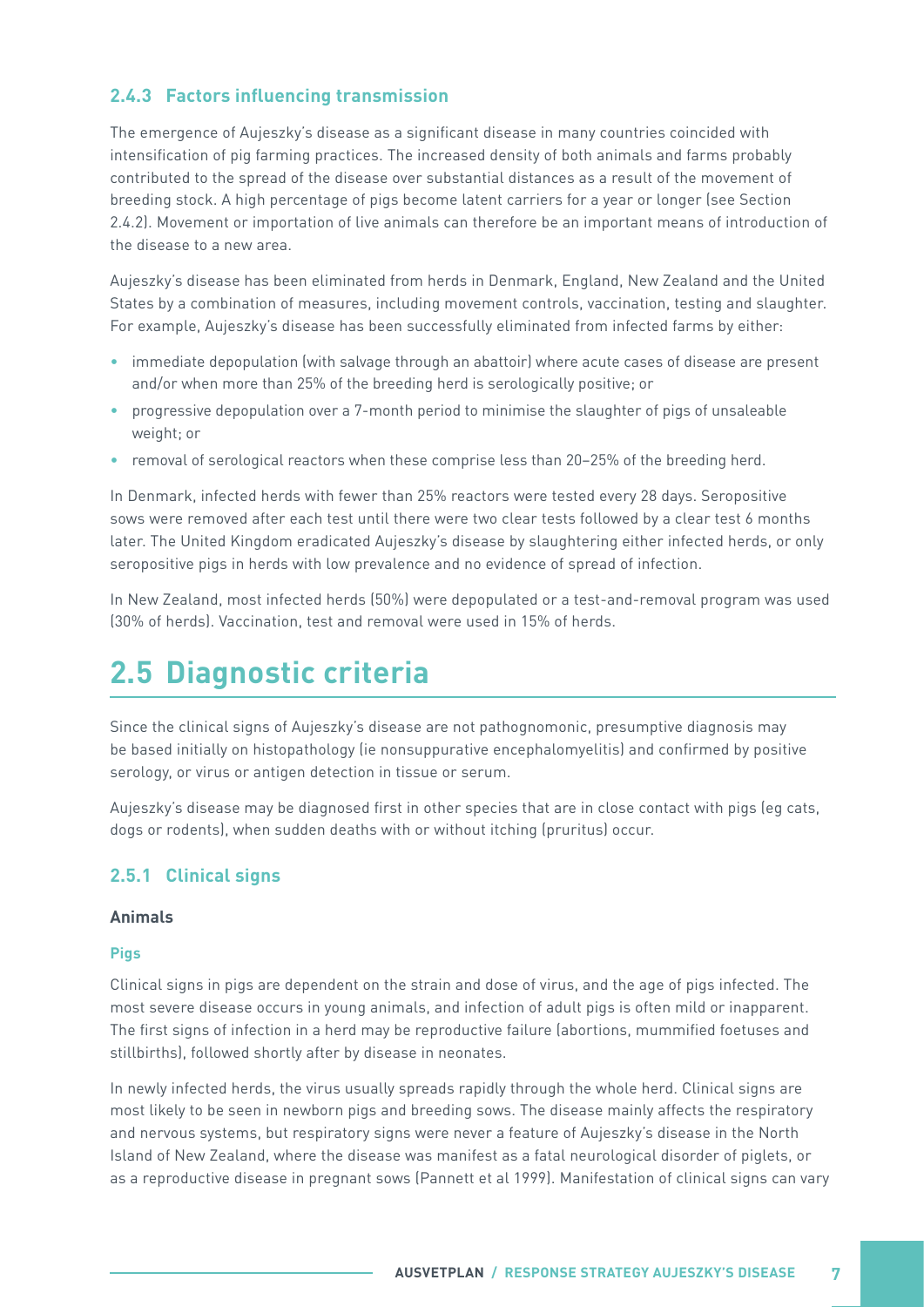#### <span id="page-12-0"></span>**2.4.3 Factors influencing transmission**

The emergence of Aujeszky's disease as a significant disease in many countries coincided with intensification of pig farming practices. The increased density of both animals and farms probably contributed to the spread of the disease over substantial distances as a result of the movement of breeding stock. A high percentage of pigs become latent carriers for a year or longer (see Section 2.4.2). Movement or importation of live animals can therefore be an important means of introduction of the disease to a new area.

Aujeszky's disease has been eliminated from herds in Denmark, England, New Zealand and the United States by a combination of measures, including movement controls, vaccination, testing and slaughter. For example, Aujeszky's disease has been successfully eliminated from infected farms by either:

- immediate depopulation (with salvage through an abattoir) where acute cases of disease are present and/or when more than 25% of the breeding herd is serologically positive; or
- progressive depopulation over a 7-month period to minimise the slaughter of pigs of unsaleable weight; or
- removal of serological reactors when these comprise less than 20–25% of the breeding herd.

In Denmark, infected herds with fewer than 25% reactors were tested every 28 days. Seropositive sows were removed after each test until there were two clear tests followed by a clear test 6 months later. The United Kingdom eradicated Aujeszky's disease by slaughtering either infected herds, or only seropositive pigs in herds with low prevalence and no evidence of spread of infection.

In New Zealand, most infected herds (50%) were depopulated or a test-and-removal program was used (30% of herds). Vaccination, test and removal were used in 15% of herds.

### **2.5 Diagnostic criteria**

Since the clinical signs of Aujeszky's disease are not pathognomonic, presumptive diagnosis may be based initially on histopathology (ie nonsuppurative encephalomyelitis) and confirmed by positive serology, or virus or antigen detection in tissue or serum.

Aujeszky's disease may be diagnosed first in other species that are in close contact with pigs (eg cats, dogs or rodents), when sudden deaths with or without itching (pruritus) occur.

#### **2.5.1 Clinical signs**

#### **Animals**

#### **Pigs**

Clinical signs in pigs are dependent on the strain and dose of virus, and the age of pigs infected. The most severe disease occurs in young animals, and infection of adult pigs is often mild or inapparent. The first signs of infection in a herd may be reproductive failure (abortions, mummified foetuses and stillbirths), followed shortly after by disease in neonates.

In newly infected herds, the virus usually spreads rapidly through the whole herd. Clinical signs are most likely to be seen in newborn pigs and breeding sows. The disease mainly affects the respiratory and nervous systems, but respiratory signs were never a feature of Aujeszky's disease in the North Island of New Zealand, where the disease was manifest as a fatal neurological disorder of piglets, or as a reproductive disease in pregnant sows (Pannett et al 1999). Manifestation of clinical signs can vary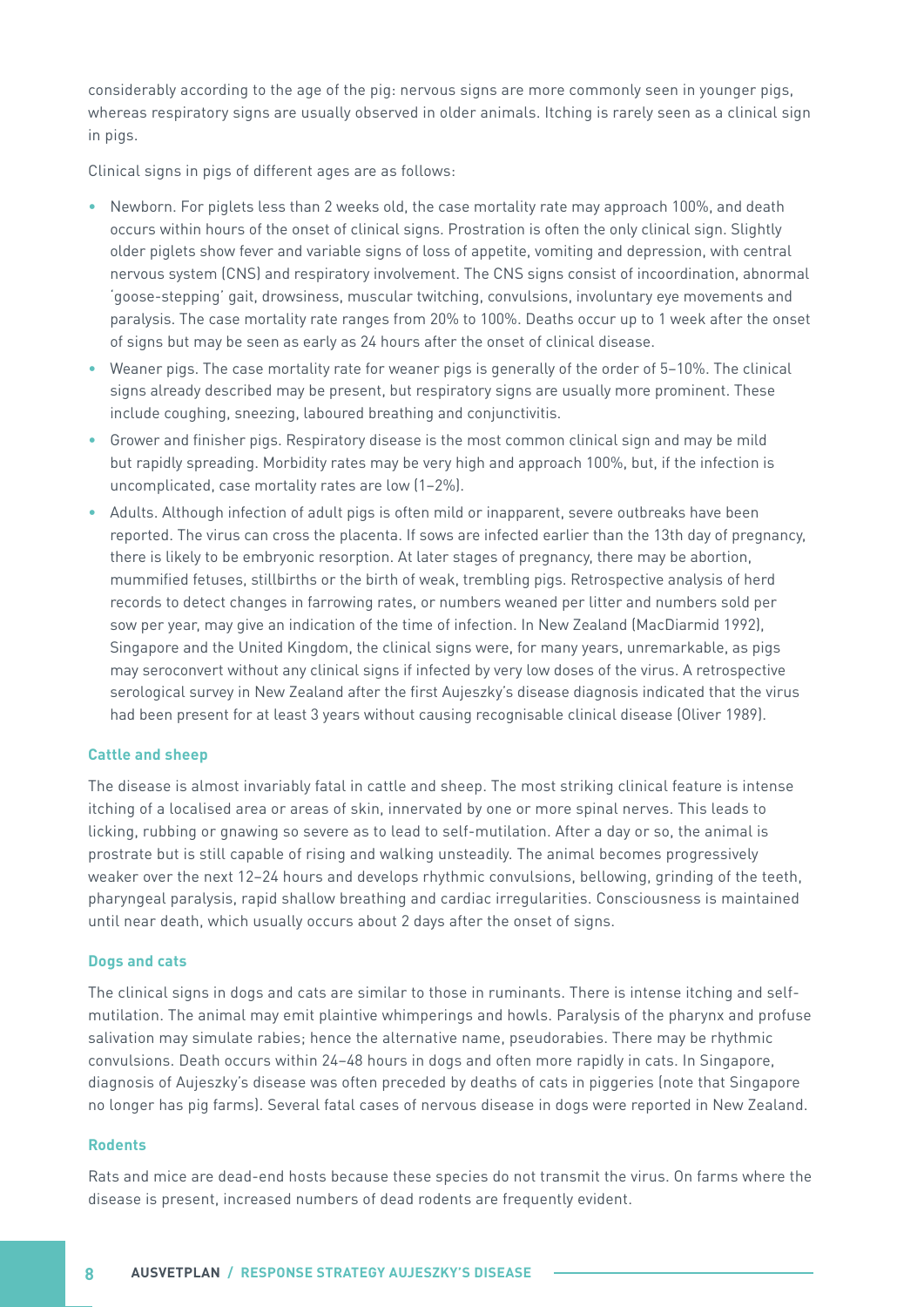considerably according to the age of the pig: nervous signs are more commonly seen in younger pigs, whereas respiratory signs are usually observed in older animals. Itching is rarely seen as a clinical sign in pigs.

Clinical signs in pigs of different ages are as follows:

- Newborn. For piglets less than 2 weeks old, the case mortality rate may approach 100%, and death occurs within hours of the onset of clinical signs. Prostration is often the only clinical sign. Slightly older piglets show fever and variable signs of loss of appetite, vomiting and depression, with central nervous system (CNS) and respiratory involvement. The CNS signs consist of incoordination, abnormal 'goose-stepping' gait, drowsiness, muscular twitching, convulsions, involuntary eye movements and paralysis. The case mortality rate ranges from 20% to 100%. Deaths occur up to 1 week after the onset of signs but may be seen as early as 24 hours after the onset of clinical disease.
- Weaner pigs. The case mortality rate for weaner pigs is generally of the order of 5–10%. The clinical signs already described may be present, but respiratory signs are usually more prominent. These include coughing, sneezing, laboured breathing and conjunctivitis.
- Grower and finisher pigs. Respiratory disease is the most common clinical sign and may be mild but rapidly spreading. Morbidity rates may be very high and approach 100%, but, if the infection is uncomplicated, case mortality rates are low (1–2%).
- Adults. Although infection of adult pigs is often mild or inapparent, severe outbreaks have been reported. The virus can cross the placenta. If sows are infected earlier than the 13th day of pregnancy, there is likely to be embryonic resorption. At later stages of pregnancy, there may be abortion, mummified fetuses, stillbirths or the birth of weak, trembling pigs. Retrospective analysis of herd records to detect changes in farrowing rates, or numbers weaned per litter and numbers sold per sow per year, may give an indication of the time of infection. In New Zealand (MacDiarmid 1992), Singapore and the United Kingdom, the clinical signs were, for many years, unremarkable, as pigs may seroconvert without any clinical signs if infected by very low doses of the virus. A retrospective serological survey in New Zealand after the first Aujeszky's disease diagnosis indicated that the virus had been present for at least 3 years without causing recognisable clinical disease (Oliver 1989).

#### **Cattle and sheep**

The disease is almost invariably fatal in cattle and sheep. The most striking clinical feature is intense itching of a localised area or areas of skin, innervated by one or more spinal nerves. This leads to licking, rubbing or gnawing so severe as to lead to self-mutilation. After a day or so, the animal is prostrate but is still capable of rising and walking unsteadily. The animal becomes progressively weaker over the next 12–24 hours and develops rhythmic convulsions, bellowing, grinding of the teeth, pharyngeal paralysis, rapid shallow breathing and cardiac irregularities. Consciousness is maintained until near death, which usually occurs about 2 days after the onset of signs.

#### **Dogs and cats**

The clinical signs in dogs and cats are similar to those in ruminants. There is intense itching and selfmutilation. The animal may emit plaintive whimperings and howls. Paralysis of the pharynx and profuse salivation may simulate rabies; hence the alternative name, pseudorabies. There may be rhythmic convulsions. Death occurs within 24–48 hours in dogs and often more rapidly in cats. In Singapore, diagnosis of Aujeszky's disease was often preceded by deaths of cats in piggeries (note that Singapore no longer has pig farms). Several fatal cases of nervous disease in dogs were reported in New Zealand.

#### **Rodents**

Rats and mice are dead-end hosts because these species do not transmit the virus. On farms where the disease is present, increased numbers of dead rodents are frequently evident.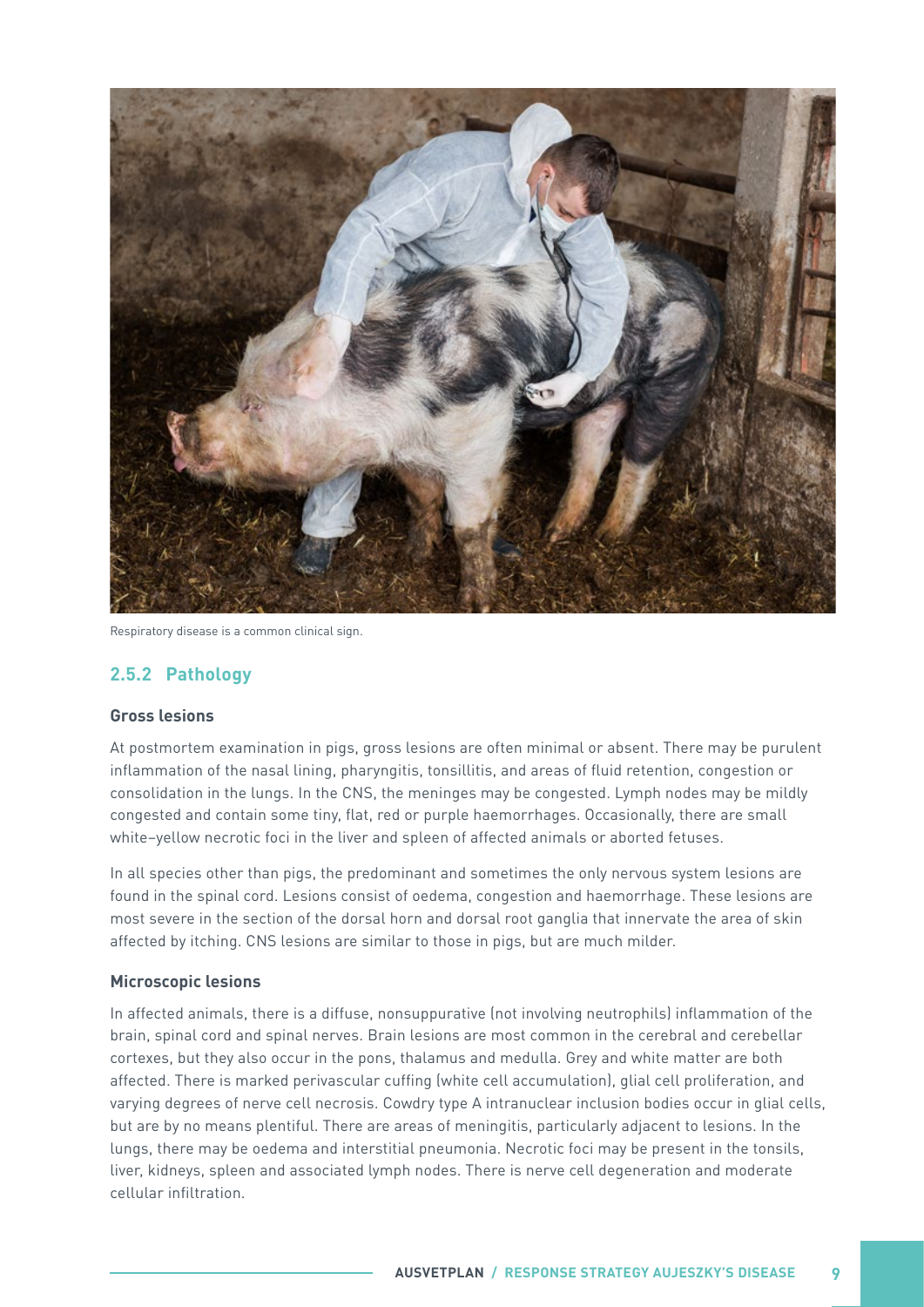<span id="page-14-0"></span>

Respiratory disease is a common clinical sign.

#### **2.5.2 Pathology**

#### **Gross lesions**

At postmortem examination in pigs, gross lesions are often minimal or absent. There may be purulent inflammation of the nasal lining, pharyngitis, tonsillitis, and areas of fluid retention, congestion or consolidation in the lungs. In the CNS, the meninges may be congested. Lymph nodes may be mildly congested and contain some tiny, flat, red or purple haemorrhages. Occasionally, there are small white–yellow necrotic foci in the liver and spleen of affected animals or aborted fetuses.

In all species other than pigs, the predominant and sometimes the only nervous system lesions are found in the spinal cord. Lesions consist of oedema, congestion and haemorrhage. These lesions are most severe in the section of the dorsal horn and dorsal root ganglia that innervate the area of skin affected by itching. CNS lesions are similar to those in pigs, but are much milder.

#### **Microscopic lesions**

In affected animals, there is a diffuse, nonsuppurative (not involving neutrophils) inflammation of the brain, spinal cord and spinal nerves. Brain lesions are most common in the cerebral and cerebellar cortexes, but they also occur in the pons, thalamus and medulla. Grey and white matter are both affected. There is marked perivascular cuffing (white cell accumulation), glial cell proliferation, and varying degrees of nerve cell necrosis. Cowdry type A intranuclear inclusion bodies occur in glial cells, but are by no means plentiful. There are areas of meningitis, particularly adjacent to lesions. In the lungs, there may be oedema and interstitial pneumonia. Necrotic foci may be present in the tonsils, liver, kidneys, spleen and associated lymph nodes. There is nerve cell degeneration and moderate cellular infiltration.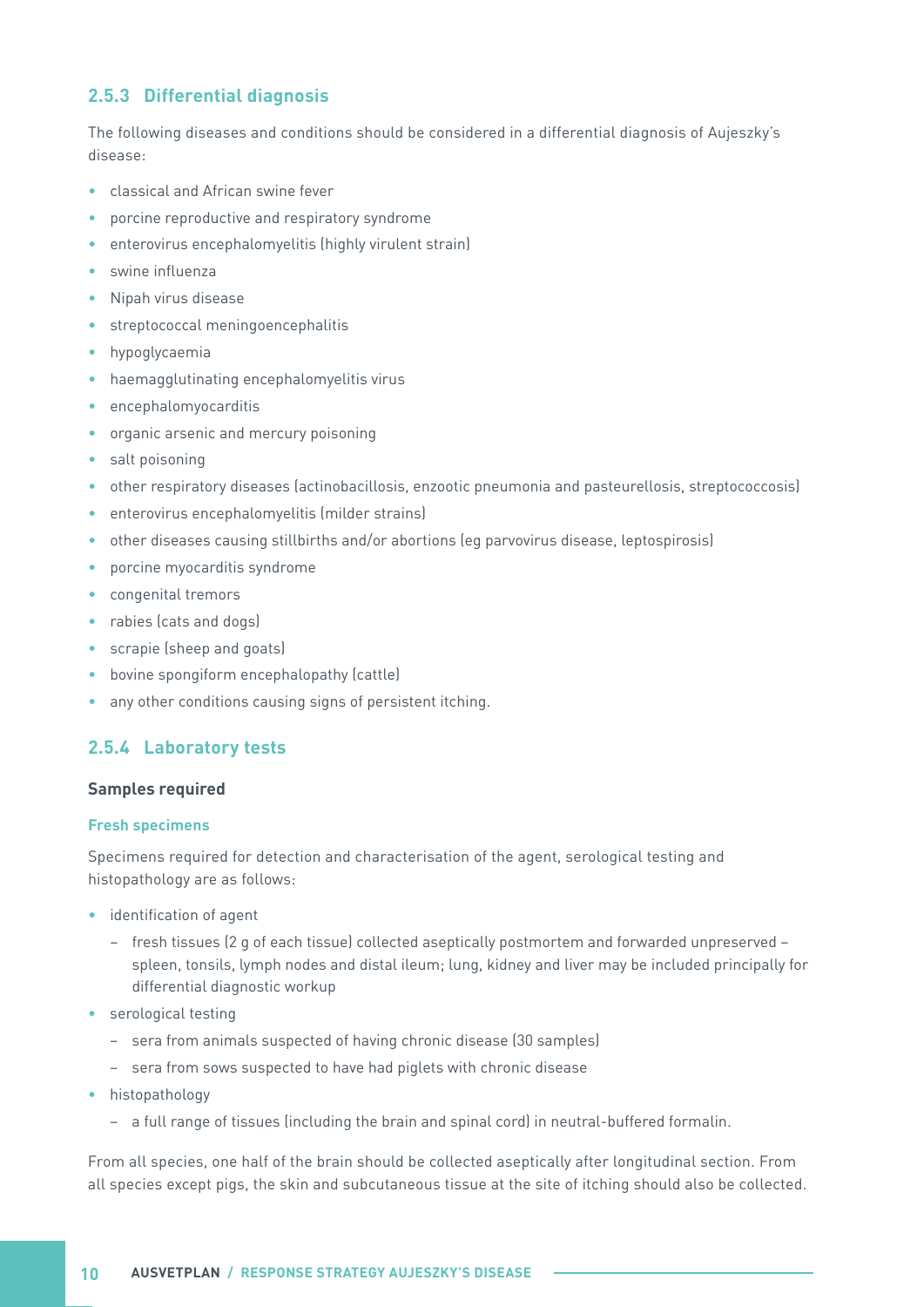#### <span id="page-15-0"></span>**2.5.3 Differential diagnosis**

The following diseases and conditions should be considered in a differential diagnosis of Aujeszky's disease:

- classical and African swine fever
- porcine reproductive and respiratory syndrome
- enterovirus encephalomyelitis (highly virulent strain)
- swine influenza
- Nipah virus disease
- streptococcal meningoencephalitis
- hypoglycaemia
- haemagglutinating encephalomyelitis virus
- encephalomyocarditis
- organic arsenic and mercury poisoning
- salt poisoning
- other respiratory diseases (actinobacillosis, enzootic pneumonia and pasteurellosis, streptococcosis)
- enterovirus encephalomyelitis (milder strains)
- other diseases causing stillbirths and/or abortions (eg parvovirus disease, leptospirosis)
- porcine myocarditis syndrome
- congenital tremors
- rabies (cats and dogs)
- scrapie (sheep and goats)
- bovine spongiform encephalopathy (cattle)
- any other conditions causing signs of persistent itching.

#### **2.5.4 Laboratory tests**

#### **Samples required**

#### **Fresh specimens**

Specimens required for detection and characterisation of the agent, serological testing and histopathology are as follows:

- identification of agent
	- fresh tissues (2 g of each tissue) collected aseptically postmortem and forwarded unpreserved spleen, tonsils, lymph nodes and distal ileum; lung, kidney and liver may be included principally for differential diagnostic workup
- serological testing
	- sera from animals suspected of having chronic disease (30 samples)
	- sera from sows suspected to have had piglets with chronic disease
- histopathology
	- a full range of tissues (including the brain and spinal cord) in neutral-buffered formalin.

From all species, one half of the brain should be collected aseptically after longitudinal section. From all species except pigs, the skin and subcutaneous tissue at the site of itching should also be collected.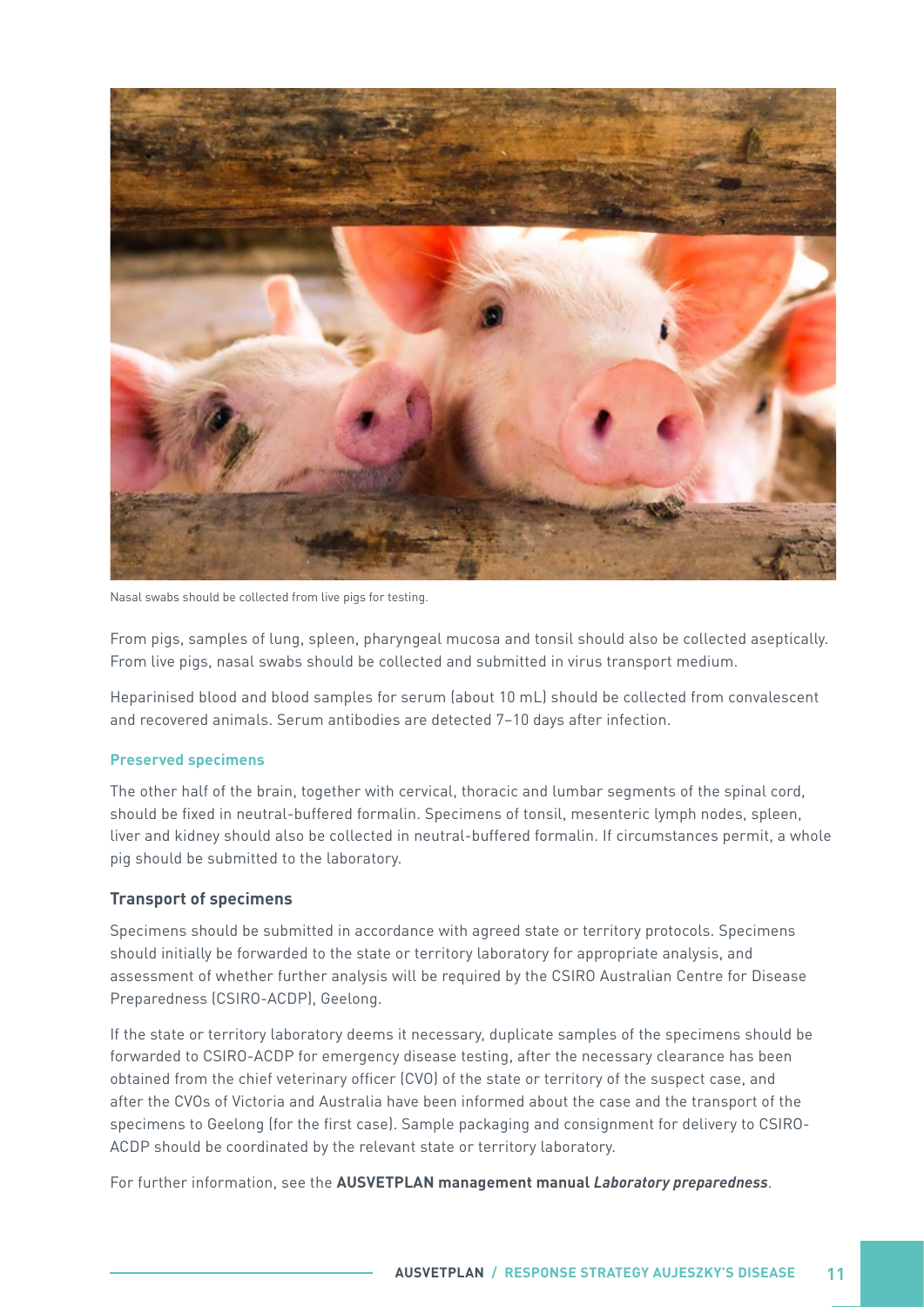

Nasal swabs should be collected from live pigs for testing.

From pigs, samples of lung, spleen, pharyngeal mucosa and tonsil should also be collected aseptically. From live pigs, nasal swabs should be collected and submitted in virus transport medium.

Heparinised blood and blood samples for serum (about 10 mL) should be collected from convalescent and recovered animals. Serum antibodies are detected 7–10 days after infection.

#### **Preserved specimens**

The other half of the brain, together with cervical, thoracic and lumbar segments of the spinal cord, should be fixed in neutral-buffered formalin. Specimens of tonsil, mesenteric lymph nodes, spleen, liver and kidney should also be collected in neutral-buffered formalin. If circumstances permit, a whole pig should be submitted to the laboratory.

#### **Transport of specimens**

Specimens should be submitted in accordance with agreed state or territory protocols. Specimens should initially be forwarded to the state or territory laboratory for appropriate analysis, and assessment of whether further analysis will be required by the CSIRO Australian Centre for Disease Preparedness (CSIRO-ACDP), Geelong.

If the state or territory laboratory deems it necessary, duplicate samples of the specimens should be forwarded to CSIRO-ACDP for emergency disease testing, after the necessary clearance has been obtained from the chief veterinary officer (CVO) of the state or territory of the suspect case, and after the CVOs of Victoria and Australia have been informed about the case and the transport of the specimens to Geelong (for the first case). Sample packaging and consignment for delivery to CSIRO-ACDP should be coordinated by the relevant state or territory laboratory.

For further information, see the **AUSVETPLAN management manual Laboratory preparedness**.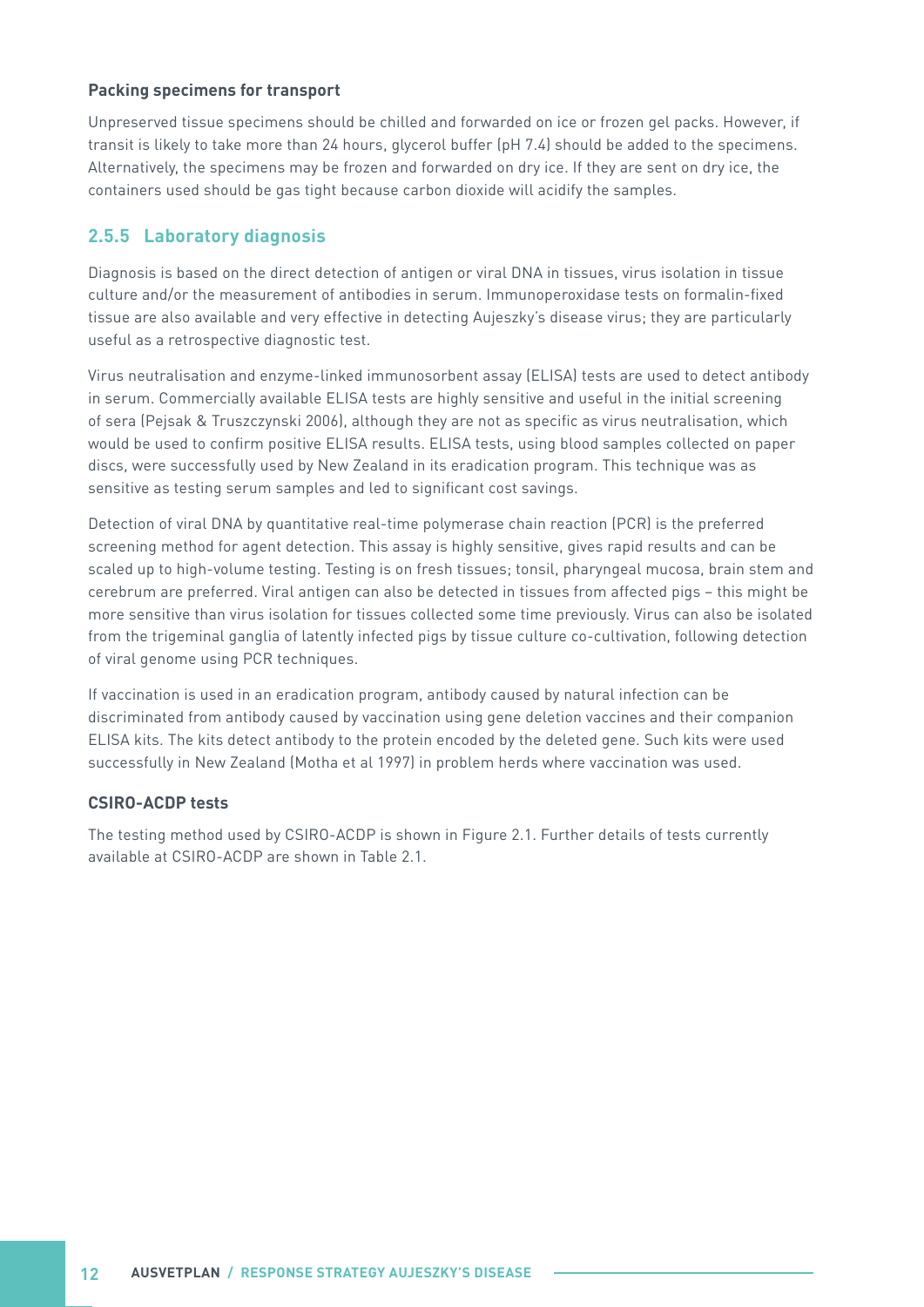#### <span id="page-17-0"></span>**Packing specimens for transport**

Unpreserved tissue specimens should be chilled and forwarded on ice or frozen gel packs. However, if transit is likely to take more than 24 hours, glycerol buffer (pH 7.4) should be added to the specimens. Alternatively, the specimens may be frozen and forwarded on dry ice. If they are sent on dry ice, the containers used should be gas tight because carbon dioxide will acidify the samples.

#### **2.5.5 Laboratory diagnosis**

Diagnosis is based on the direct detection of antigen or viral DNA in tissues, virus isolation in tissue culture and/or the measurement of antibodies in serum. Immunoperoxidase tests on formalin-fixed tissue are also available and very effective in detecting Aujeszky's disease virus; they are particularly useful as a retrospective diagnostic test.

Virus neutralisation and enzyme-linked immunosorbent assay (ELISA) tests are used to detect antibody in serum. Commercially available ELISA tests are highly sensitive and useful in the initial screening of sera (Pejsak & Truszczynski 2006), although they are not as specific as virus neutralisation, which would be used to confirm positive ELISA results. ELISA tests, using blood samples collected on paper discs, were successfully used by New Zealand in its eradication program. This technique was as sensitive as testing serum samples and led to significant cost savings.

Detection of viral DNA by quantitative real-time polymerase chain reaction (PCR) is the preferred screening method for agent detection. This assay is highly sensitive, gives rapid results and can be scaled up to high-volume testing. Testing is on fresh tissues; tonsil, pharyngeal mucosa, brain stem and cerebrum are preferred. Viral antigen can also be detected in tissues from affected pigs – this might be more sensitive than virus isolation for tissues collected some time previously. Virus can also be isolated from the trigeminal ganglia of latently infected pigs by tissue culture co-cultivation, following detection of viral genome using PCR techniques.

If vaccination is used in an eradication program, antibody caused by natural infection can be discriminated from antibody caused by vaccination using gene deletion vaccines and their companion ELISA kits. The kits detect antibody to the protein encoded by the deleted gene. Such kits were used successfully in New Zealand (Motha et al 1997) in problem herds where vaccination was used.

#### **CSIRO-ACDP tests**

The testing method used by CSIRO-ACDP is shown in Figure 2.1. Further details of tests currently available at CSIRO-ACDP are shown in Table 2.1.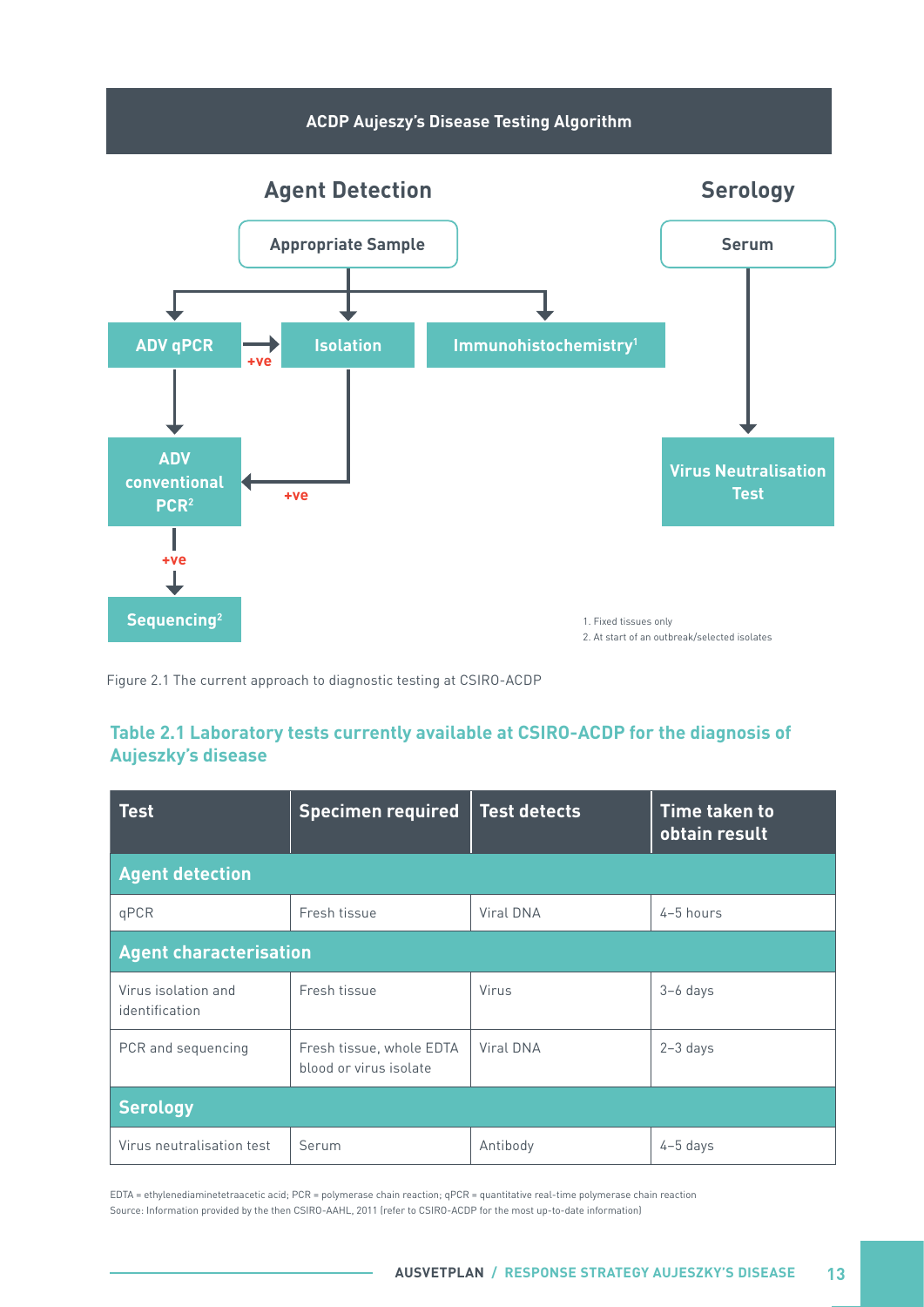<span id="page-18-0"></span>

Figure 2.1 The current approach to diagnostic testing at CSIRO-ACDP

#### **Table 2.1 Laboratory tests currently available at CSIRO-ACDP for the diagnosis of Aujeszky's disease**

| <b>Test</b>                           | <b>Specimen required</b>                           | <b>Test detects</b> | <b>Time taken to</b><br>obtain result |  |  |  |  |
|---------------------------------------|----------------------------------------------------|---------------------|---------------------------------------|--|--|--|--|
| <b>Agent detection</b>                |                                                    |                     |                                       |  |  |  |  |
| qPCR                                  | Fresh tissue                                       | Viral DNA           | 4-5 hours                             |  |  |  |  |
|                                       | <b>Agent characterisation</b>                      |                     |                                       |  |  |  |  |
| Virus isolation and<br>identification | Fresh tissue                                       | Virus               | $3-6$ days                            |  |  |  |  |
| PCR and sequencing                    | Fresh tissue, whole EDTA<br>blood or virus isolate | Viral DNA           | $2-3$ days                            |  |  |  |  |
| <b>Serology</b>                       |                                                    |                     |                                       |  |  |  |  |
| Virus neutralisation test             | Serum                                              | Antibody            | $4-5$ days                            |  |  |  |  |

EDTA = ethylenediaminetetraacetic acid; PCR = polymerase chain reaction; qPCR = quantitative real-time polymerase chain reaction Source: Information provided by the then CSIRO-AAHL, 2011 (refer to CSIRO-ACDP for the most up-to-date information)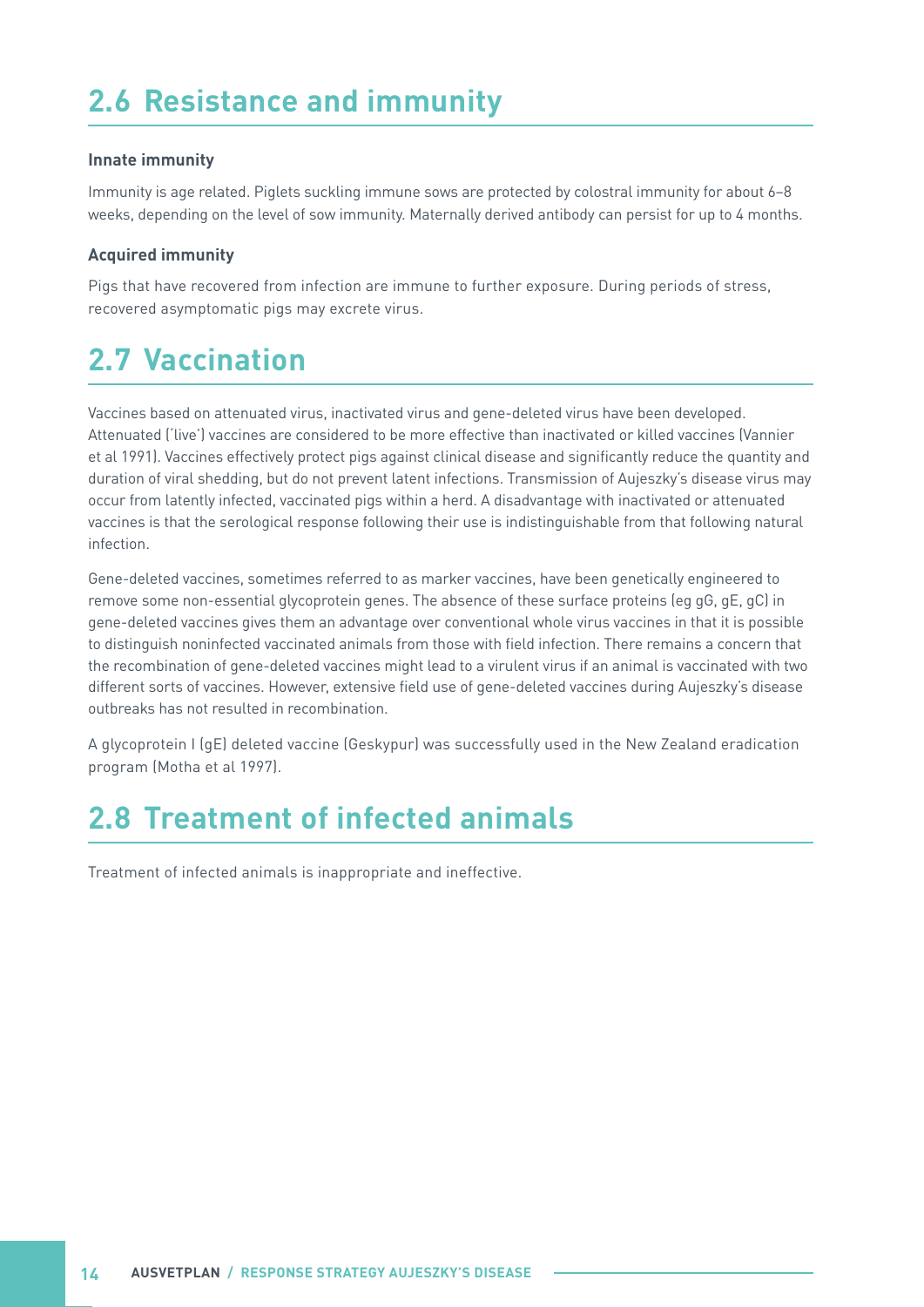# <span id="page-19-0"></span>**2.6 Resistance and immunity**

#### **Innate immunity**

Immunity is age related. Piglets suckling immune sows are protected by colostral immunity for about 6–8 weeks, depending on the level of sow immunity. Maternally derived antibody can persist for up to 4 months.

#### **Acquired immunity**

Pigs that have recovered from infection are immune to further exposure. During periods of stress, recovered asymptomatic pigs may excrete virus.

# **2.7 Vaccination**

Vaccines based on attenuated virus, inactivated virus and gene-deleted virus have been developed. Attenuated ('live') vaccines are considered to be more effective than inactivated or killed vaccines (Vannier et al 1991). Vaccines effectively protect pigs against clinical disease and significantly reduce the quantity and duration of viral shedding, but do not prevent latent infections. Transmission of Aujeszky's disease virus may occur from latently infected, vaccinated pigs within a herd. A disadvantage with inactivated or attenuated vaccines is that the serological response following their use is indistinguishable from that following natural infection.

Gene-deleted vaccines, sometimes referred to as marker vaccines, have been genetically engineered to remove some non-essential glycoprotein genes. The absence of these surface proteins (eg gG, gE, gC) in gene-deleted vaccines gives them an advantage over conventional whole virus vaccines in that it is possible to distinguish noninfected vaccinated animals from those with field infection. There remains a concern that the recombination of gene-deleted vaccines might lead to a virulent virus if an animal is vaccinated with two different sorts of vaccines. However, extensive field use of gene-deleted vaccines during Aujeszky's disease outbreaks has not resulted in recombination.

A glycoprotein I (gE) deleted vaccine (Geskypur) was successfully used in the New Zealand eradication program (Motha et al 1997).

## **2.8 Treatment of infected animals**

Treatment of infected animals is inappropriate and ineffective.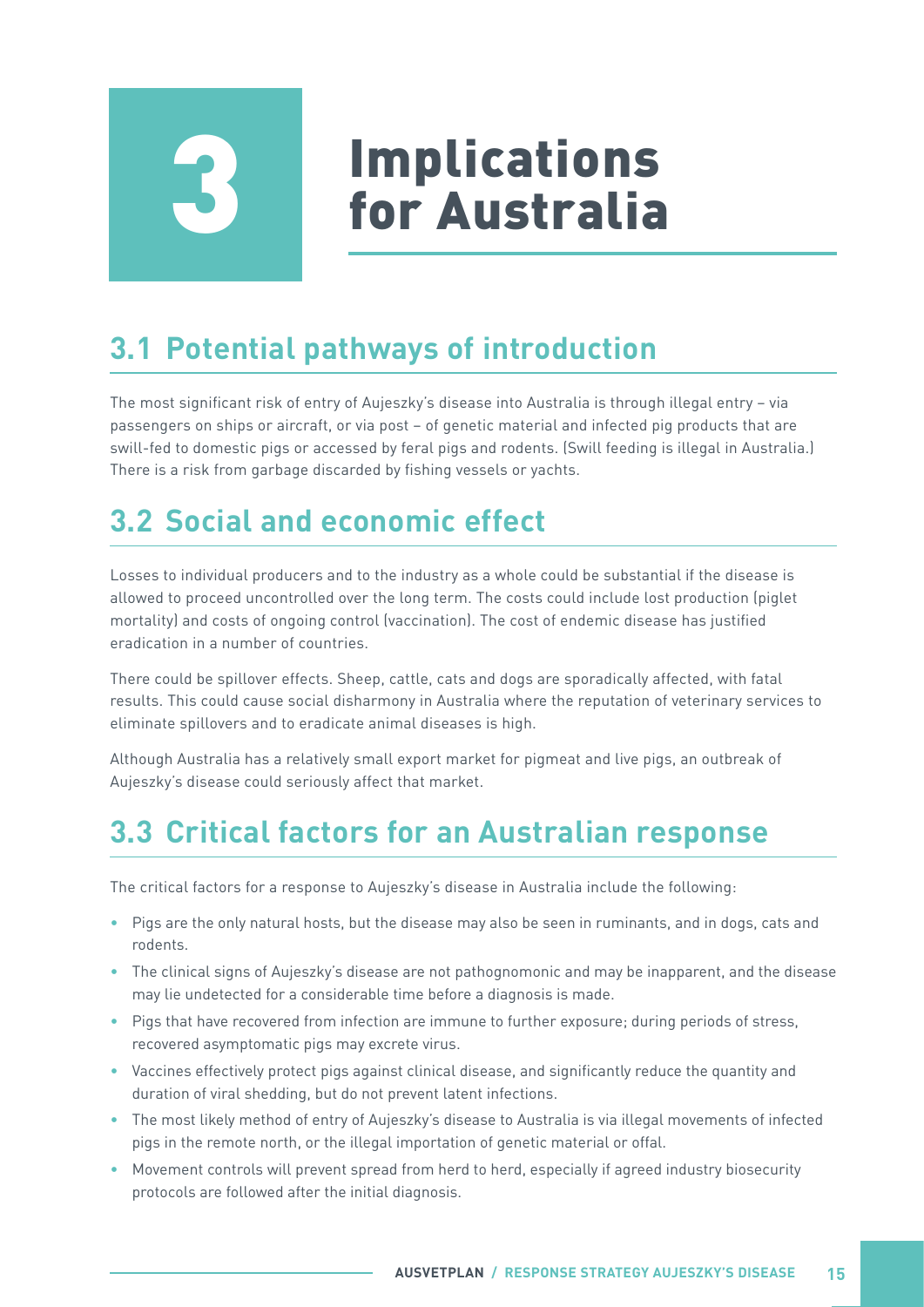# **Implications<br>for Australia**

# <span id="page-20-0"></span>**3.1 Potential pathways of introduction**

The most significant risk of entry of Aujeszky's disease into Australia is through illegal entry – via passengers on ships or aircraft, or via post – of genetic material and infected pig products that are swill-fed to domestic pigs or accessed by feral pigs and rodents. (Swill feeding is illegal in Australia.) There is a risk from garbage discarded by fishing vessels or yachts.

# **3.2 Social and economic effect**

Losses to individual producers and to the industry as a whole could be substantial if the disease is allowed to proceed uncontrolled over the long term. The costs could include lost production (piglet mortality) and costs of ongoing control (vaccination). The cost of endemic disease has justified eradication in a number of countries.

There could be spillover effects. Sheep, cattle, cats and dogs are sporadically affected, with fatal results. This could cause social disharmony in Australia where the reputation of veterinary services to eliminate spillovers and to eradicate animal diseases is high.

Although Australia has a relatively small export market for pigmeat and live pigs, an outbreak of Aujeszky's disease could seriously affect that market.

## **3.3 Critical factors for an Australian response**

The critical factors for a response to Aujeszky's disease in Australia include the following:

- Pigs are the only natural hosts, but the disease may also be seen in ruminants, and in dogs, cats and rodents.
- The clinical signs of Aujeszky's disease are not pathognomonic and may be inapparent, and the disease may lie undetected for a considerable time before a diagnosis is made.
- Pigs that have recovered from infection are immune to further exposure; during periods of stress, recovered asymptomatic pigs may excrete virus.
- Vaccines effectively protect pigs against clinical disease, and significantly reduce the quantity and duration of viral shedding, but do not prevent latent infections.
- The most likely method of entry of Aujeszky's disease to Australia is via illegal movements of infected pigs in the remote north, or the illegal importation of genetic material or offal.
- Movement controls will prevent spread from herd to herd, especially if agreed industry biosecurity protocols are followed after the initial diagnosis.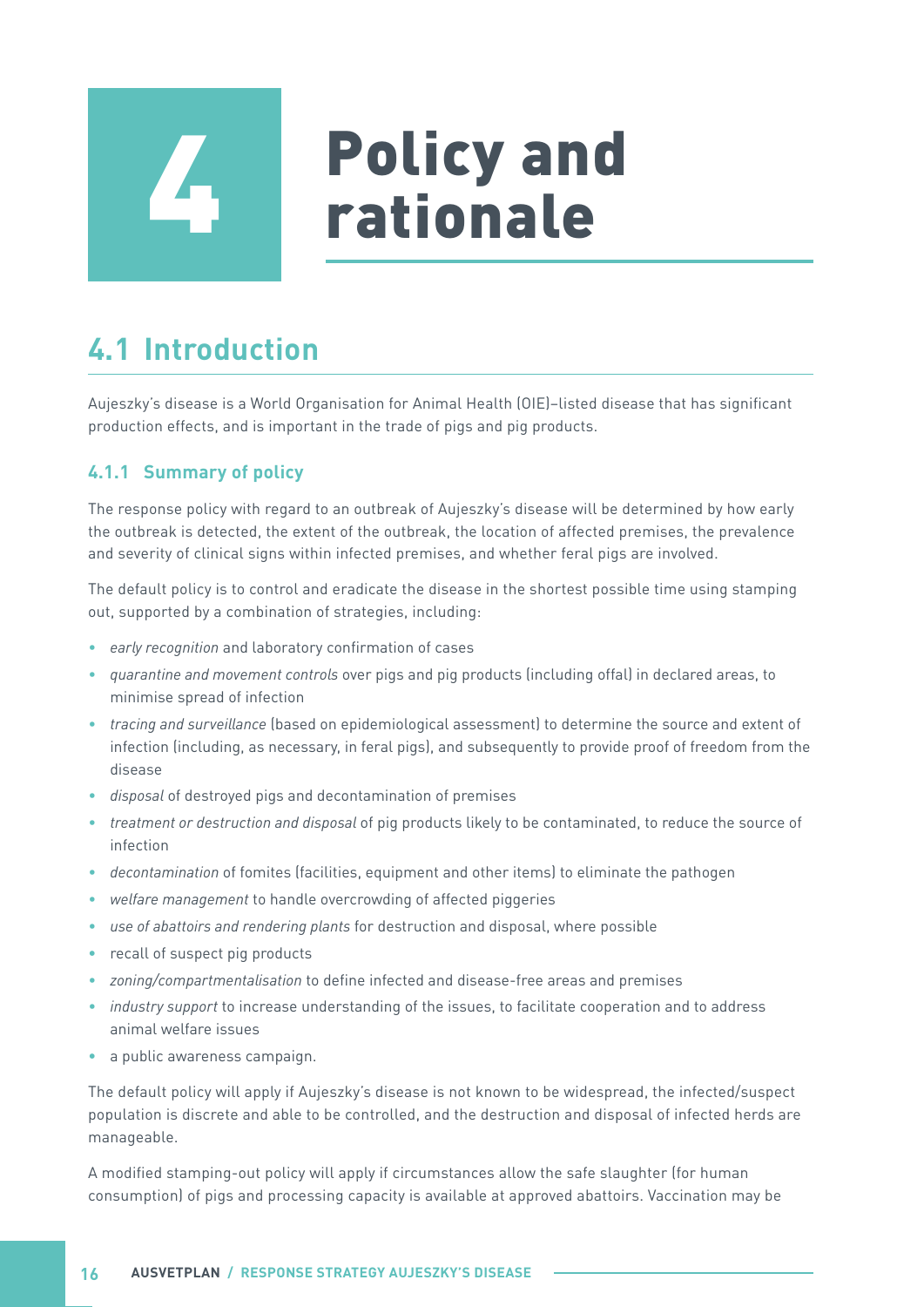<span id="page-21-0"></span>

# **Policy and<br>rationale**

# **4.1 Introduction**

Aujeszky's disease is a World Organisation for Animal Health (OIE)–listed disease that has significant production effects, and is important in the trade of pigs and pig products.

#### **4.1.1 Summary of policy**

The response policy with regard to an outbreak of Aujeszky's disease will be determined by how early the outbreak is detected, the extent of the outbreak, the location of affected premises, the prevalence and severity of clinical signs within infected premises, and whether feral pigs are involved.

The default policy is to control and eradicate the disease in the shortest possible time using stamping out, supported by a combination of strategies, including:

- *• early recognition* and laboratory confirmation of cases
- *• quarantine and movement controls* over pigs and pig products (including offal) in declared areas, to minimise spread of infection
- *• tracing and surveillance* (based on epidemiological assessment) to determine the source and extent of infection (including, as necessary, in feral pigs), and subsequently to provide proof of freedom from the disease
- *• disposal* of destroyed pigs and decontamination of premises
- *• treatment or destruction and disposal* of pig products likely to be contaminated, to reduce the source of infection
- *• decontamination* of fomites (facilities, equipment and other items) to eliminate the pathogen
- *• welfare management* to handle overcrowding of affected piggeries
- *• use of abattoirs and rendering plants* for destruction and disposal, where possible
- recall of suspect pig products
- *• zoning/compartmentalisation* to define infected and disease-free areas and premises
- *• industry support* to increase understanding of the issues, to facilitate cooperation and to address animal welfare issues
- a public awareness campaign.

The default policy will apply if Aujeszky's disease is not known to be widespread, the infected/suspect population is discrete and able to be controlled, and the destruction and disposal of infected herds are manageable.

A modified stamping-out policy will apply if circumstances allow the safe slaughter (for human consumption) of pigs and processing capacity is available at approved abattoirs. Vaccination may be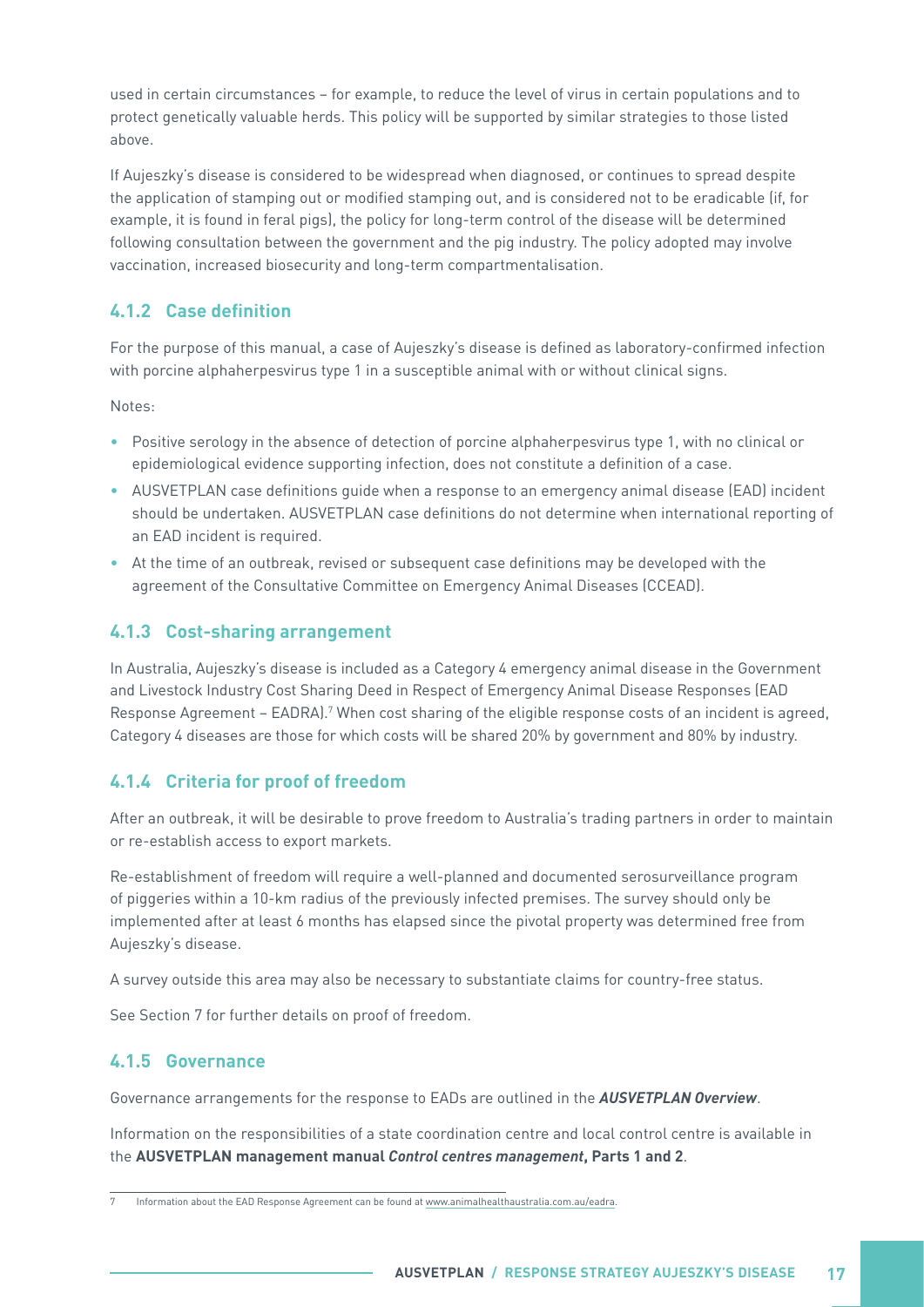<span id="page-22-0"></span>used in certain circumstances – for example, to reduce the level of virus in certain populations and to protect genetically valuable herds. This policy will be supported by similar strategies to those listed above.

If Aujeszky's disease is considered to be widespread when diagnosed, or continues to spread despite the application of stamping out or modified stamping out, and is considered not to be eradicable (if, for example, it is found in feral pigs), the policy for long-term control of the disease will be determined following consultation between the government and the pig industry. The policy adopted may involve vaccination, increased biosecurity and long-term compartmentalisation.

#### **4.1.2 Case definition**

For the purpose of this manual, a case of Aujeszky's disease is defined as laboratory-confirmed infection with porcine alphaherpesvirus type 1 in a susceptible animal with or without clinical signs.

Notes:

- Positive serology in the absence of detection of porcine alphaherpesvirus type 1, with no clinical or epidemiological evidence supporting infection, does not constitute a definition of a case.
- AUSVETPLAN case definitions guide when a response to an emergency animal disease (EAD) incident should be undertaken. AUSVETPLAN case definitions do not determine when international reporting of an EAD incident is required.
- At the time of an outbreak, revised or subsequent case definitions may be developed with the agreement of the Consultative Committee on Emergency Animal Diseases (CCEAD).

#### **4.1.3 Cost-sharing arrangement**

In Australia, Aujeszky's disease is included as a Category 4 emergency animal disease in the Government and Livestock Industry Cost Sharing Deed in Respect of Emergency Animal Disease Responses (EAD Response Agreement - EADRA).<sup>7</sup> When cost sharing of the eligible response costs of an incident is agreed, Category 4 diseases are those for which costs will be shared 20% by government and 80% by industry.

#### **4.1.4 Criteria for proof of freedom**

After an outbreak, it will be desirable to prove freedom to Australia's trading partners in order to maintain or re-establish access to export markets.

Re-establishment of freedom will require a well-planned and documented serosurveillance program of piggeries within a 10-km radius of the previously infected premises. The survey should only be implemented after at least 6 months has elapsed since the pivotal property was determined free from Aujeszky's disease.

A survey outside this area may also be necessary to substantiate claims for country-free status.

See Section 7 for further details on proof of freedom.

#### **4.1.5 Governance**

Governance arrangements for the response to EADs are outlined in the **AUSVETPLAN Overview**.

Information on the responsibilities of a state coordination centre and local control centre is available in the **AUSVETPLAN management manual Control centres management, Parts 1 and 2**.

<sup>7</sup> Information about the EAD Response Agreement can be found at [www.animalhealthaustralia.com.au/eadra](https://animalhealthaustralia.com.au/eadra/).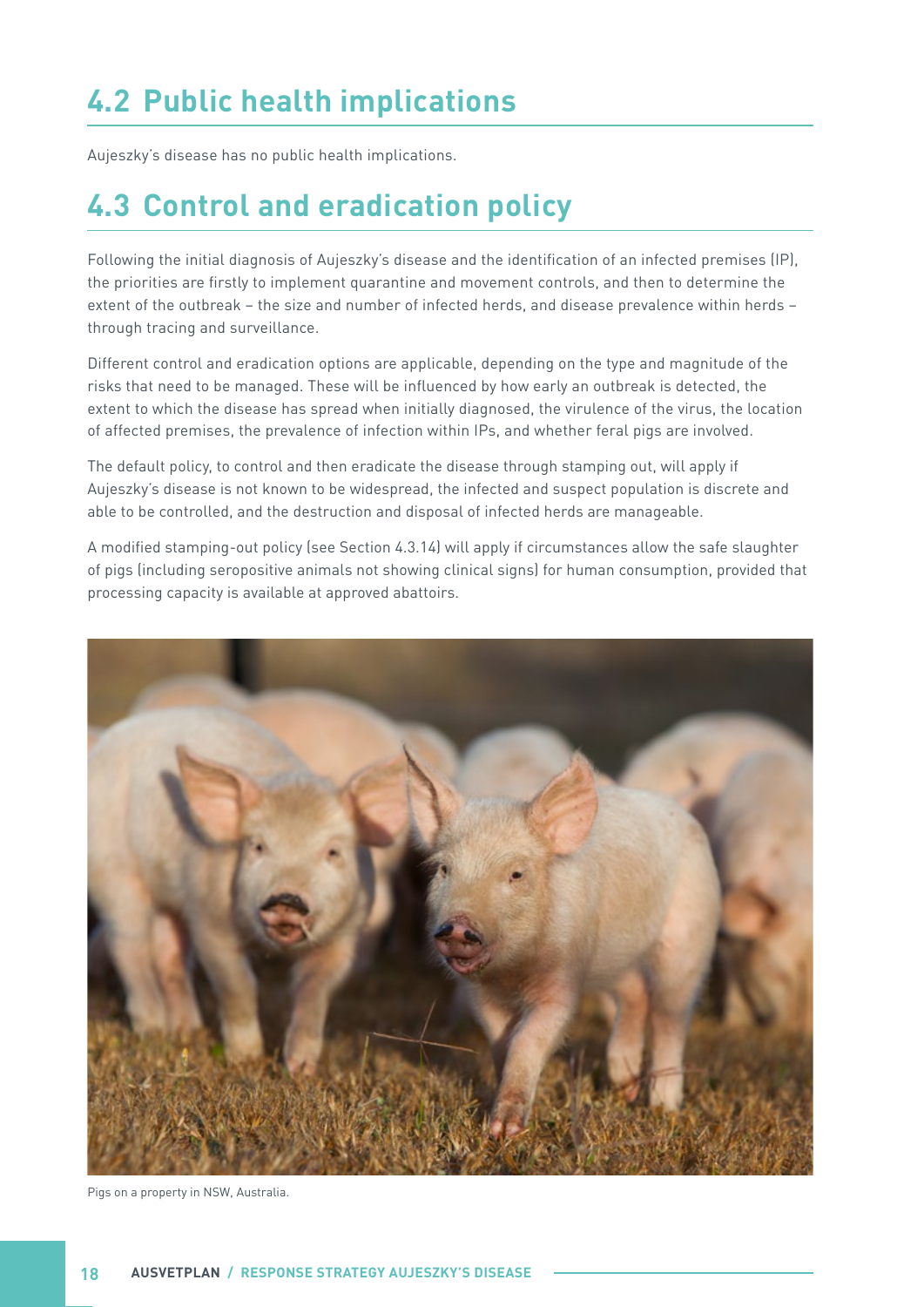# <span id="page-23-0"></span>**4.2 Public health implications**

Aujeszky's disease has no public health implications.

## **4.3 Control and eradication policy**

Following the initial diagnosis of Aujeszky's disease and the identification of an infected premises (IP), the priorities are firstly to implement quarantine and movement controls, and then to determine the extent of the outbreak – the size and number of infected herds, and disease prevalence within herds – through tracing and surveillance.

Different control and eradication options are applicable, depending on the type and magnitude of the risks that need to be managed. These will be influenced by how early an outbreak is detected, the extent to which the disease has spread when initially diagnosed, the virulence of the virus, the location of affected premises, the prevalence of infection within IPs, and whether feral pigs are involved.

The default policy, to control and then eradicate the disease through stamping out, will apply if Aujeszky's disease is not known to be widespread, the infected and suspect population is discrete and able to be controlled, and the destruction and disposal of infected herds are manageable.

A modified stamping-out policy (see Section 4.3.14) will apply if circumstances allow the safe slaughter of pigs (including seropositive animals not showing clinical signs) for human consumption, provided that processing capacity is available at approved abattoirs.



Pigs on a property in NSW, Australia.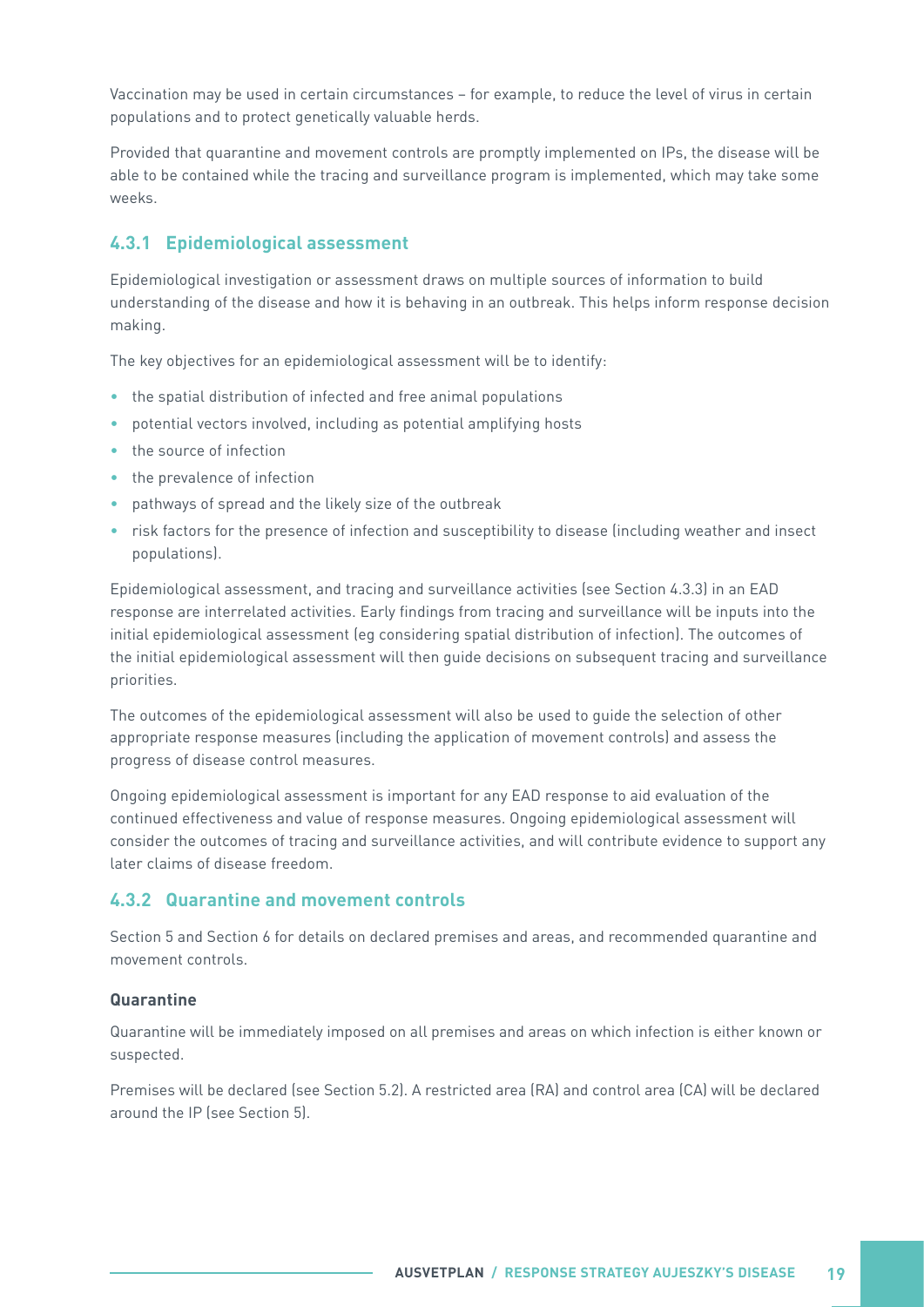<span id="page-24-0"></span>Vaccination may be used in certain circumstances – for example, to reduce the level of virus in certain populations and to protect genetically valuable herds.

Provided that quarantine and movement controls are promptly implemented on IPs, the disease will be able to be contained while the tracing and surveillance program is implemented, which may take some weeks.

#### **4.3.1 Epidemiological assessment**

Epidemiological investigation or assessment draws on multiple sources of information to build understanding of the disease and how it is behaving in an outbreak. This helps inform response decision making.

The key objectives for an epidemiological assessment will be to identify:

- the spatial distribution of infected and free animal populations
- potential vectors involved, including as potential amplifying hosts
- the source of infection
- the prevalence of infection
- pathways of spread and the likely size of the outbreak
- risk factors for the presence of infection and susceptibility to disease (including weather and insect populations).

Epidemiological assessment, and tracing and surveillance activities (see Section 4.3.3) in an EAD response are interrelated activities. Early findings from tracing and surveillance will be inputs into the initial epidemiological assessment (eg considering spatial distribution of infection). The outcomes of the initial epidemiological assessment will then guide decisions on subsequent tracing and surveillance priorities.

The outcomes of the epidemiological assessment will also be used to guide the selection of other appropriate response measures (including the application of movement controls) and assess the progress of disease control measures.

Ongoing epidemiological assessment is important for any EAD response to aid evaluation of the continued effectiveness and value of response measures. Ongoing epidemiological assessment will consider the outcomes of tracing and surveillance activities, and will contribute evidence to support any later claims of disease freedom.

#### **4.3.2 Quarantine and movement controls**

Section 5 and Section 6 for details on declared premises and areas, and recommended quarantine and movement controls.

#### **Quarantine**

Quarantine will be immediately imposed on all premises and areas on which infection is either known or suspected.

Premises will be declared (see Section 5.2). A restricted area (RA) and control area (CA) will be declared around the IP (see Section 5).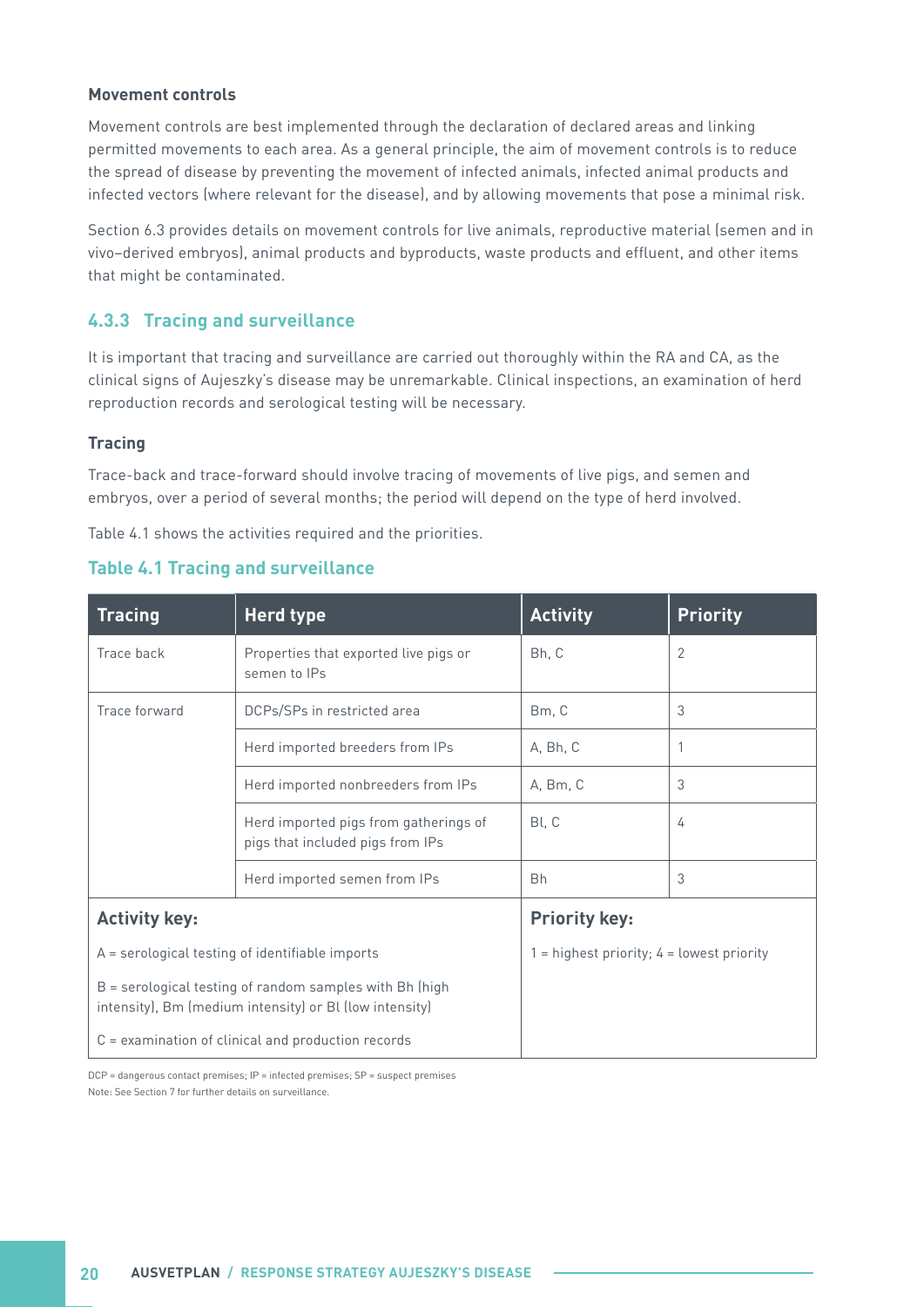#### <span id="page-25-0"></span>**Movement controls**

Movement controls are best implemented through the declaration of declared areas and linking permitted movements to each area. As a general principle, the aim of movement controls is to reduce the spread of disease by preventing the movement of infected animals, infected animal products and infected vectors (where relevant for the disease), and by allowing movements that pose a minimal risk.

Section 6.3 provides details on movement controls for live animals, reproductive material (semen and in vivo–derived embryos), animal products and byproducts, waste products and effluent, and other items that might be contaminated.

#### **4.3.3 Tracing and surveillance**

It is important that tracing and surveillance are carried out thoroughly within the RA and CA, as the clinical signs of Aujeszky's disease may be unremarkable. Clinical inspections, an examination of herd reproduction records and serological testing will be necessary.

#### **Tracing**

Trace-back and trace-forward should involve tracing of movements of live pigs, and semen and embryos, over a period of several months; the period will depend on the type of herd involved.

Table 4.1 shows the activities required and the priorities.

| <b>Herd type</b><br><b>Tracing</b> |                                                                                                                    | <b>Activity</b>                               | <b>Priority</b> |
|------------------------------------|--------------------------------------------------------------------------------------------------------------------|-----------------------------------------------|-----------------|
| Trace back                         | Properties that exported live pigs or<br>semen to IPs                                                              |                                               | $\overline{2}$  |
| Trace forward                      | DCPs/SPs in restricted area                                                                                        | Bm, C                                         | 3               |
|                                    | Herd imported breeders from IPs                                                                                    | A, Bh, C                                      |                 |
|                                    | Herd imported nonbreeders from IPs                                                                                 | A, Bm, C                                      | 3               |
|                                    | Herd imported pigs from gatherings of<br>pigs that included pigs from IPs                                          | Bl, C                                         | 4               |
|                                    | Herd imported semen from IPs                                                                                       | <b>Bh</b>                                     | 3               |
| <b>Activity key:</b>               |                                                                                                                    | <b>Priority key:</b>                          |                 |
|                                    | $A =$ serological testing of identifiable imports                                                                  | $1 =$ highest priority; $4 =$ lowest priority |                 |
|                                    | B = serological testing of random samples with Bh (high<br>intensity), Bm (medium intensity) or Bl (low intensity) |                                               |                 |
|                                    | $C =$ examination of clinical and production records                                                               |                                               |                 |

#### **Table 4.1 Tracing and surveillance**

DCP = dangerous contact premises; IP = infected premises; SP = suspect premises Note: See Section 7 for further details on surveillance.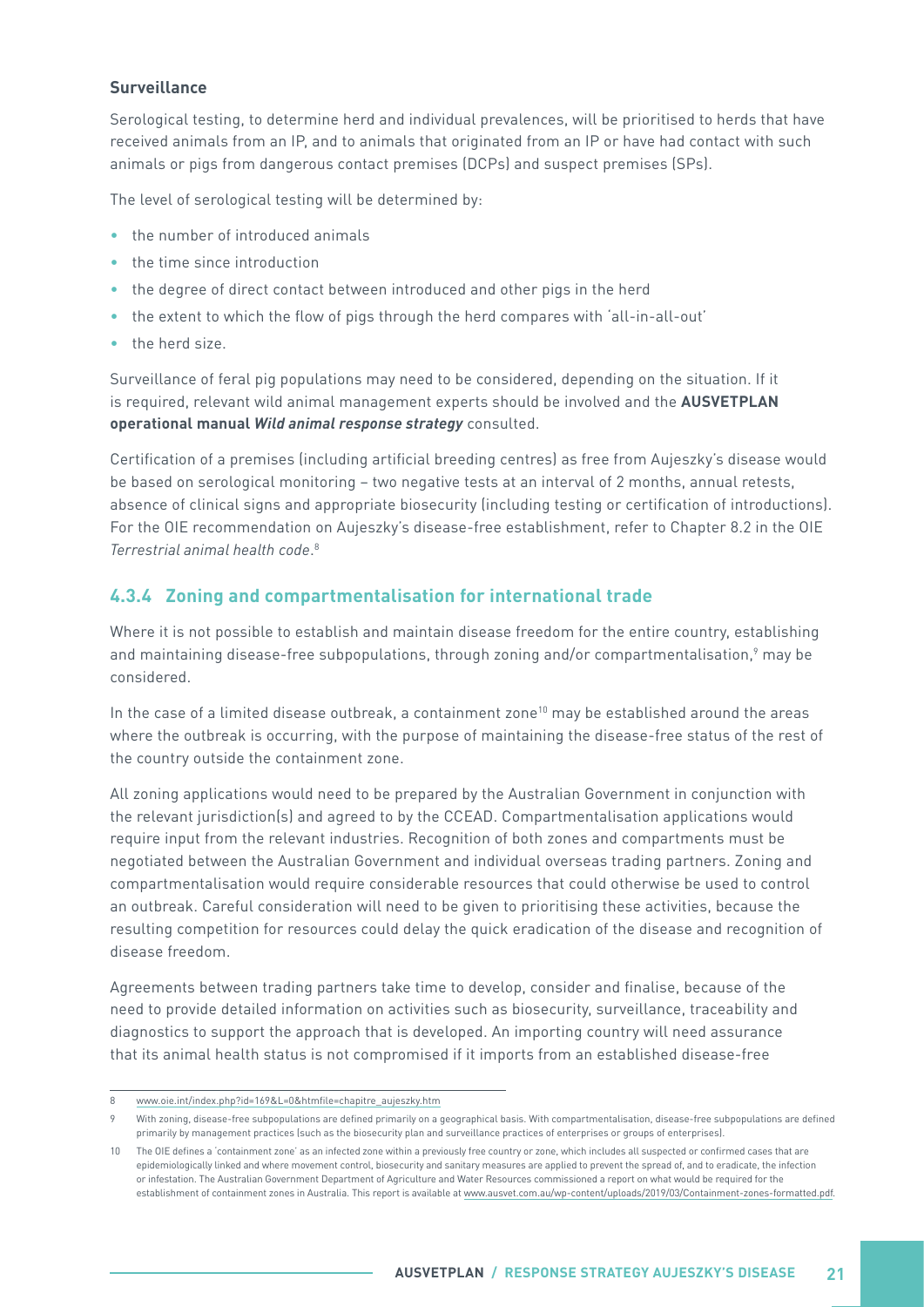#### <span id="page-26-0"></span>**Surveillance**

Serological testing, to determine herd and individual prevalences, will be prioritised to herds that have received animals from an IP, and to animals that originated from an IP or have had contact with such animals or pigs from dangerous contact premises (DCPs) and suspect premises (SPs).

The level of serological testing will be determined by:

- the number of introduced animals
- the time since introduction
- the degree of direct contact between introduced and other pigs in the herd
- the extent to which the flow of pigs through the herd compares with 'all-in-all-out'
- the herd size.

Surveillance of feral pig populations may need to be considered, depending on the situation. If it is required, relevant wild animal management experts should be involved and the **AUSVETPLAN operational manual Wild animal response strategy** consulted.

Certification of a premises (including artificial breeding centres) as free from Aujeszky's disease would be based on serological monitoring – two negative tests at an interval of 2 months, annual retests, absence of clinical signs and appropriate biosecurity (including testing or certification of introductions). For the OIE recommendation on Aujeszky's disease-free establishment, refer to Chapter 8.2 in the OIE *Terrestrial animal health code*. 8

#### **4.3.4 Zoning and compartmentalisation for international trade**

Where it is not possible to establish and maintain disease freedom for the entire country, establishing and maintaining disease-free subpopulations, through zoning and/or compartmentalisation,<sup>9</sup> may be considered.

In the case of a limited disease outbreak, a containment zone<sup>10</sup> may be established around the areas where the outbreak is occurring, with the purpose of maintaining the disease-free status of the rest of the country outside the containment zone.

All zoning applications would need to be prepared by the Australian Government in conjunction with the relevant jurisdiction(s) and agreed to by the CCEAD. Compartmentalisation applications would require input from the relevant industries. Recognition of both zones and compartments must be negotiated between the Australian Government and individual overseas trading partners. Zoning and compartmentalisation would require considerable resources that could otherwise be used to control an outbreak. Careful consideration will need to be given to prioritising these activities, because the resulting competition for resources could delay the quick eradication of the disease and recognition of disease freedom.

Agreements between trading partners take time to develop, consider and finalise, because of the need to provide detailed information on activities such as biosecurity, surveillance, traceability and diagnostics to support the approach that is developed. An importing country will need assurance that its animal health status is not compromised if it imports from an established disease-free

<sup>8</sup> [www.oie.int/index.php?id=169&L=0&htmfile=chapitre\\_aujeszky.htm](http://www.oie.int/index.php?id=169&L=0&htmfile=chapitre_aujeszky.htm)

<sup>9</sup> With zoning, disease-free subpopulations are defined primarily on a geographical basis. With compartmentalisation, disease-free subpopulations are defined primarily by management practices (such as the biosecurity plan and surveillance practices of enterprises or groups of enterprises).

<sup>10</sup> The OIE defines a 'containment zone' as an infected zone within a previously free country or zone, which includes all suspected or confirmed cases that are epidemiologically linked and where movement control, biosecurity and sanitary measures are applied to prevent the spread of, and to eradicate, the infection or infestation. The Australian Government Department of Agriculture and Water Resources commissioned a report on what would be required for the establishment of containment zones in Australia. This report is available at [www.ausvet.com.au/wp-content/uploads/2019/03/Containment-zones-formatted.pdf.](http://www.ausvet.com.au/wp-content/uploads/2019/03/Containment-zones-formatted.pdf)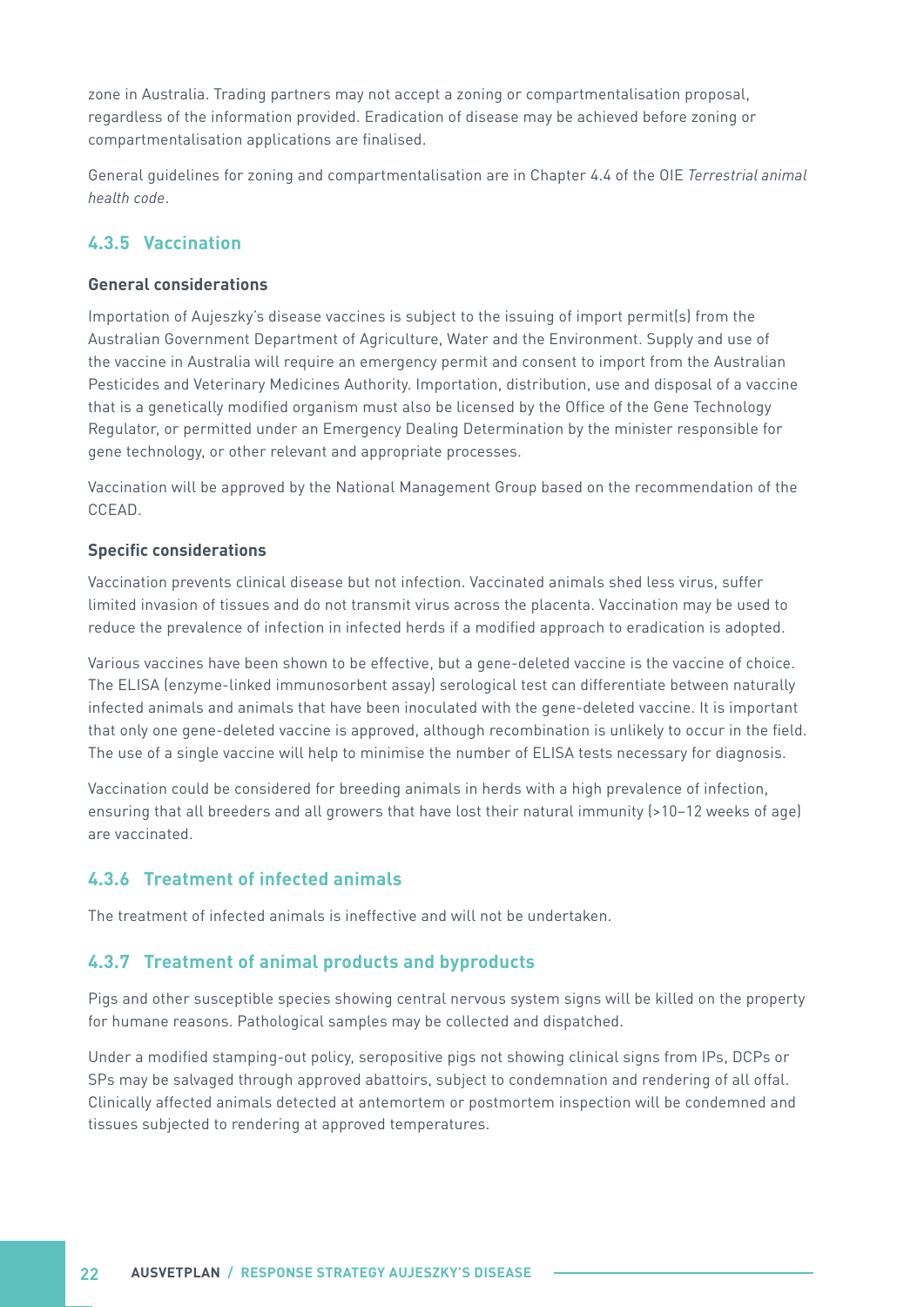<span id="page-27-0"></span>zone in Australia. Trading partners may not accept a zoning or compartmentalisation proposal, regardless of the information provided. Eradication of disease may be achieved before zoning or compartmentalisation applications are finalised.

General guidelines for zoning and compartmentalisation are in Chapter 4.4 of the OIE *Terrestrial animal health code*.

#### **4.3.5 Vaccination**

#### **General considerations**

Importation of Aujeszky's disease vaccines is subject to the issuing of import permit(s) from the Australian Government Department of Agriculture, Water and the Environment. Supply and use of the vaccine in Australia will require an emergency permit and consent to import from the Australian Pesticides and Veterinary Medicines Authority. Importation, distribution, use and disposal of a vaccine that is a genetically modified organism must also be licensed by the Office of the Gene Technology Regulator, or permitted under an Emergency Dealing Determination by the minister responsible for gene technology, or other relevant and appropriate processes.

Vaccination will be approved by the National Management Group based on the recommendation of the CCEAD.

#### **Specific considerations**

Vaccination prevents clinical disease but not infection. Vaccinated animals shed less virus, suffer limited invasion of tissues and do not transmit virus across the placenta. Vaccination may be used to reduce the prevalence of infection in infected herds if a modified approach to eradication is adopted.

Various vaccines have been shown to be effective, but a gene-deleted vaccine is the vaccine of choice. The ELISA (enzyme-linked immunosorbent assay) serological test can differentiate between naturally infected animals and animals that have been inoculated with the gene-deleted vaccine. It is important that only one gene-deleted vaccine is approved, although recombination is unlikely to occur in the field. The use of a single vaccine will help to minimise the number of ELISA tests necessary for diagnosis.

Vaccination could be considered for breeding animals in herds with a high prevalence of infection, ensuring that all breeders and all growers that have lost their natural immunity (>10–12 weeks of age) are vaccinated.

#### **4.3.6 Treatment of infected animals**

The treatment of infected animals is ineffective and will not be undertaken.

#### **4.3.7 Treatment of animal products and byproducts**

Pigs and other susceptible species showing central nervous system signs will be killed on the property for humane reasons. Pathological samples may be collected and dispatched.

Under a modified stamping-out policy, seropositive pigs not showing clinical signs from IPs, DCPs or SPs may be salvaged through approved abattoirs, subject to condemnation and rendering of all offal. Clinically affected animals detected at antemortem or postmortem inspection will be condemned and tissues subjected to rendering at approved temperatures.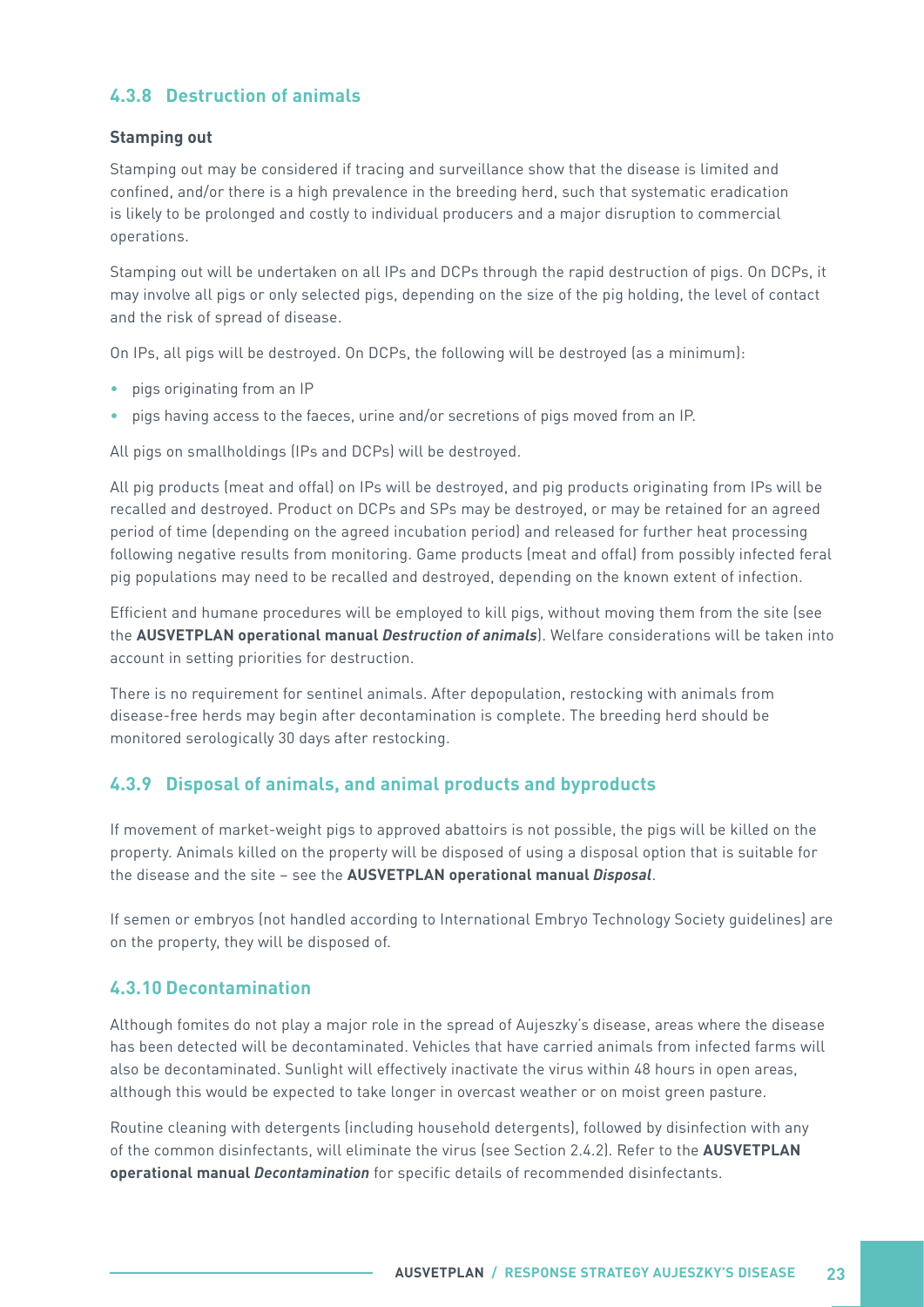#### <span id="page-28-0"></span>**4.3.8 Destruction of animals**

#### **Stamping out**

Stamping out may be considered if tracing and surveillance show that the disease is limited and confined, and/or there is a high prevalence in the breeding herd, such that systematic eradication is likely to be prolonged and costly to individual producers and a major disruption to commercial operations.

Stamping out will be undertaken on all IPs and DCPs through the rapid destruction of pigs. On DCPs, it may involve all pigs or only selected pigs, depending on the size of the pig holding, the level of contact and the risk of spread of disease.

On IPs, all pigs will be destroyed. On DCPs, the following will be destroyed (as a minimum):

- pigs originating from an IP
- pigs having access to the faeces, urine and/or secretions of pigs moved from an IP.

All pigs on smallholdings (IPs and DCPs) will be destroyed.

All pig products (meat and offal) on IPs will be destroyed, and pig products originating from IPs will be recalled and destroyed. Product on DCPs and SPs may be destroyed, or may be retained for an agreed period of time (depending on the agreed incubation period) and released for further heat processing following negative results from monitoring. Game products (meat and offal) from possibly infected feral pig populations may need to be recalled and destroyed, depending on the known extent of infection.

Efficient and humane procedures will be employed to kill pigs, without moving them from the site (see the **AUSVETPLAN operational manual Destruction of animals**). Welfare considerations will be taken into account in setting priorities for destruction.

There is no requirement for sentinel animals. After depopulation, restocking with animals from disease-free herds may begin after decontamination is complete. The breeding herd should be monitored serologically 30 days after restocking.

#### **4.3.9 Disposal of animals, and animal products and byproducts**

If movement of market-weight pigs to approved abattoirs is not possible, the pigs will be killed on the property. Animals killed on the property will be disposed of using a disposal option that is suitable for the disease and the site – see the **AUSVETPLAN operational manual Disposal**.

If semen or embryos (not handled according to International Embryo Technology Society guidelines) are on the property, they will be disposed of.

#### **4.3.10 Decontamination**

Although fomites do not play a major role in the spread of Aujeszky's disease, areas where the disease has been detected will be decontaminated. Vehicles that have carried animals from infected farms will also be decontaminated. Sunlight will effectively inactivate the virus within 48 hours in open areas, although this would be expected to take longer in overcast weather or on moist green pasture.

Routine cleaning with detergents (including household detergents), followed by disinfection with any of the common disinfectants, will eliminate the virus (see Section 2.4.2). Refer to the **AUSVETPLAN operational manual Decontamination** for specific details of recommended disinfectants.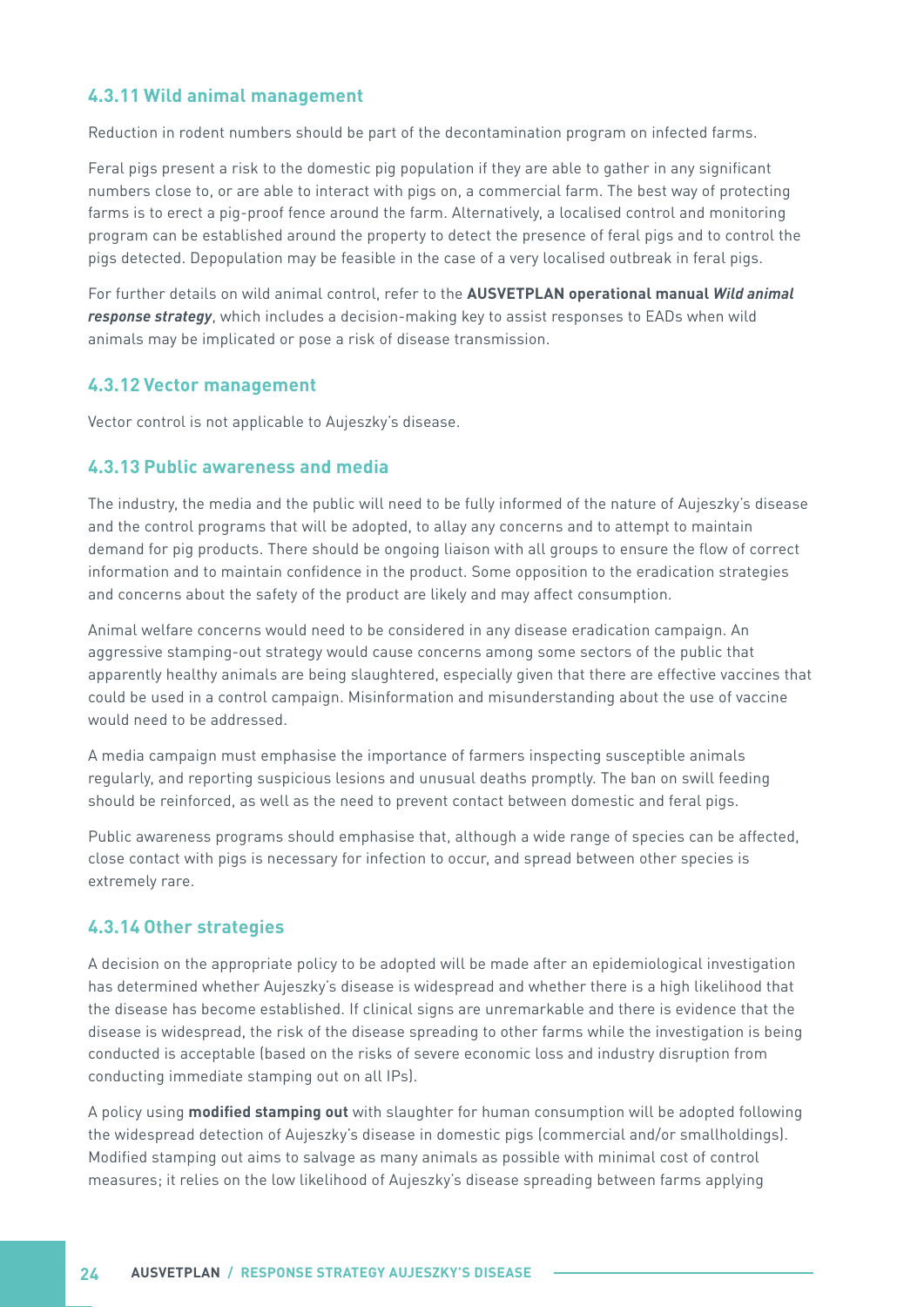#### <span id="page-29-0"></span>**4.3.11 Wild animal management**

Reduction in rodent numbers should be part of the decontamination program on infected farms.

Feral pigs present a risk to the domestic pig population if they are able to gather in any significant numbers close to, or are able to interact with pigs on, a commercial farm. The best way of protecting farms is to erect a pig-proof fence around the farm. Alternatively, a localised control and monitoring program can be established around the property to detect the presence of feral pigs and to control the pigs detected. Depopulation may be feasible in the case of a very localised outbreak in feral pigs.

For further details on wild animal control, refer to the **AUSVETPLAN operational manual Wild animal response strategy**, which includes a decision-making key to assist responses to EADs when wild animals may be implicated or pose a risk of disease transmission.

#### **4.3.12 Vector management**

Vector control is not applicable to Aujeszky's disease.

#### **4.3.13 Public awareness and media**

The industry, the media and the public will need to be fully informed of the nature of Aujeszky's disease and the control programs that will be adopted, to allay any concerns and to attempt to maintain demand for pig products. There should be ongoing liaison with all groups to ensure the flow of correct information and to maintain confidence in the product. Some opposition to the eradication strategies and concerns about the safety of the product are likely and may affect consumption.

Animal welfare concerns would need to be considered in any disease eradication campaign. An aggressive stamping-out strategy would cause concerns among some sectors of the public that apparently healthy animals are being slaughtered, especially given that there are effective vaccines that could be used in a control campaign. Misinformation and misunderstanding about the use of vaccine would need to be addressed.

A media campaign must emphasise the importance of farmers inspecting susceptible animals regularly, and reporting suspicious lesions and unusual deaths promptly. The ban on swill feeding should be reinforced, as well as the need to prevent contact between domestic and feral pigs.

Public awareness programs should emphasise that, although a wide range of species can be affected, close contact with pigs is necessary for infection to occur, and spread between other species is extremely rare.

#### **4.3.14 Other strategies**

A decision on the appropriate policy to be adopted will be made after an epidemiological investigation has determined whether Aujeszky's disease is widespread and whether there is a high likelihood that the disease has become established. If clinical signs are unremarkable and there is evidence that the disease is widespread, the risk of the disease spreading to other farms while the investigation is being conducted is acceptable (based on the risks of severe economic loss and industry disruption from conducting immediate stamping out on all IPs).

A policy using **modified stamping out** with slaughter for human consumption will be adopted following the widespread detection of Aujeszky's disease in domestic pigs (commercial and/or smallholdings). Modified stamping out aims to salvage as many animals as possible with minimal cost of control measures; it relies on the low likelihood of Aujeszky's disease spreading between farms applying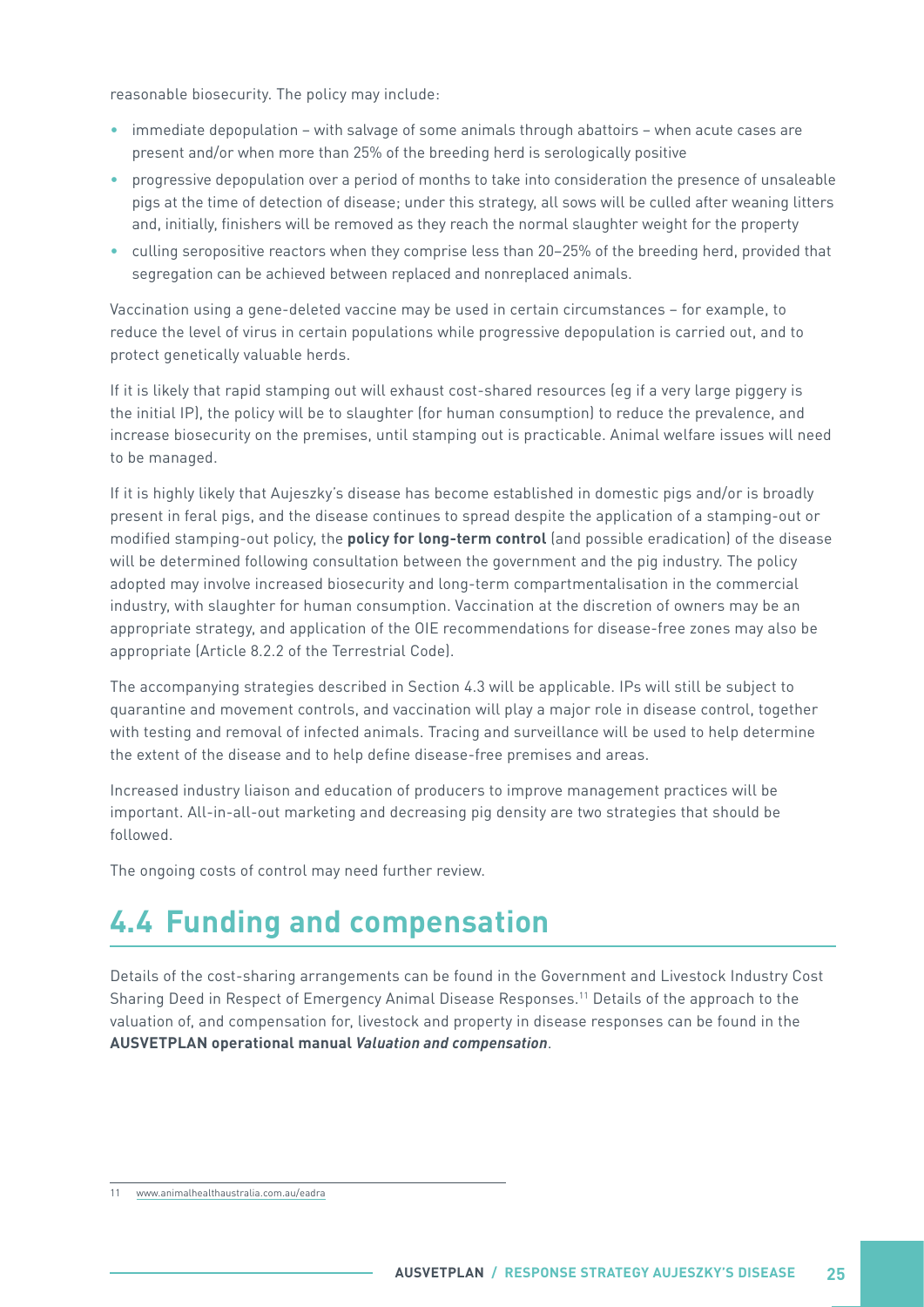<span id="page-30-0"></span>reasonable biosecurity. The policy may include:

- immediate depopulation with salvage of some animals through abattoirs when acute cases are present and/or when more than 25% of the breeding herd is serologically positive
- progressive depopulation over a period of months to take into consideration the presence of unsaleable pigs at the time of detection of disease; under this strategy, all sows will be culled after weaning litters and, initially, finishers will be removed as they reach the normal slaughter weight for the property
- culling seropositive reactors when they comprise less than 20–25% of the breeding herd, provided that segregation can be achieved between replaced and nonreplaced animals.

Vaccination using a gene-deleted vaccine may be used in certain circumstances – for example, to reduce the level of virus in certain populations while progressive depopulation is carried out, and to protect genetically valuable herds.

If it is likely that rapid stamping out will exhaust cost-shared resources (eg if a very large piggery is the initial IP), the policy will be to slaughter (for human consumption) to reduce the prevalence, and increase biosecurity on the premises, until stamping out is practicable. Animal welfare issues will need to be managed.

If it is highly likely that Aujeszky's disease has become established in domestic pigs and/or is broadly present in feral pigs, and the disease continues to spread despite the application of a stamping-out or modified stamping-out policy, the **policy for long-term control** (and possible eradication) of the disease will be determined following consultation between the government and the pig industry. The policy adopted may involve increased biosecurity and long-term compartmentalisation in the commercial industry, with slaughter for human consumption. Vaccination at the discretion of owners may be an appropriate strategy, and application of the OIE recommendations for disease-free zones may also be appropriate (Article 8.2.2 of the Terrestrial Code).

The accompanying strategies described in Section 4.3 will be applicable. IPs will still be subject to quarantine and movement controls, and vaccination will play a major role in disease control, together with testing and removal of infected animals. Tracing and surveillance will be used to help determine the extent of the disease and to help define disease-free premises and areas.

Increased industry liaison and education of producers to improve management practices will be important. All-in-all-out marketing and decreasing pig density are two strategies that should be followed.

The ongoing costs of control may need further review.

## **4.4 Funding and compensation**

Details of the cost-sharing arrangements can be found in the Government and Livestock Industry Cost Sharing Deed in Respect of Emergency Animal Disease Responses.11 Details of the approach to the valuation of, and compensation for, livestock and property in disease responses can be found in the **AUSVETPLAN operational manual Valuation and compensation**.

<sup>11</sup> [www.animalhealthaustralia.com.au/eadra](https://animalhealthaustralia.com.au/eadra/)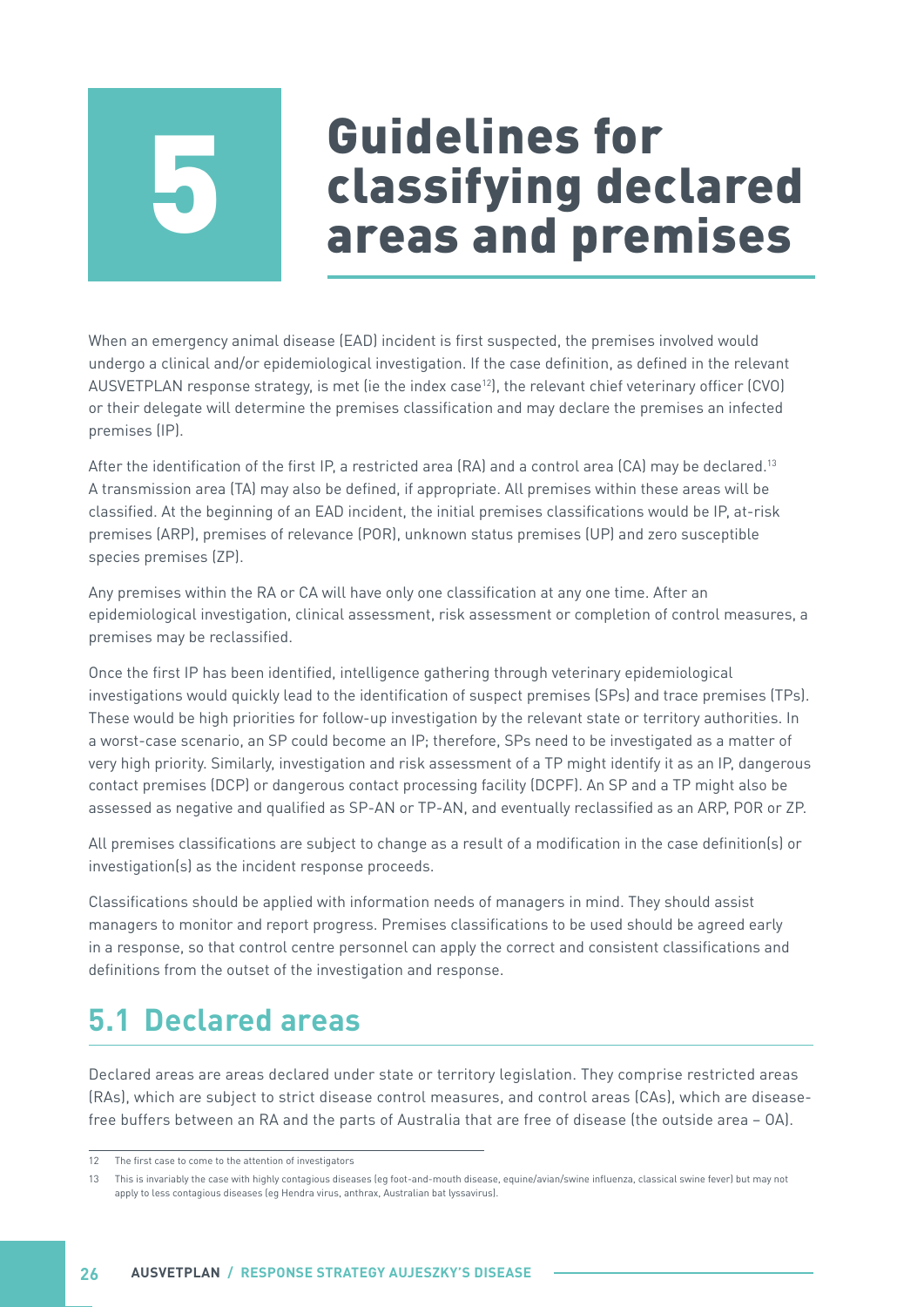# <span id="page-31-0"></span>Guidelines for classifying declared 5 areas and premises

When an emergency animal disease (EAD) incident is first suspected, the premises involved would undergo a clinical and/or epidemiological investigation. If the case definition, as defined in the relevant AUSVETPLAN response strategy, is met (ie the index case<sup>12</sup>), the relevant chief veterinary officer (CVO) or their delegate will determine the premises classification and may declare the premises an infected premises (IP).

After the identification of the first IP, a restricted area (RA) and a control area (CA) may be declared.<sup>13</sup> A transmission area (TA) may also be defined, if appropriate. All premises within these areas will be classified. At the beginning of an EAD incident, the initial premises classifications would be IP, at-risk premises (ARP), premises of relevance (POR), unknown status premises (UP) and zero susceptible species premises (ZP).

Any premises within the RA or CA will have only one classification at any one time. After an epidemiological investigation, clinical assessment, risk assessment or completion of control measures, a premises may be reclassified.

Once the first IP has been identified, intelligence gathering through veterinary epidemiological investigations would quickly lead to the identification of suspect premises (SPs) and trace premises (TPs). These would be high priorities for follow-up investigation by the relevant state or territory authorities. In a worst-case scenario, an SP could become an IP; therefore, SPs need to be investigated as a matter of very high priority. Similarly, investigation and risk assessment of a TP might identify it as an IP, dangerous contact premises (DCP) or dangerous contact processing facility (DCPF). An SP and a TP might also be assessed as negative and qualified as SP-AN or TP-AN, and eventually reclassified as an ARP, POR or ZP.

All premises classifications are subject to change as a result of a modification in the case definition(s) or investigation(s) as the incident response proceeds.

Classifications should be applied with information needs of managers in mind. They should assist managers to monitor and report progress. Premises classifications to be used should be agreed early in a response, so that control centre personnel can apply the correct and consistent classifications and definitions from the outset of the investigation and response.

## **5.1 Declared areas**

Declared areas are areas declared under state or territory legislation. They comprise restricted areas (RAs), which are subject to strict disease control measures, and control areas (CAs), which are diseasefree buffers between an RA and the parts of Australia that are free of disease (the outside area – OA).

<sup>12</sup> The first case to come to the attention of investigators

<sup>13</sup> This is invariably the case with highly contagious diseases (eg foot-and-mouth disease, equine/avian/swine influenza, classical swine fever) but may not apply to less contagious diseases (eg Hendra virus, anthrax, Australian bat lyssavirus).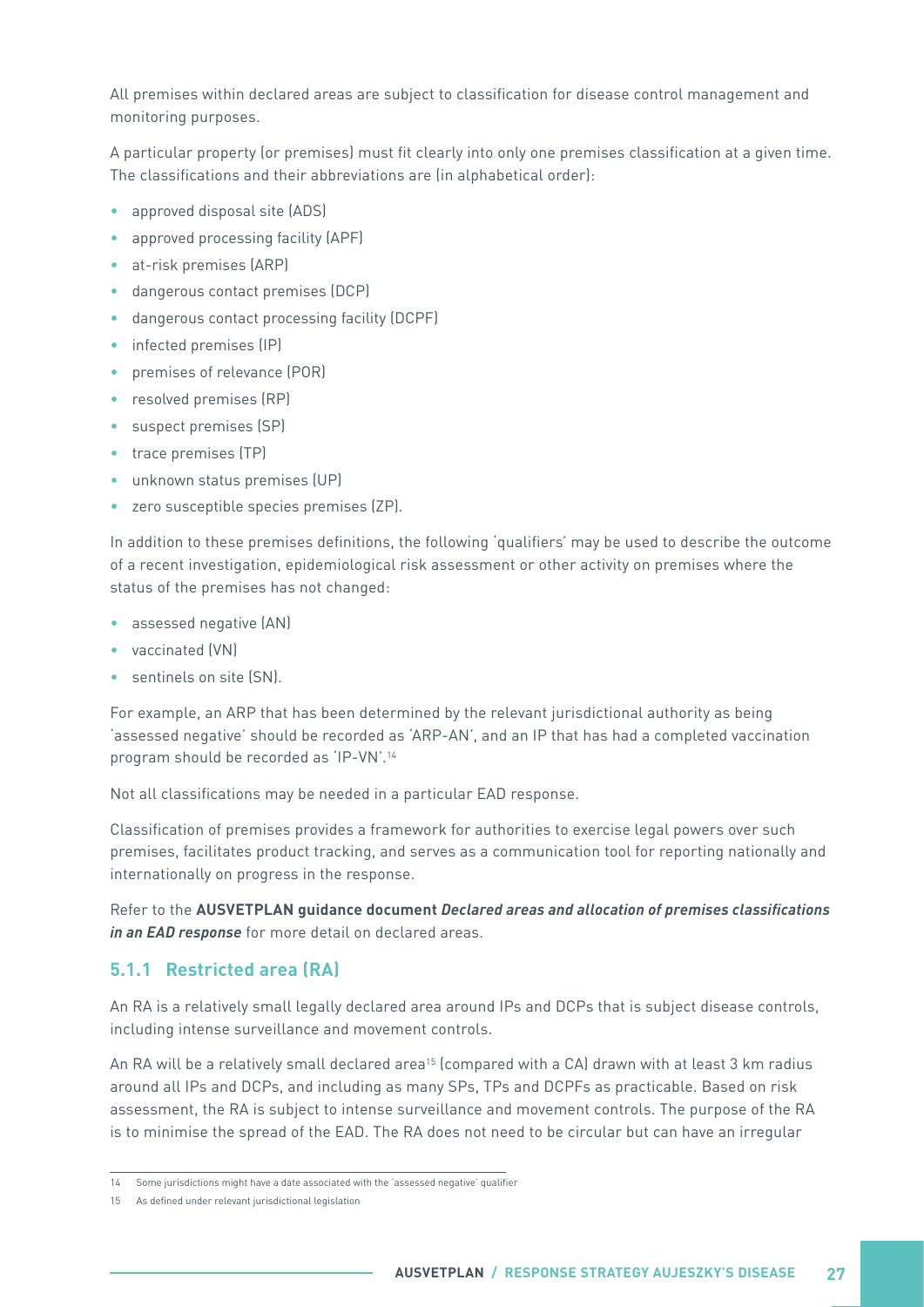<span id="page-32-0"></span>All premises within declared areas are subject to classification for disease control management and monitoring purposes.

A particular property (or premises) must fit clearly into only one premises classification at a given time. The classifications and their abbreviations are (in alphabetical order):

- approved disposal site (ADS)
- approved processing facility (APF)
- at-risk premises (ARP)
- dangerous contact premises (DCP)
- dangerous contact processing facility (DCPF)
- infected premises (IP)
- premises of relevance (POR)
- resolved premises (RP)
- suspect premises (SP)
- trace premises (TP)
- unknown status premises (UP)
- zero susceptible species premises (ZP).

In addition to these premises definitions, the following 'qualifiers' may be used to describe the outcome of a recent investigation, epidemiological risk assessment or other activity on premises where the status of the premises has not changed:

- assessed negative (AN)
- vaccinated (VN)
- sentinels on site (SN).

For example, an ARP that has been determined by the relevant jurisdictional authority as being 'assessed negative' should be recorded as 'ARP-AN', and an IP that has had a completed vaccination program should be recorded as 'IP-VN'.14

Not all classifications may be needed in a particular EAD response.

Classification of premises provides a framework for authorities to exercise legal powers over such premises, facilitates product tracking, and serves as a communication tool for reporting nationally and internationally on progress in the response.

Refer to the **AUSVETPLAN guidance document Declared areas and allocation of premises classifications in an EAD response** for more detail on declared areas.

#### **5.1.1 Restricted area (RA)**

An RA is a relatively small legally declared area around IPs and DCPs that is subject disease controls, including intense surveillance and movement controls.

An RA will be a relatively small declared area<sup>15</sup> (compared with a CA) drawn with at least 3 km radius around all IPs and DCPs, and including as many SPs, TPs and DCPFs as practicable. Based on risk assessment, the RA is subject to intense surveillance and movement controls. The purpose of the RA is to minimise the spread of the EAD. The RA does not need to be circular but can have an irregular

<sup>14</sup> Some jurisdictions might have a date associated with the 'assessed negative' qualifier

<sup>15</sup> As defined under relevant jurisdictional legislation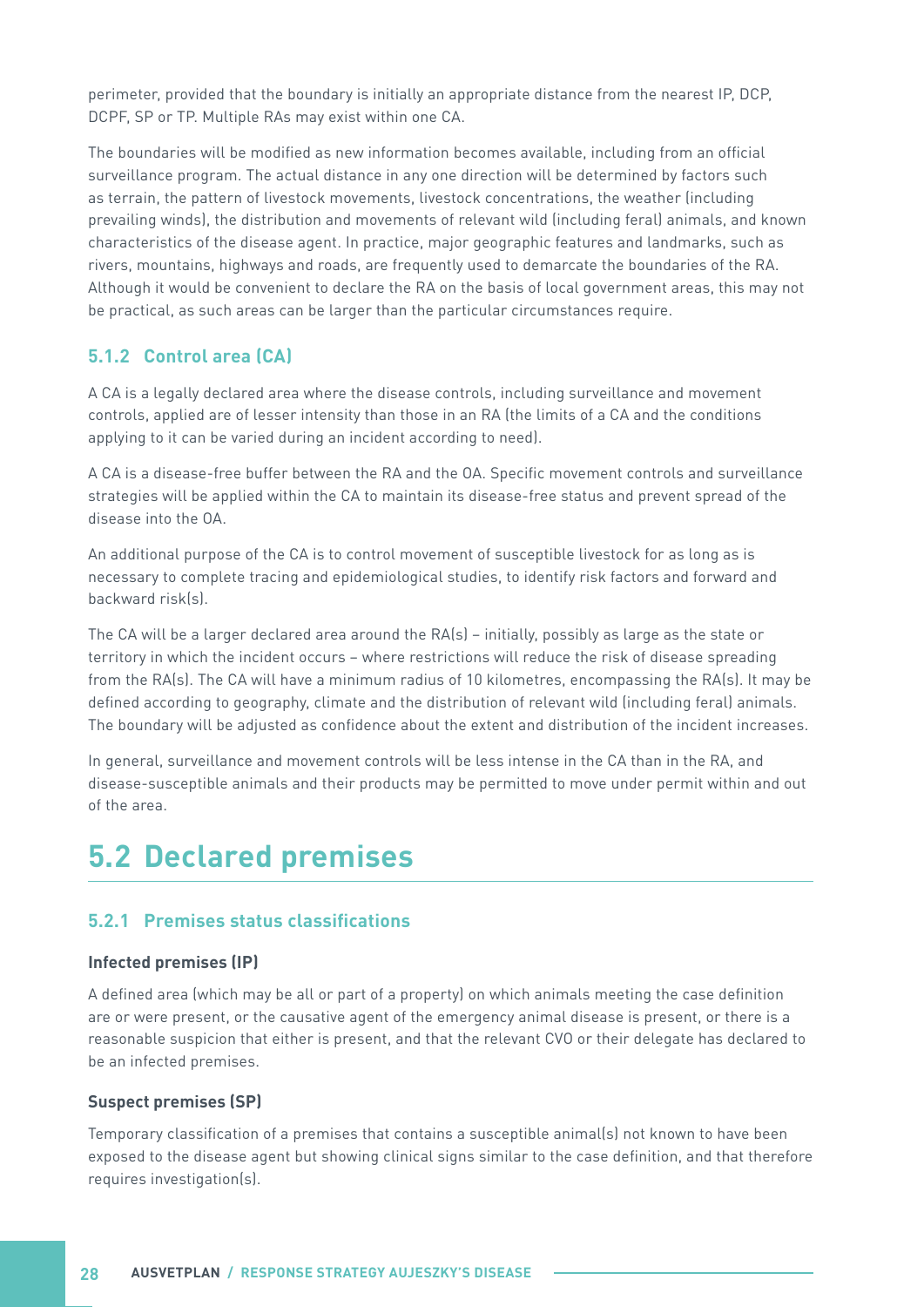<span id="page-33-0"></span>perimeter, provided that the boundary is initially an appropriate distance from the nearest IP, DCP, DCPF, SP or TP. Multiple RAs may exist within one CA.

The boundaries will be modified as new information becomes available, including from an official surveillance program. The actual distance in any one direction will be determined by factors such as terrain, the pattern of livestock movements, livestock concentrations, the weather (including prevailing winds), the distribution and movements of relevant wild (including feral) animals, and known characteristics of the disease agent. In practice, major geographic features and landmarks, such as rivers, mountains, highways and roads, are frequently used to demarcate the boundaries of the RA. Although it would be convenient to declare the RA on the basis of local government areas, this may not be practical, as such areas can be larger than the particular circumstances require.

#### **5.1.2 Control area (CA)**

A CA is a legally declared area where the disease controls, including surveillance and movement controls, applied are of lesser intensity than those in an RA (the limits of a CA and the conditions applying to it can be varied during an incident according to need).

A CA is a disease-free buffer between the RA and the OA. Specific movement controls and surveillance strategies will be applied within the CA to maintain its disease-free status and prevent spread of the disease into the OA.

An additional purpose of the CA is to control movement of susceptible livestock for as long as is necessary to complete tracing and epidemiological studies, to identify risk factors and forward and backward risk(s).

The CA will be a larger declared area around the RA(s) – initially, possibly as large as the state or territory in which the incident occurs – where restrictions will reduce the risk of disease spreading from the RA(s). The CA will have a minimum radius of 10 kilometres, encompassing the RA(s). It may be defined according to geography, climate and the distribution of relevant wild (including feral) animals. The boundary will be adjusted as confidence about the extent and distribution of the incident increases.

In general, surveillance and movement controls will be less intense in the CA than in the RA, and disease-susceptible animals and their products may be permitted to move under permit within and out of the area.

### **5.2 Declared premises**

#### **5.2.1 Premises status classifications**

#### **Infected premises (IP)**

A defined area (which may be all or part of a property) on which animals meeting the case definition are or were present, or the causative agent of the emergency animal disease is present, or there is a reasonable suspicion that either is present, and that the relevant CVO or their delegate has declared to be an infected premises.

#### **Suspect premises (SP)**

Temporary classification of a premises that contains a susceptible animal(s) not known to have been exposed to the disease agent but showing clinical signs similar to the case definition, and that therefore requires investigation(s).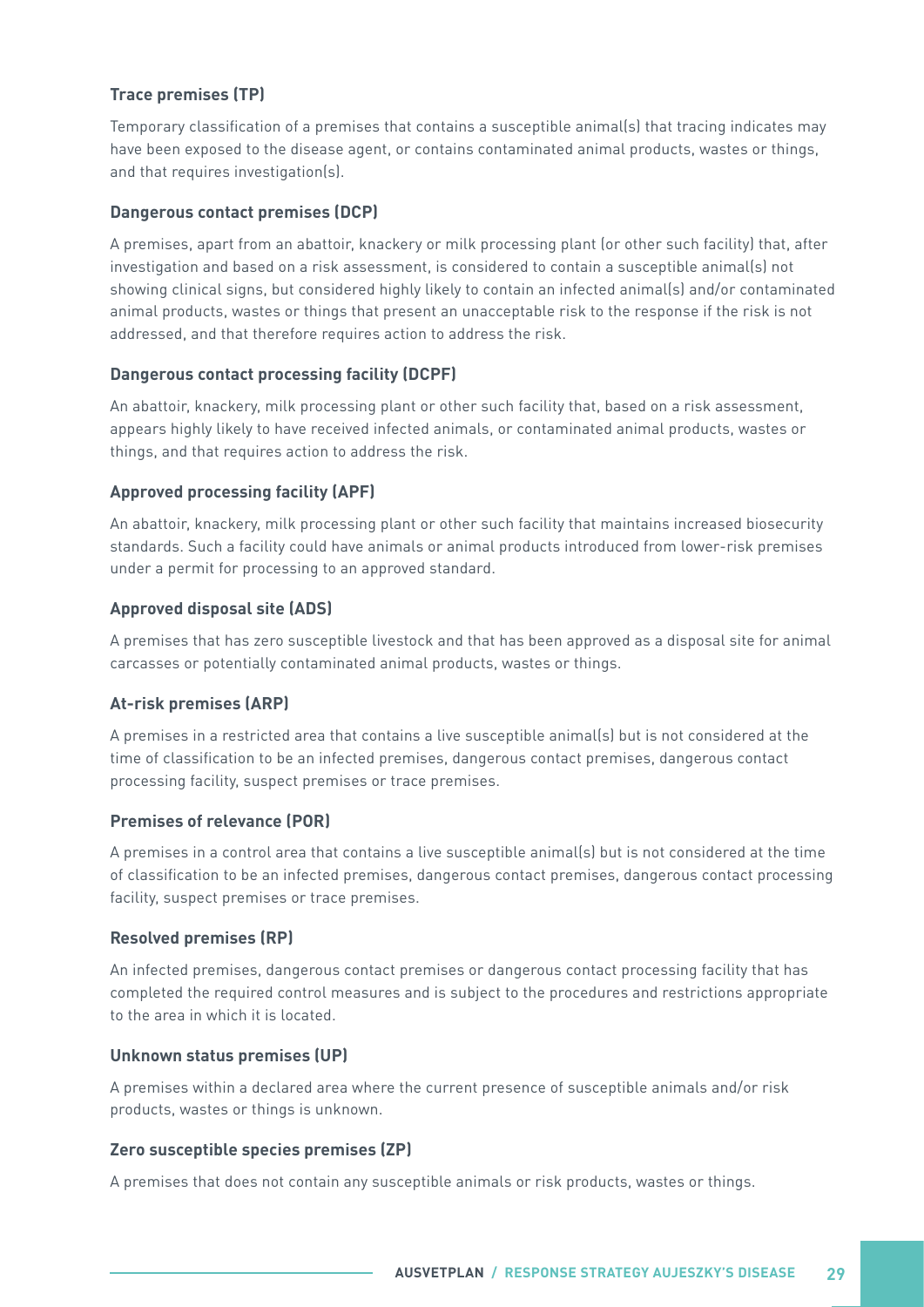#### **Trace premises (TP)**

Temporary classification of a premises that contains a susceptible animal(s) that tracing indicates may have been exposed to the disease agent, or contains contaminated animal products, wastes or things, and that requires investigation(s).

#### **Dangerous contact premises (DCP)**

A premises, apart from an abattoir, knackery or milk processing plant (or other such facility) that, after investigation and based on a risk assessment, is considered to contain a susceptible animal(s) not showing clinical signs, but considered highly likely to contain an infected animal(s) and/or contaminated animal products, wastes or things that present an unacceptable risk to the response if the risk is not addressed, and that therefore requires action to address the risk.

#### **Dangerous contact processing facility (DCPF)**

An abattoir, knackery, milk processing plant or other such facility that, based on a risk assessment, appears highly likely to have received infected animals, or contaminated animal products, wastes or things, and that requires action to address the risk.

#### **Approved processing facility (APF)**

An abattoir, knackery, milk processing plant or other such facility that maintains increased biosecurity standards. Such a facility could have animals or animal products introduced from lower-risk premises under a permit for processing to an approved standard.

#### **Approved disposal site (ADS)**

A premises that has zero susceptible livestock and that has been approved as a disposal site for animal carcasses or potentially contaminated animal products, wastes or things.

#### **At-risk premises (ARP)**

A premises in a restricted area that contains a live susceptible animal(s) but is not considered at the time of classification to be an infected premises, dangerous contact premises, dangerous contact processing facility, suspect premises or trace premises.

#### **Premises of relevance (POR)**

A premises in a control area that contains a live susceptible animal(s) but is not considered at the time of classification to be an infected premises, dangerous contact premises, dangerous contact processing facility, suspect premises or trace premises.

#### **Resolved premises (RP)**

An infected premises, dangerous contact premises or dangerous contact processing facility that has completed the required control measures and is subject to the procedures and restrictions appropriate to the area in which it is located.

#### **Unknown status premises (UP)**

A premises within a declared area where the current presence of susceptible animals and/or risk products, wastes or things is unknown.

#### **Zero susceptible species premises (ZP)**

A premises that does not contain any susceptible animals or risk products, wastes or things.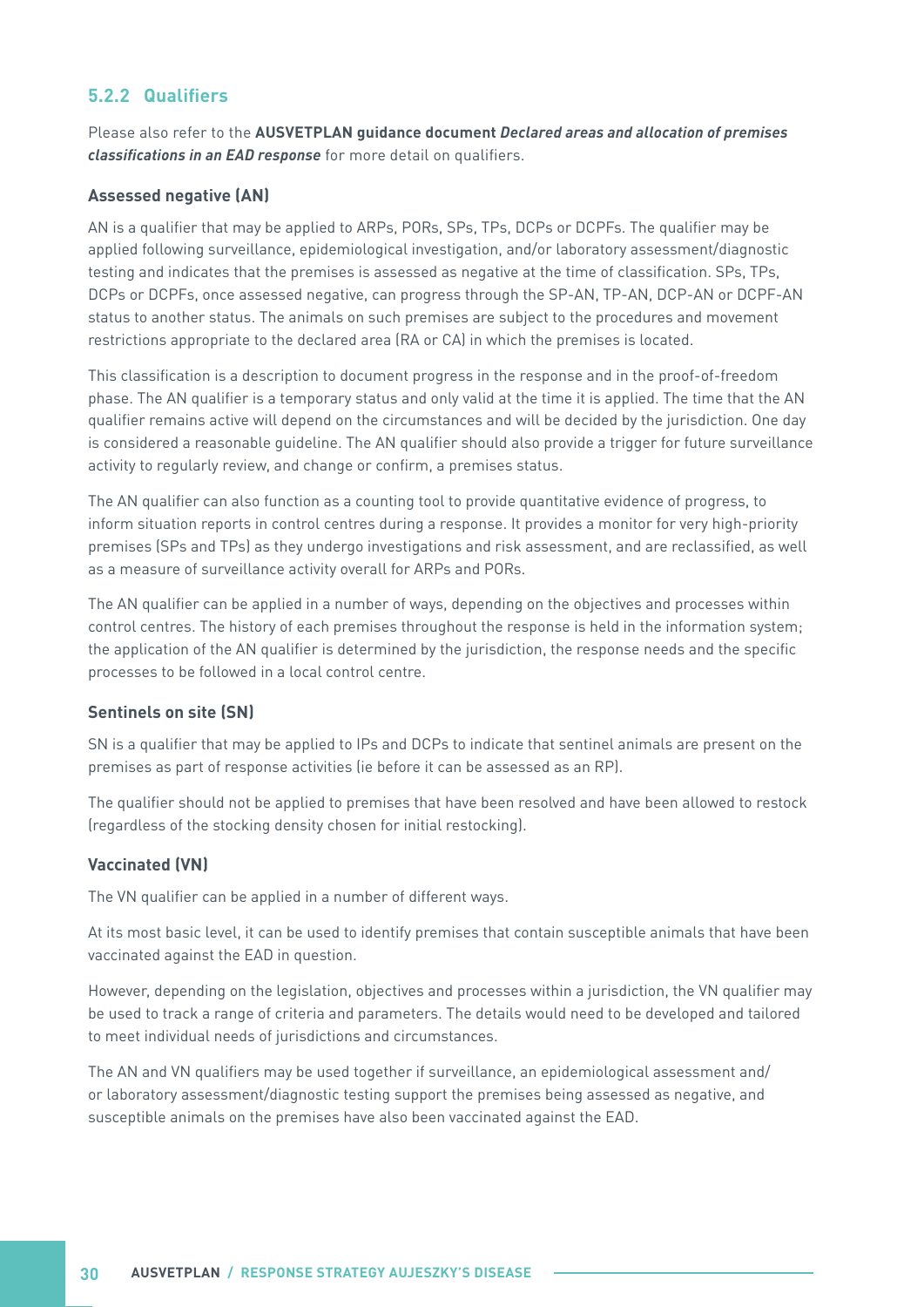#### <span id="page-35-0"></span>**5.2.2 Qualifiers**

Please also refer to the **AUSVETPLAN guidance document Declared areas and allocation of premises classifications in an EAD response** for more detail on qualifiers.

#### **Assessed negative (AN)**

AN is a qualifier that may be applied to ARPs, PORs, SPs, TPs, DCPs or DCPFs. The qualifier may be applied following surveillance, epidemiological investigation, and/or laboratory assessment/diagnostic testing and indicates that the premises is assessed as negative at the time of classification. SPs, TPs, DCPs or DCPFs, once assessed negative, can progress through the SP-AN, TP-AN, DCP-AN or DCPF-AN status to another status. The animals on such premises are subject to the procedures and movement restrictions appropriate to the declared area (RA or CA) in which the premises is located.

This classification is a description to document progress in the response and in the proof-of-freedom phase. The AN qualifier is a temporary status and only valid at the time it is applied. The time that the AN qualifier remains active will depend on the circumstances and will be decided by the jurisdiction. One day is considered a reasonable guideline. The AN qualifier should also provide a trigger for future surveillance activity to regularly review, and change or confirm, a premises status.

The AN qualifier can also function as a counting tool to provide quantitative evidence of progress, to inform situation reports in control centres during a response. It provides a monitor for very high-priority premises (SPs and TPs) as they undergo investigations and risk assessment, and are reclassified, as well as a measure of surveillance activity overall for ARPs and PORs.

The AN qualifier can be applied in a number of ways, depending on the objectives and processes within control centres. The history of each premises throughout the response is held in the information system; the application of the AN qualifier is determined by the jurisdiction, the response needs and the specific processes to be followed in a local control centre.

#### **Sentinels on site (SN)**

SN is a qualifier that may be applied to IPs and DCPs to indicate that sentinel animals are present on the premises as part of response activities (ie before it can be assessed as an RP).

The qualifier should not be applied to premises that have been resolved and have been allowed to restock (regardless of the stocking density chosen for initial restocking).

#### **Vaccinated (VN)**

The VN qualifier can be applied in a number of different ways.

At its most basic level, it can be used to identify premises that contain susceptible animals that have been vaccinated against the EAD in question.

However, depending on the legislation, objectives and processes within a jurisdiction, the VN qualifier may be used to track a range of criteria and parameters. The details would need to be developed and tailored to meet individual needs of jurisdictions and circumstances.

The AN and VN qualifiers may be used together if surveillance, an epidemiological assessment and/ or laboratory assessment/diagnostic testing support the premises being assessed as negative, and susceptible animals on the premises have also been vaccinated against the EAD.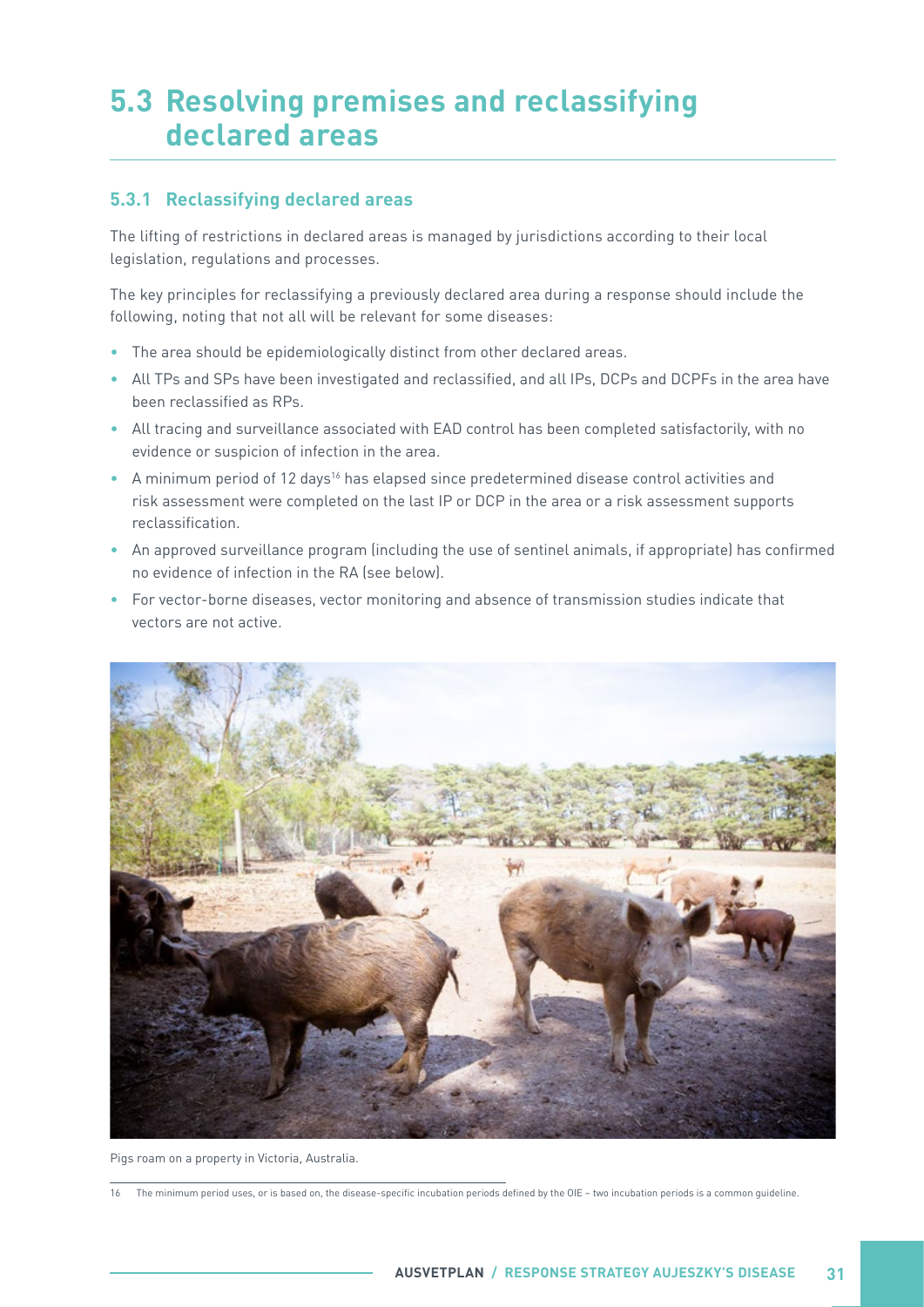### <span id="page-36-0"></span>**5.3 Resolving premises and reclassifying declared areas**

#### **5.3.1 Reclassifying declared areas**

The lifting of restrictions in declared areas is managed by jurisdictions according to their local legislation, regulations and processes.

The key principles for reclassifying a previously declared area during a response should include the following, noting that not all will be relevant for some diseases:

- The area should be epidemiologically distinct from other declared areas.
- All TPs and SPs have been investigated and reclassified, and all IPs, DCPs and DCPFs in the area have been reclassified as RPs.
- All tracing and surveillance associated with EAD control has been completed satisfactorily, with no evidence or suspicion of infection in the area.
- A minimum period of 12 days16 has elapsed since predetermined disease control activities and risk assessment were completed on the last IP or DCP in the area or a risk assessment supports reclassification.
- An approved surveillance program (including the use of sentinel animals, if appropriate) has confirmed no evidence of infection in the RA (see below).
- For vector-borne diseases, vector monitoring and absence of transmission studies indicate that vectors are not active.



Pigs roam on a property in Victoria, Australia.

<sup>16</sup> The minimum period uses, or is based on, the disease-specific incubation periods defined by the OIE – two incubation periods is a common guideline.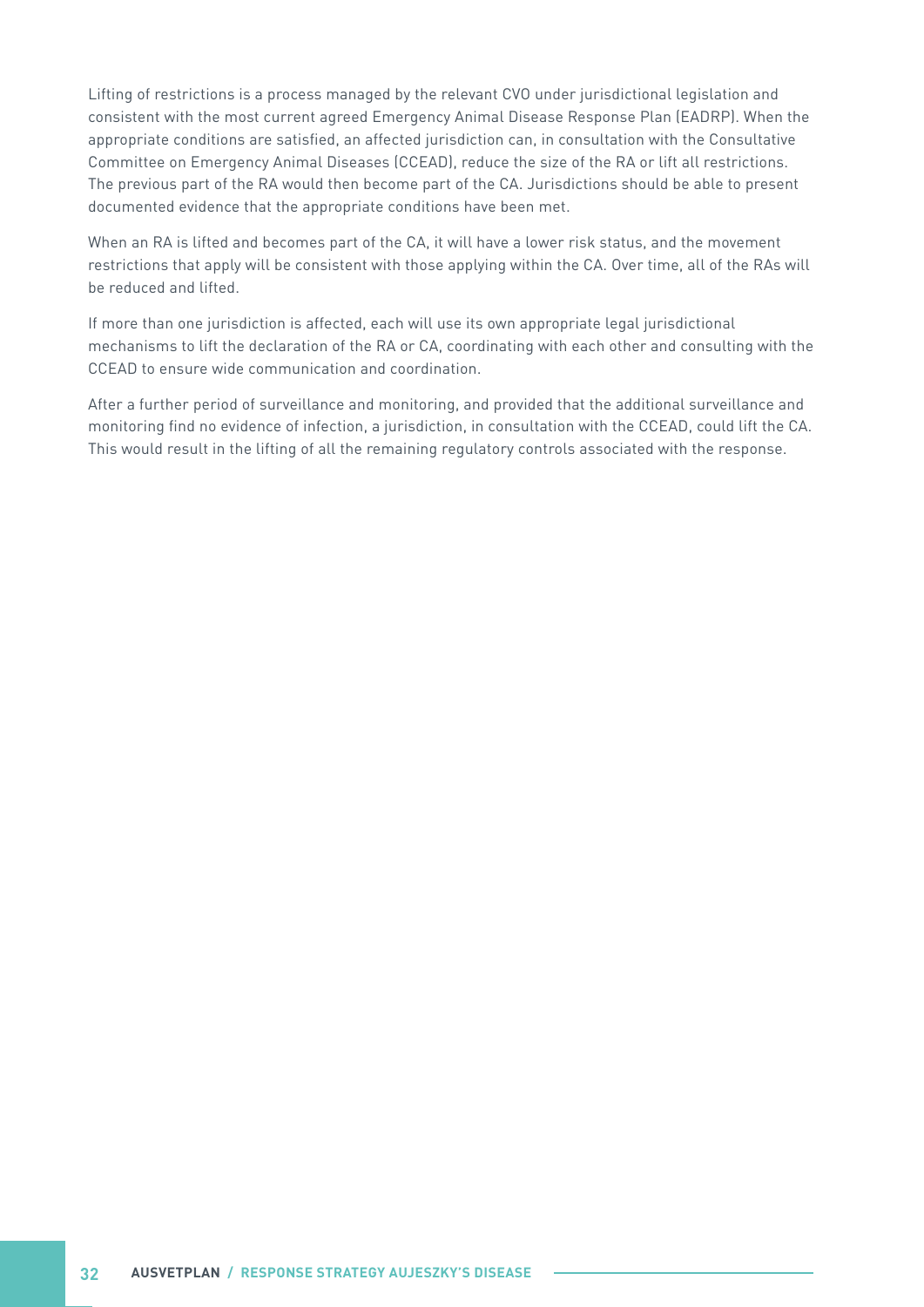Lifting of restrictions is a process managed by the relevant CVO under jurisdictional legislation and consistent with the most current agreed Emergency Animal Disease Response Plan (EADRP). When the appropriate conditions are satisfied, an affected jurisdiction can, in consultation with the Consultative Committee on Emergency Animal Diseases (CCEAD), reduce the size of the RA or lift all restrictions. The previous part of the RA would then become part of the CA. Jurisdictions should be able to present documented evidence that the appropriate conditions have been met.

When an RA is lifted and becomes part of the CA, it will have a lower risk status, and the movement restrictions that apply will be consistent with those applying within the CA. Over time, all of the RAs will be reduced and lifted.

If more than one jurisdiction is affected, each will use its own appropriate legal jurisdictional mechanisms to lift the declaration of the RA or CA, coordinating with each other and consulting with the CCEAD to ensure wide communication and coordination.

After a further period of surveillance and monitoring, and provided that the additional surveillance and monitoring find no evidence of infection, a jurisdiction, in consultation with the CCEAD, could lift the CA. This would result in the lifting of all the remaining regulatory controls associated with the response.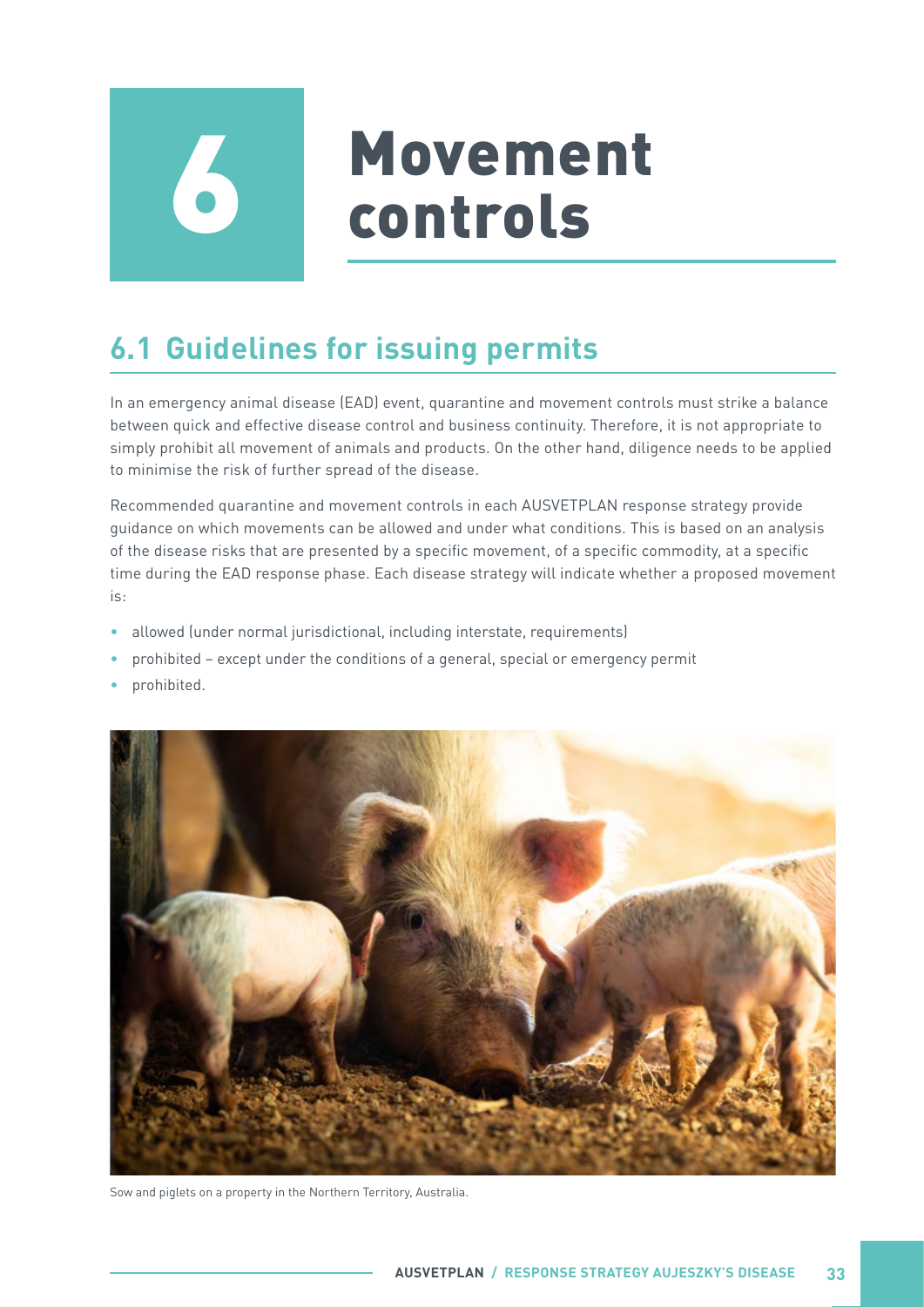<span id="page-38-0"></span>

# **6 Movement**<br> **6 Controls**

# **6.1 Guidelines for issuing permits**

In an emergency animal disease (EAD) event, quarantine and movement controls must strike a balance between quick and effective disease control and business continuity. Therefore, it is not appropriate to simply prohibit all movement of animals and products. On the other hand, diligence needs to be applied to minimise the risk of further spread of the disease.

Recommended quarantine and movement controls in each AUSVETPLAN response strategy provide guidance on which movements can be allowed and under what conditions. This is based on an analysis of the disease risks that are presented by a specific movement, of a specific commodity, at a specific time during the EAD response phase. Each disease strategy will indicate whether a proposed movement is:

- allowed (under normal jurisdictional, including interstate, requirements)
- prohibited except under the conditions of a general, special or emergency permit
- prohibited.



Sow and piglets on a property in the Northern Territory, Australia.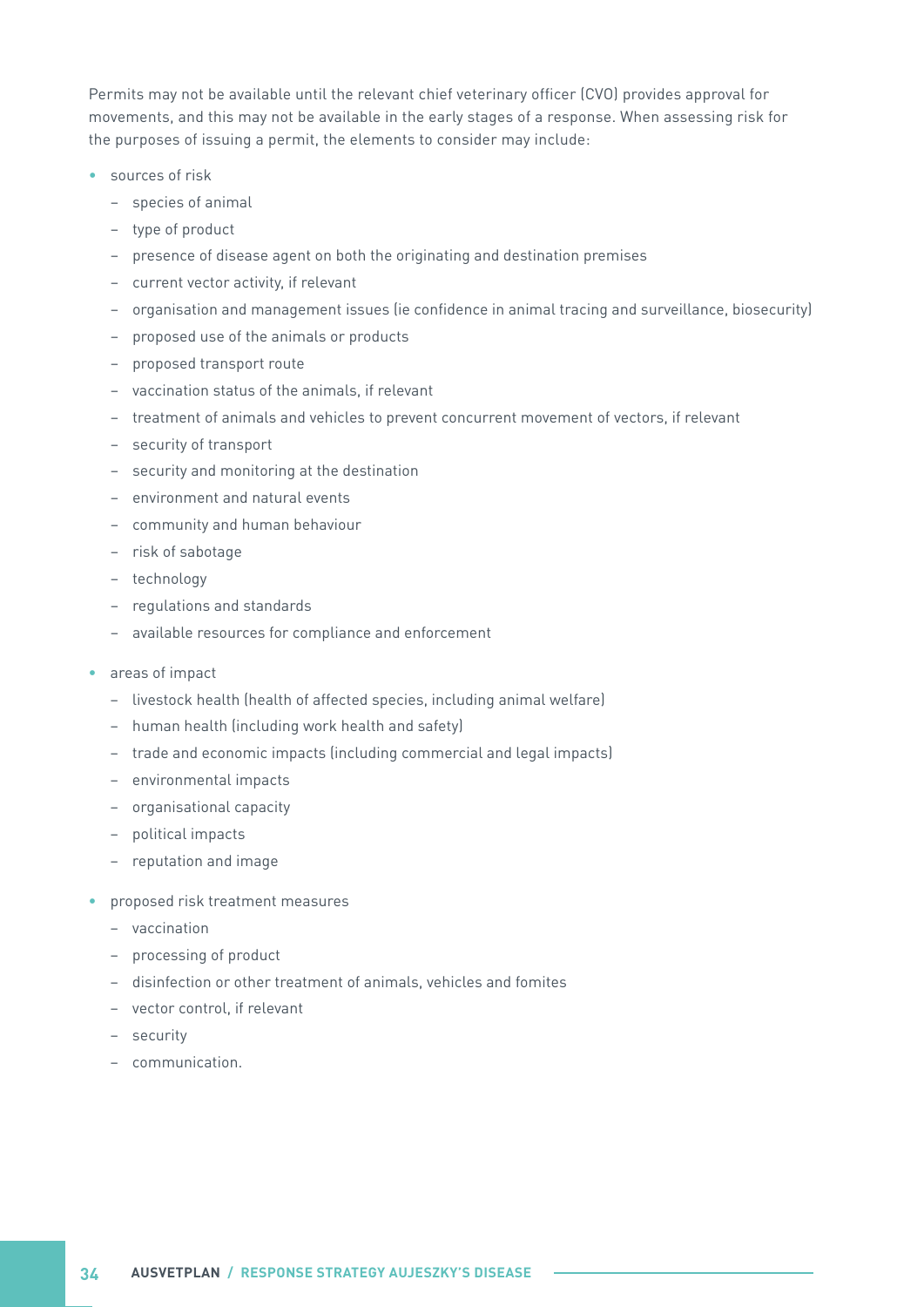Permits may not be available until the relevant chief veterinary officer (CVO) provides approval for movements, and this may not be available in the early stages of a response. When assessing risk for the purposes of issuing a permit, the elements to consider may include:

- sources of risk
	- species of animal
	- type of product
	- presence of disease agent on both the originating and destination premises
	- current vector activity, if relevant
	- organisation and management issues (ie confidence in animal tracing and surveillance, biosecurity)
	- proposed use of the animals or products
	- proposed transport route
	- vaccination status of the animals, if relevant
	- treatment of animals and vehicles to prevent concurrent movement of vectors, if relevant
	- security of transport
	- security and monitoring at the destination
	- environment and natural events
	- community and human behaviour
	- risk of sabotage
	- technology
	- regulations and standards
	- available resources for compliance and enforcement
- areas of impact
	- livestock health (health of affected species, including animal welfare)
	- human health (including work health and safety)
	- trade and economic impacts (including commercial and legal impacts)
	- environmental impacts
	- organisational capacity
	- political impacts
	- reputation and image
- proposed risk treatment measures
	- vaccination
	- processing of product
	- disinfection or other treatment of animals, vehicles and fomites
	- vector control, if relevant
	- security
	- communication.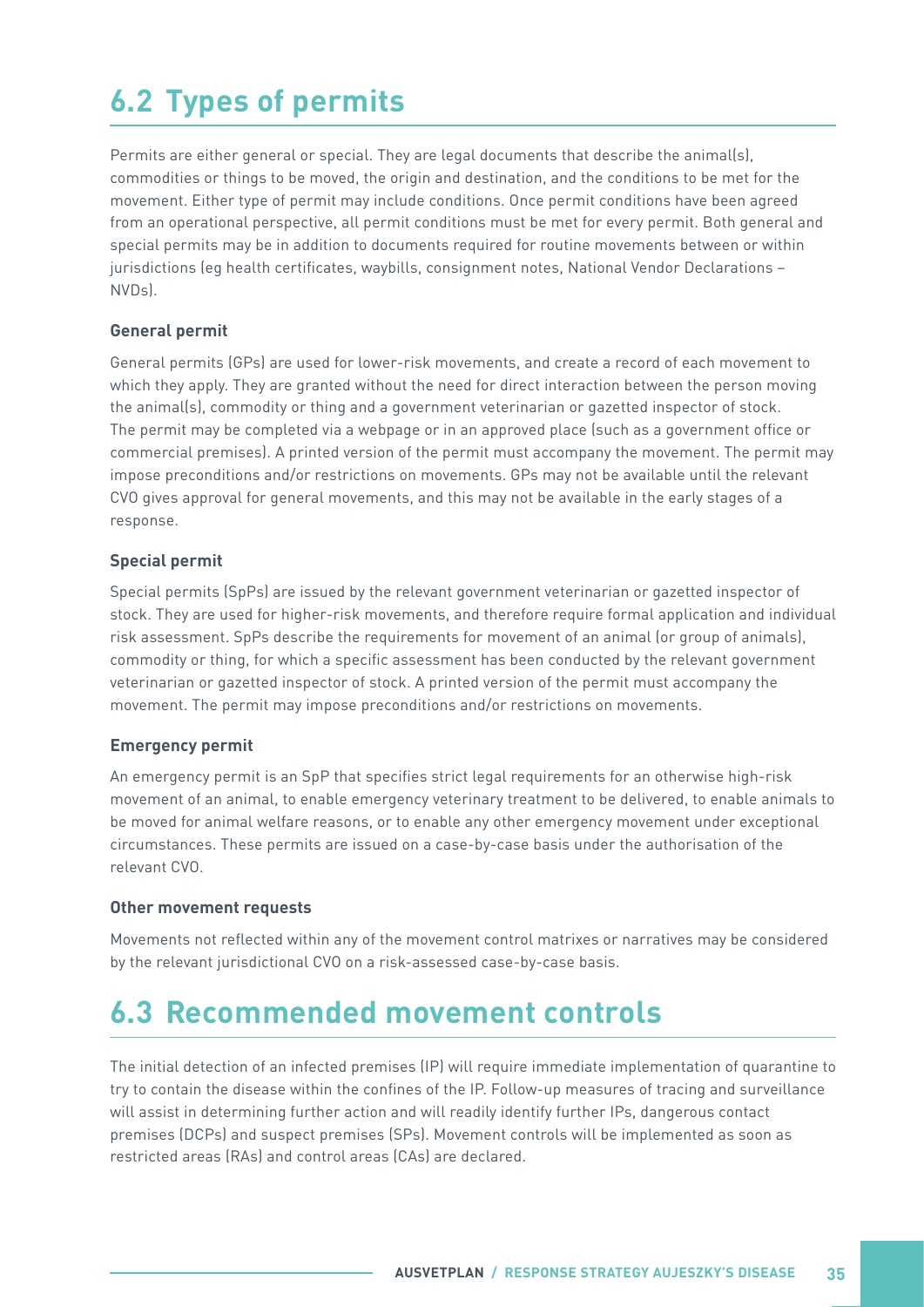# <span id="page-40-0"></span>**6.2 Types of permits**

Permits are either general or special. They are legal documents that describe the animal(s), commodities or things to be moved, the origin and destination, and the conditions to be met for the movement. Either type of permit may include conditions. Once permit conditions have been agreed from an operational perspective, all permit conditions must be met for every permit. Both general and special permits may be in addition to documents required for routine movements between or within jurisdictions (eg health certificates, waybills, consignment notes, National Vendor Declarations – NVDs).

#### **General permit**

General permits (GPs) are used for lower-risk movements, and create a record of each movement to which they apply. They are granted without the need for direct interaction between the person moving the animal(s), commodity or thing and a government veterinarian or gazetted inspector of stock. The permit may be completed via a webpage or in an approved place (such as a government office or commercial premises). A printed version of the permit must accompany the movement. The permit may impose preconditions and/or restrictions on movements. GPs may not be available until the relevant CVO gives approval for general movements, and this may not be available in the early stages of a response.

#### **Special permit**

Special permits (SpPs) are issued by the relevant government veterinarian or gazetted inspector of stock. They are used for higher-risk movements, and therefore require formal application and individual risk assessment. SpPs describe the requirements for movement of an animal (or group of animals), commodity or thing, for which a specific assessment has been conducted by the relevant government veterinarian or gazetted inspector of stock. A printed version of the permit must accompany the movement. The permit may impose preconditions and/or restrictions on movements.

#### **Emergency permit**

An emergency permit is an SpP that specifies strict legal requirements for an otherwise high-risk movement of an animal, to enable emergency veterinary treatment to be delivered, to enable animals to be moved for animal welfare reasons, or to enable any other emergency movement under exceptional circumstances. These permits are issued on a case-by-case basis under the authorisation of the relevant CVO.

#### **Other movement requests**

Movements not reflected within any of the movement control matrixes or narratives may be considered by the relevant jurisdictional CVO on a risk-assessed case-by-case basis.

### **6.3 Recommended movement controls**

The initial detection of an infected premises (IP) will require immediate implementation of quarantine to try to contain the disease within the confines of the IP. Follow-up measures of tracing and surveillance will assist in determining further action and will readily identify further IPs, dangerous contact premises (DCPs) and suspect premises (SPs). Movement controls will be implemented as soon as restricted areas (RAs) and control areas (CAs) are declared.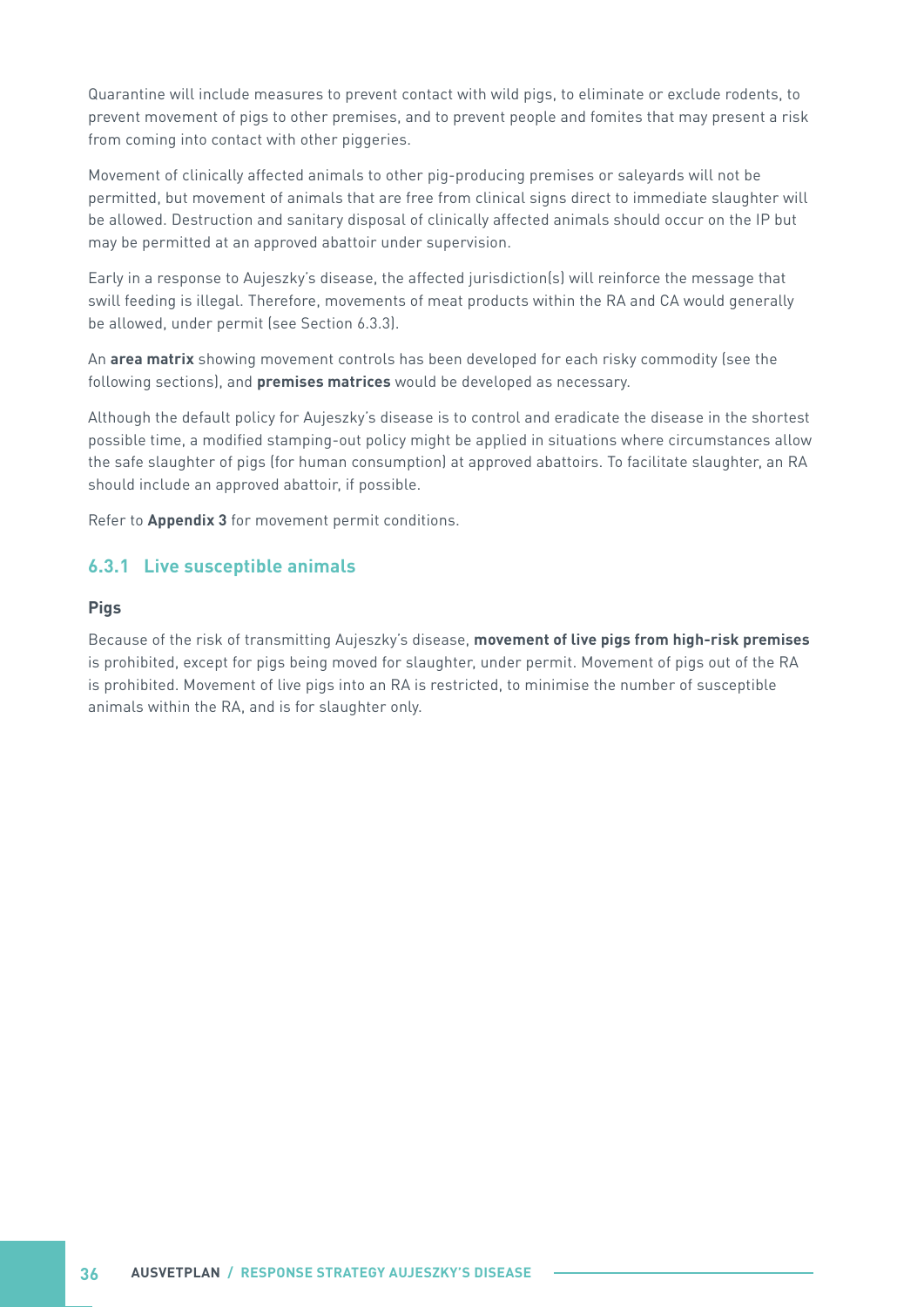<span id="page-41-0"></span>Quarantine will include measures to prevent contact with wild pigs, to eliminate or exclude rodents, to prevent movement of pigs to other premises, and to prevent people and fomites that may present a risk from coming into contact with other piggeries.

Movement of clinically affected animals to other pig-producing premises or saleyards will not be permitted, but movement of animals that are free from clinical signs direct to immediate slaughter will be allowed. Destruction and sanitary disposal of clinically affected animals should occur on the IP but may be permitted at an approved abattoir under supervision.

Early in a response to Aujeszky's disease, the affected jurisdiction(s) will reinforce the message that swill feeding is illegal. Therefore, movements of meat products within the RA and CA would generally be allowed, under permit (see Section 6.3.3).

An **area matrix** showing movement controls has been developed for each risky commodity (see the following sections), and **premises matrices** would be developed as necessary.

Although the default policy for Aujeszky's disease is to control and eradicate the disease in the shortest possible time, a modified stamping-out policy might be applied in situations where circumstances allow the safe slaughter of pigs (for human consumption) at approved abattoirs. To facilitate slaughter, an RA should include an approved abattoir, if possible.

Refer to **Appendix 3** for movement permit conditions.

#### **6.3.1 Live susceptible animals**

#### **Pigs**

Because of the risk of transmitting Aujeszky's disease, **movement of live pigs from high-risk premises** is prohibited, except for pigs being moved for slaughter, under permit. Movement of pigs out of the RA is prohibited. Movement of live pigs into an RA is restricted, to minimise the number of susceptible animals within the RA, and is for slaughter only.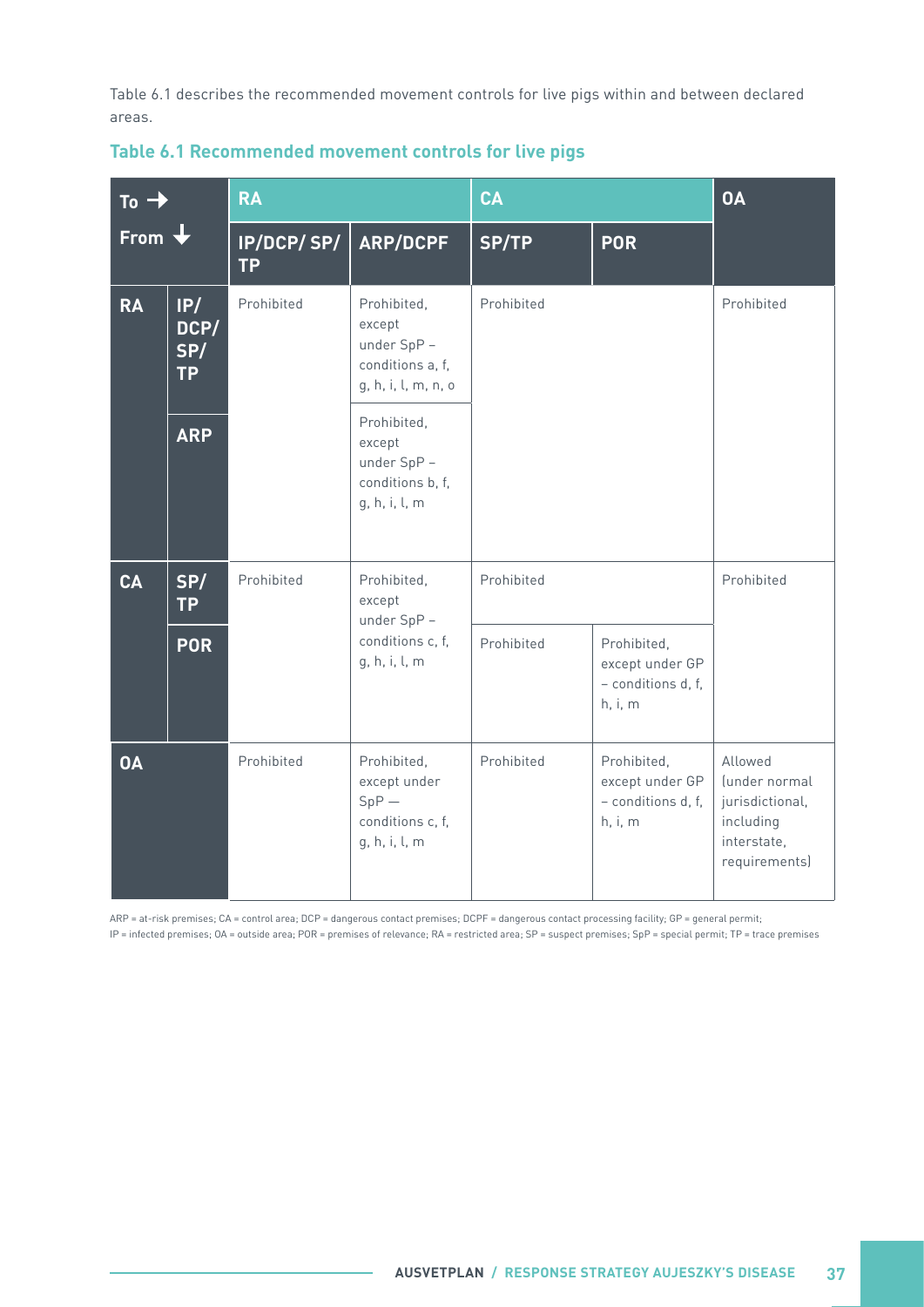<span id="page-42-0"></span>Table 6.1 describes the recommended movement controls for live pigs within and between declared areas.

| To -<br>From $\bigstar$ |                                 | <b>RA</b>               |                                                                                | CA         |                                                                 | <b>OA</b>                                                                                |  |
|-------------------------|---------------------------------|-------------------------|--------------------------------------------------------------------------------|------------|-----------------------------------------------------------------|------------------------------------------------------------------------------------------|--|
|                         |                                 | IP/DCP/SP/<br><b>TP</b> | <b>ARP/DCPF</b>                                                                | SP/TP      | <b>POR</b>                                                      |                                                                                          |  |
| <b>RA</b>               | IP/<br>DCP/<br>SP/<br><b>TP</b> | Prohibited              | Prohibited,<br>except<br>under SpP-<br>conditions a, f,<br>g, h, i, l, m, n, o | Prohibited |                                                                 | Prohibited                                                                               |  |
| <b>ARP</b>              |                                 |                         | Prohibited,<br>except<br>under SpP -<br>conditions b, f,<br>g, h, i, l, m      |            |                                                                 |                                                                                          |  |
| <b>CA</b>               | SP/<br><b>TP</b>                | Prohibited              | Prohibited,<br>except<br>under SpP-<br>conditions c, f,<br>g, h, i, l, m       | Prohibited |                                                                 | Prohibited                                                                               |  |
|                         | <b>POR</b>                      |                         |                                                                                | Prohibited | Prohibited,<br>except under GP<br>- conditions d, f,<br>h, i, m |                                                                                          |  |
| <b>OA</b>               |                                 | Prohibited              | Prohibited,<br>except under<br>$SpP -$<br>conditions c, f,<br>g, h, i, l, m    | Prohibited | Prohibited,<br>except under GP<br>- conditions d, f,<br>h, i, m | Allowed<br>(under normal<br>jurisdictional,<br>including<br>interstate,<br>requirements) |  |

#### **Table 6.1 Recommended movement controls for live pigs**

ARP = at-risk premises; CA = control area; DCP = dangerous contact premises; DCPF = dangerous contact processing facility; GP = general permit; IP = infected premises; OA = outside area; POR = premises of relevance; RA = restricted area; SP = suspect premises; SpP = special permit; TP = trace premises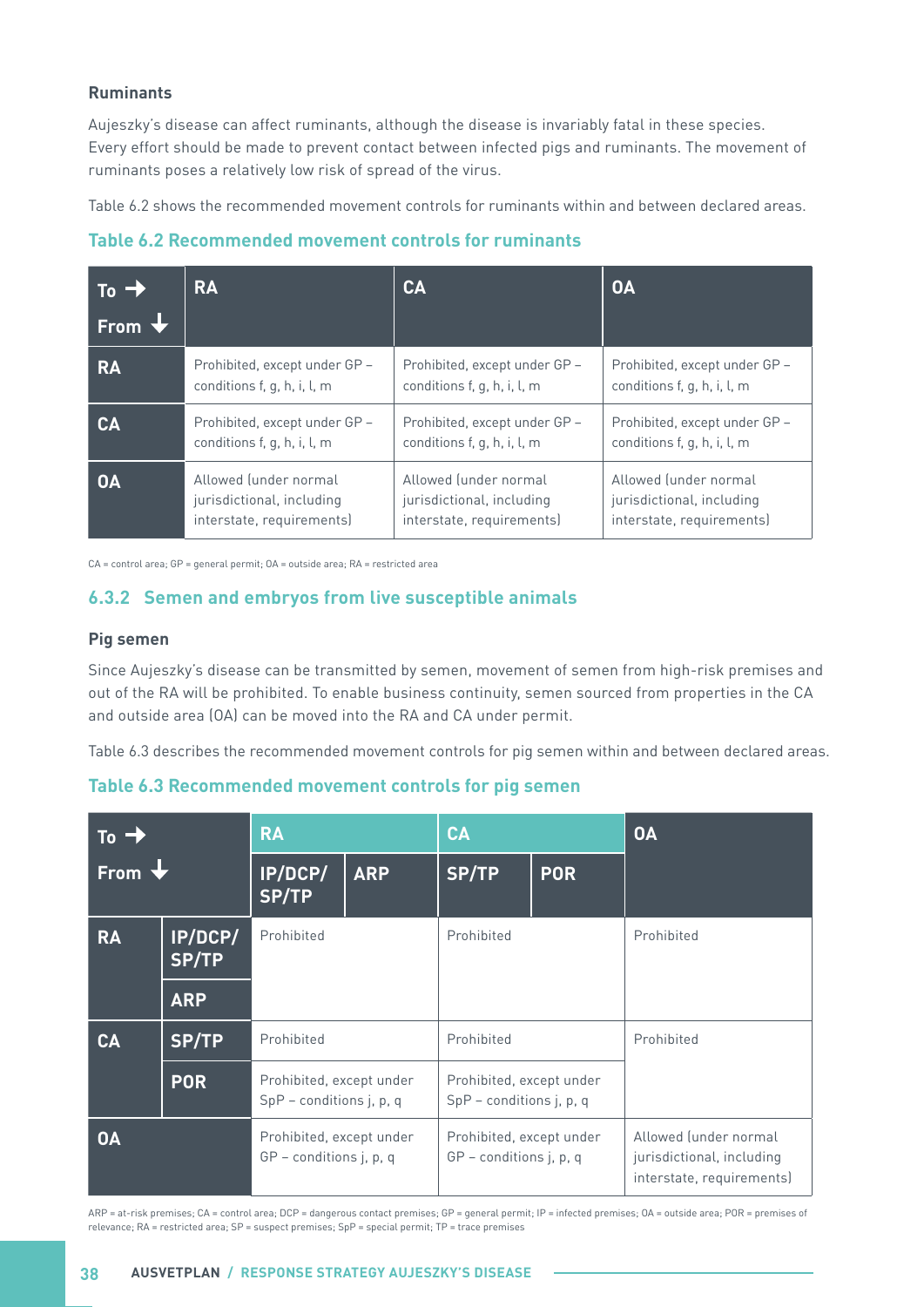#### <span id="page-43-0"></span>**Ruminants**

Aujeszky's disease can affect ruminants, although the disease is invariably fatal in these species. Every effort should be made to prevent contact between infected pigs and ruminants. The movement of ruminants poses a relatively low risk of spread of the virus.

Table 6.2 shows the recommended movement controls for ruminants within and between declared areas.

**Table 6.2 Recommended movement controls for ruminants**

| $To - \lambda$ | <b>RA</b>                     | CA                            | <b>OA</b>                     |
|----------------|-------------------------------|-------------------------------|-------------------------------|
| From V         |                               |                               |                               |
| <b>RA</b>      | Prohibited, except under GP - | Prohibited, except under GP - | Prohibited, except under GP - |
|                | conditions f, g, h, i, l, m   | conditions f, g, h, i, l, m   | conditions f, g, h, i, l, m   |
| CA             | Prohibited, except under GP - | Prohibited, except under GP - | Prohibited, except under GP - |
|                | conditions f, g, h, i, l, m   | conditions f, g, h, i, l, m   | conditions f, g, h, i, l, m   |
| <b>OA</b>      | Allowed (under normal         | Allowed (under normal         | Allowed (under normal         |
|                | jurisdictional, including     | jurisdictional, including     | jurisdictional, including     |
|                | interstate, requirements)     | interstate, requirements)     | interstate, requirements)     |

CA = control area; GP = general permit; OA = outside area; RA = restricted area

#### **6.3.2 Semen and embryos from live susceptible animals**

#### **Pig semen**

Since Aujeszky's disease can be transmitted by semen, movement of semen from high-risk premises and out of the RA will be prohibited. To enable business continuity, semen sourced from properties in the CA and outside area (OA) can be moved into the RA and CA under permit.

Table 6.3 describes the recommended movement controls for pig semen within and between declared areas.

| Table 6.3 Recommended movement controls for pig semen |  |  |
|-------------------------------------------------------|--|--|
|-------------------------------------------------------|--|--|

| $To -$      |                  | <b>RA</b>                                              |            | <b>CA</b>                                              |            | <b>OA</b>                                                                       |
|-------------|------------------|--------------------------------------------------------|------------|--------------------------------------------------------|------------|---------------------------------------------------------------------------------|
| <b>From</b> |                  | IP/DCP/<br>SP/TP                                       | <b>ARP</b> | <b>SP/TP</b>                                           | <b>POR</b> |                                                                                 |
| <b>RA</b>   | IP/DCP/<br>SP/TP | Prohibited                                             |            | Prohibited                                             |            | Prohibited                                                                      |
|             | <b>ARP</b>       |                                                        |            |                                                        |            |                                                                                 |
| <b>CA</b>   | SP/TP            | Prohibited<br>Prohibited                               |            |                                                        | Prohibited |                                                                                 |
| <b>POR</b>  |                  | Prohibited, except under<br>$SpP$ – conditions j, p, q |            | Prohibited, except under<br>$SpP$ – conditions j, p, q |            |                                                                                 |
| <b>OA</b>   |                  | Prohibited, except under<br>$GP$ – conditions j, p, q  |            | Prohibited, except under<br>$GP$ – conditions j, p, q  |            | Allowed (under normal<br>jurisdictional, including<br>interstate, requirements) |

ARP = at-risk premises; CA = control area; DCP = dangerous contact premises; GP = general permit; IP = infected premises; OA = outside area; POR = premises of relevance; RA = restricted area; SP = suspect premises; SpP = special permit; TP = trace premises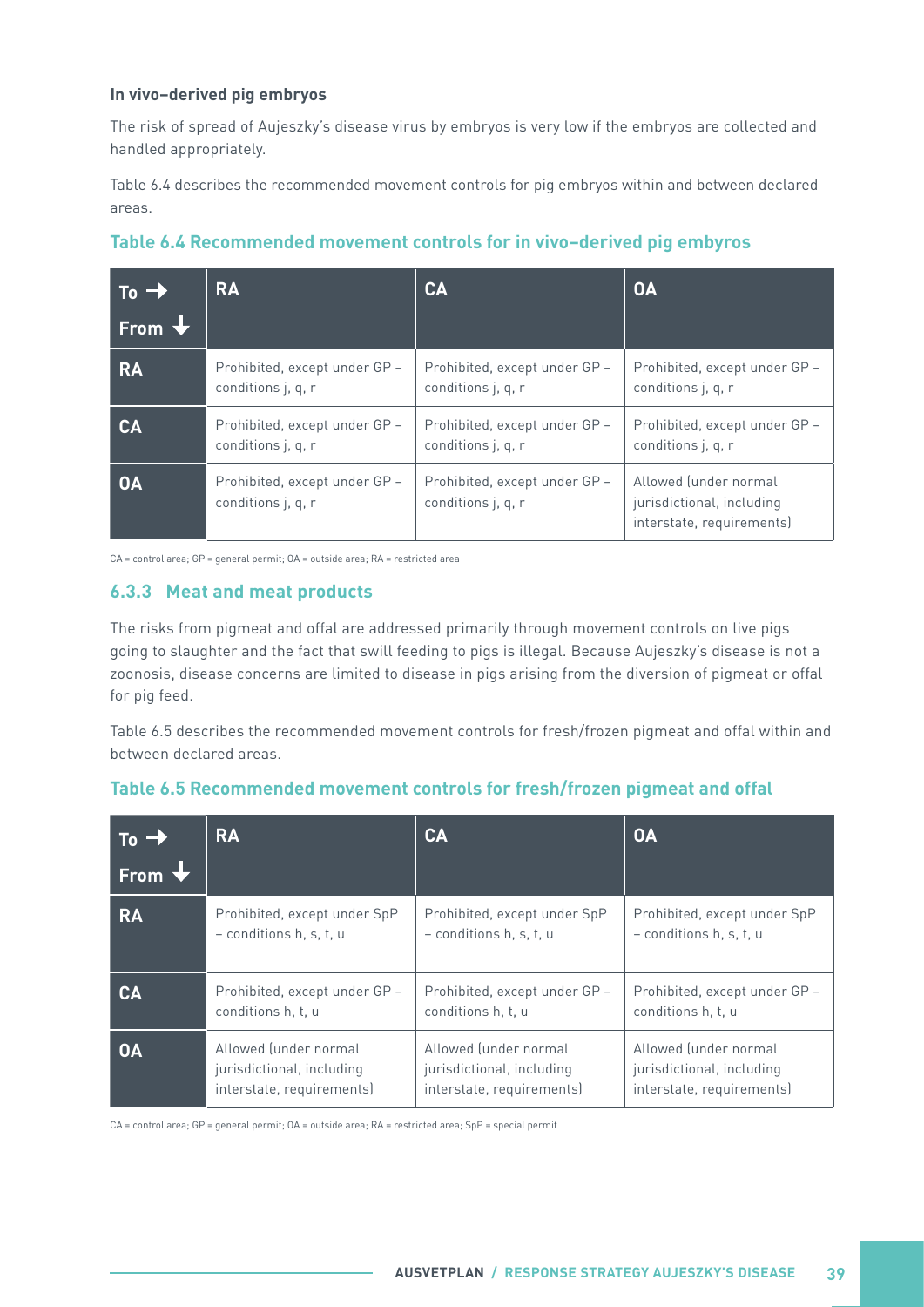#### <span id="page-44-0"></span>**In vivo–derived pig embryos**

The risk of spread of Aujeszky's disease virus by embryos is very low if the embryos are collected and handled appropriately.

Table 6.4 describes the recommended movement controls for pig embryos within and between declared areas.

| $To \rightarrow$<br>From V | <b>RA</b>                                           | <b>CA</b>                                           | <b>OA</b>                                                                       |
|----------------------------|-----------------------------------------------------|-----------------------------------------------------|---------------------------------------------------------------------------------|
| <b>RA</b>                  | Prohibited, except under GP -                       | Prohibited, except under GP -                       | Prohibited, except under GP -                                                   |
|                            | conditions j, q, r                                  | conditions j, q, r                                  | conditions j, q, r                                                              |
| CA                         | Prohibited, except under GP -                       | Prohibited, except under GP -                       | Prohibited, except under GP -                                                   |
|                            | conditions j, q, r                                  | conditions j, q, r                                  | conditions j, q, r                                                              |
| <b>OA</b>                  | Prohibited, except under GP -<br>conditions j, q, r | Prohibited, except under GP -<br>conditions j, q, r | Allowed (under normal<br>jurisdictional, including<br>interstate, requirements) |



CA = control area; GP = general permit; OA = outside area; RA = restricted area

#### **6.3.3 Meat and meat products**

The risks from pigmeat and offal are addressed primarily through movement controls on live pigs going to slaughter and the fact that swill feeding to pigs is illegal. Because Aujeszky's disease is not a zoonosis, disease concerns are limited to disease in pigs arising from the diversion of pigmeat or offal for pig feed.

Table 6.5 describes the recommended movement controls for fresh/frozen pigmeat and offal within and between declared areas.

| To $\rightarrow$ | <b>RA</b>                     | CA                            | <b>OA</b>                     |
|------------------|-------------------------------|-------------------------------|-------------------------------|
| From V           |                               |                               |                               |
| <b>RA</b>        | Prohibited, except under SpP  | Prohibited, except under SpP  | Prohibited, except under SpP  |
|                  | $-$ conditions h, s, t, u     | $-$ conditions h, s, t, u     | $-$ conditions h, s, t, u     |
| <b>CA</b>        | Prohibited, except under GP - | Prohibited, except under GP - | Prohibited, except under GP - |
|                  | conditions h, t, u            | conditions h, t, u            | conditions h, t, u            |
| <b>OA</b>        | Allowed (under normal         | Allowed (under normal         | Allowed (under normal         |
|                  | jurisdictional, including     | jurisdictional, including     | jurisdictional, including     |
|                  | interstate, requirements)     | interstate, requirements)     | interstate, requirements)     |

#### **Table 6.5 Recommended movement controls for fresh/frozen pigmeat and offal**

CA = control area; GP = general permit; OA = outside area; RA = restricted area; SpP = special permit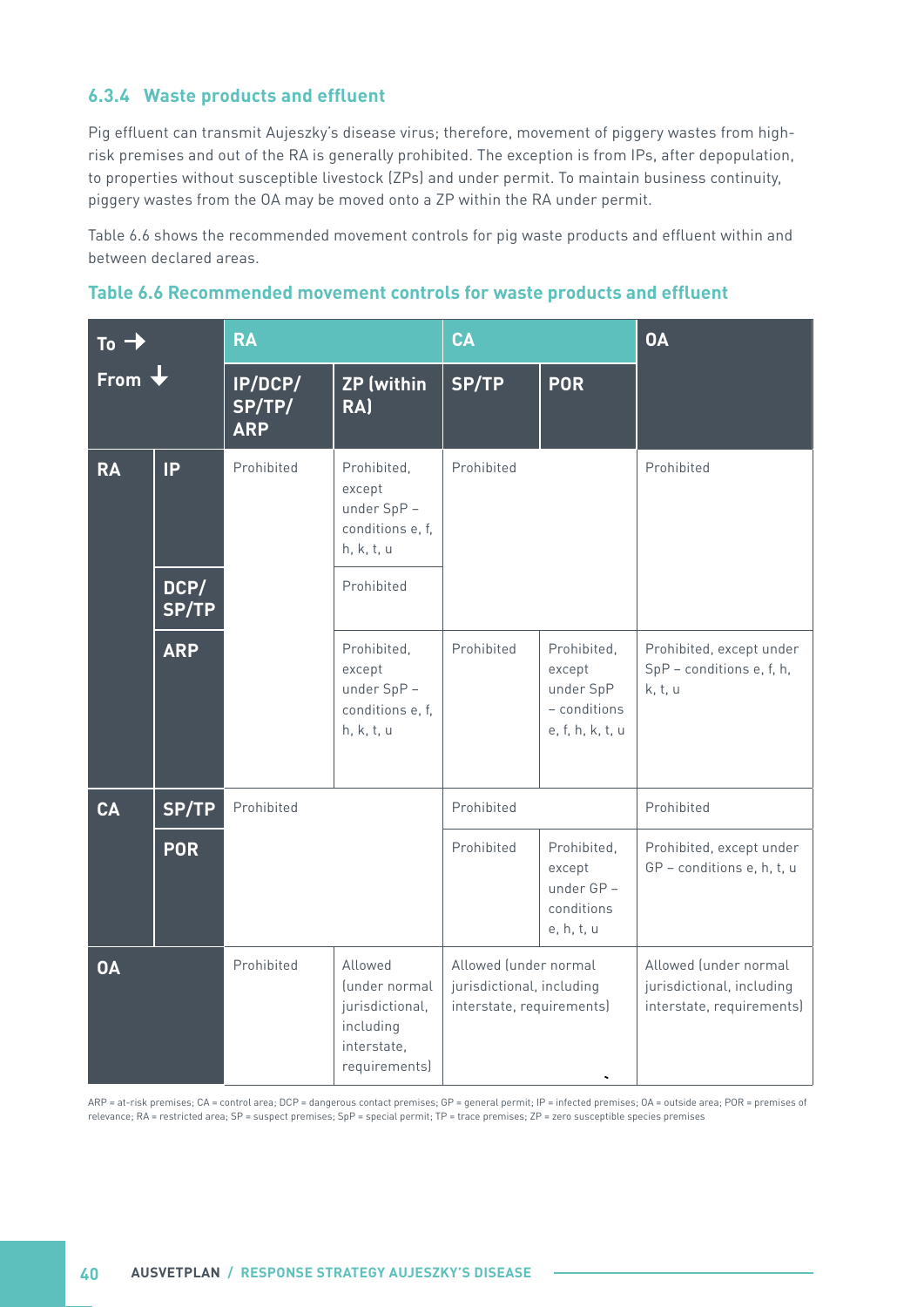#### <span id="page-45-0"></span>**6.3.4 Waste products and effluent**

Pig effluent can transmit Aujeszky's disease virus; therefore, movement of piggery wastes from highrisk premises and out of the RA is generally prohibited. The exception is from IPs, after depopulation, to properties without susceptible livestock (ZPs) and under permit. To maintain business continuity, piggery wastes from the OA may be moved onto a ZP within the RA under permit.

Table 6.6 shows the recommended movement controls for pig waste products and effluent within and between declared areas.

| Table 6.6 Recommended movement controls for waste products and effluent |  |  |  |
|-------------------------------------------------------------------------|--|--|--|
|                                                                         |  |  |  |

| To -        |                            | <b>RA</b>                       |                                                                                          | CA                                                                              |                                                                        | <b>OA</b>                                                                       |
|-------------|----------------------------|---------------------------------|------------------------------------------------------------------------------------------|---------------------------------------------------------------------------------|------------------------------------------------------------------------|---------------------------------------------------------------------------------|
| <b>From</b> |                            | IP/DCP/<br>SP/TP/<br><b>ARP</b> | <b>ZP</b> (within<br>RA)                                                                 | SP/TP                                                                           | <b>POR</b>                                                             |                                                                                 |
| <b>RA</b>   | <b>IP</b><br>DCP/<br>SP/TP | Prohibited                      | Prohibited,<br>except<br>under SpP -<br>conditions e, f,<br>h, k, t, u<br>Prohibited     | Prohibited                                                                      |                                                                        | Prohibited                                                                      |
|             | <b>ARP</b>                 |                                 | Prohibited,<br>except<br>under SpP -<br>conditions e, f,<br>h, k, t, u                   | Prohibited                                                                      | Prohibited,<br>except<br>under SpP<br>- conditions<br>e, f, h, k, t, u | Prohibited, except under<br>SpP - conditions e, f, h,<br>k, t, u                |
| <b>CA</b>   | <b>SP/TP</b>               | Prohibited                      |                                                                                          | Prohibited                                                                      |                                                                        | Prohibited                                                                      |
|             | <b>POR</b>                 |                                 |                                                                                          | Prohibited                                                                      | Prohibited,<br>except<br>under GP-<br>conditions<br>e, h, t, u         | Prohibited, except under<br>GP - conditions e, h, t, u                          |
| <b>OA</b>   |                            | Prohibited                      | Allowed<br>funder normal<br>jurisdictional,<br>including<br>interstate,<br>requirements) | Allowed (under normal<br>jurisdictional, including<br>interstate, requirements) |                                                                        | Allowed (under normal<br>jurisdictional, including<br>interstate, requirements) |

ARP = at-risk premises; CA = control area; DCP = dangerous contact premises; GP = general permit; IP = infected premises; OA = outside area; POR = premises of relevance; RA = restricted area; SP = suspect premises; SpP = special permit; TP = trace premises; ZP = zero susceptible species premises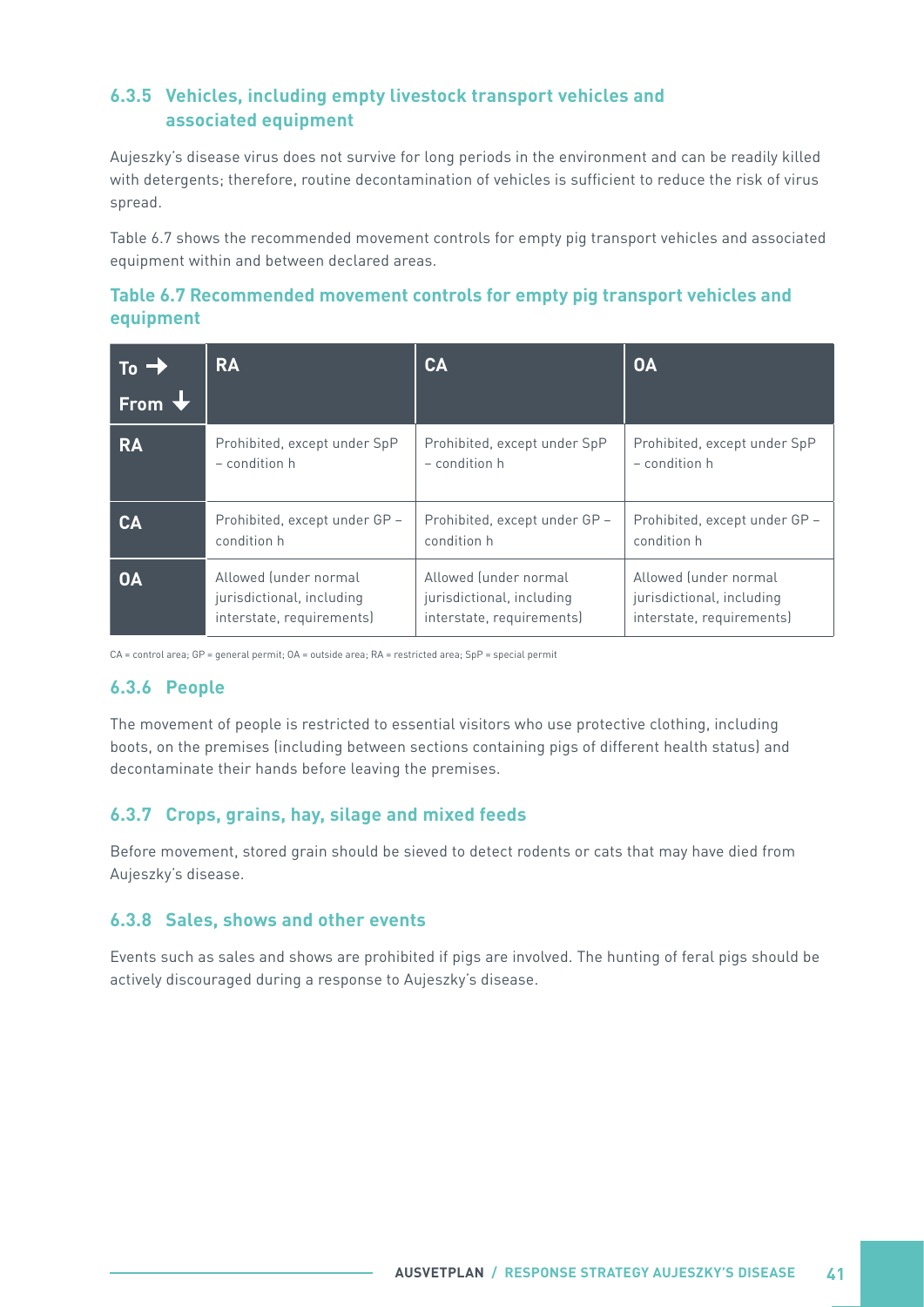#### <span id="page-46-0"></span>**6.3.5 Vehicles, including empty livestock transport vehicles and associated equipment**

Aujeszky's disease virus does not survive for long periods in the environment and can be readily killed with detergents; therefore, routine decontamination of vehicles is sufficient to reduce the risk of virus spread.

Table 6.7 shows the recommended movement controls for empty pig transport vehicles and associated equipment within and between declared areas.

#### **Table 6.7 Recommended movement controls for empty pig transport vehicles and equipment**

| $\sqrt{10-2}$ | <b>RA</b>                     | CA                            | <b>OA</b>                     |
|---------------|-------------------------------|-------------------------------|-------------------------------|
| From V        |                               |                               |                               |
| <b>RA</b>     | Prohibited, except under SpP  | Prohibited, except under SpP  | Prohibited, except under SpP  |
|               | $-$ condition $h$             | $-$ condition $h$             | $-$ condition $h$             |
| CA            | Prohibited, except under GP - | Prohibited, except under GP - | Prohibited, except under GP - |
|               | condition h                   | condition h                   | condition h                   |
| <b>OA</b>     | Allowed (under normal         | Allowed (under normal         | Allowed (under normal         |
|               | jurisdictional, including     | jurisdictional, including     | jurisdictional, including     |
|               | interstate, requirements)     | interstate, requirements)     | interstate, requirements)     |

CA = control area; GP = general permit; OA = outside area; RA = restricted area; SpP = special permit

#### **6.3.6 People**

The movement of people is restricted to essential visitors who use protective clothing, including boots, on the premises (including between sections containing pigs of different health status) and decontaminate their hands before leaving the premises.

#### **6.3.7 Crops, grains, hay, silage and mixed feeds**

Before movement, stored grain should be sieved to detect rodents or cats that may have died from Aujeszky's disease.

#### **6.3.8 Sales, shows and other events**

Events such as sales and shows are prohibited if pigs are involved. The hunting of feral pigs should be actively discouraged during a response to Aujeszky's disease.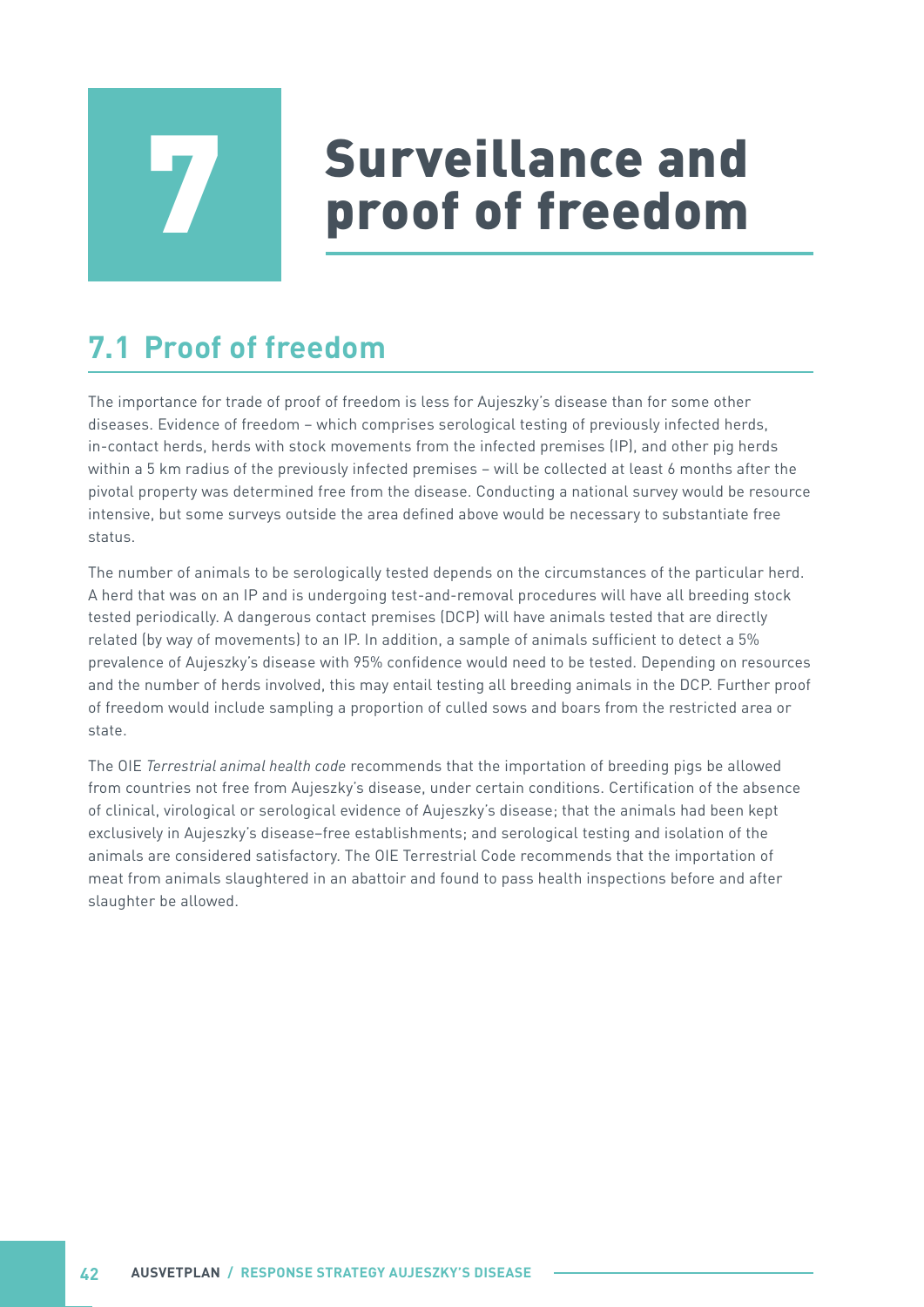# **Surveillance and<br>proof of freedom**

# <span id="page-47-0"></span>**7.1 Proof of freedom**

The importance for trade of proof of freedom is less for Aujeszky's disease than for some other diseases. Evidence of freedom – which comprises serological testing of previously infected herds, in-contact herds, herds with stock movements from the infected premises (IP), and other pig herds within a 5 km radius of the previously infected premises – will be collected at least 6 months after the pivotal property was determined free from the disease. Conducting a national survey would be resource intensive, but some surveys outside the area defined above would be necessary to substantiate free status.

The number of animals to be serologically tested depends on the circumstances of the particular herd. A herd that was on an IP and is undergoing test-and-removal procedures will have all breeding stock tested periodically. A dangerous contact premises (DCP) will have animals tested that are directly related (by way of movements) to an IP. In addition, a sample of animals sufficient to detect a 5% prevalence of Aujeszky's disease with 95% confidence would need to be tested. Depending on resources and the number of herds involved, this may entail testing all breeding animals in the DCP. Further proof of freedom would include sampling a proportion of culled sows and boars from the restricted area or state.

The OIE *Terrestrial animal health code* recommends that the importation of breeding pigs be allowed from countries not free from Aujeszky's disease, under certain conditions. Certification of the absence of clinical, virological or serological evidence of Aujeszky's disease; that the animals had been kept exclusively in Aujeszky's disease–free establishments; and serological testing and isolation of the animals are considered satisfactory. The OIE Terrestrial Code recommends that the importation of meat from animals slaughtered in an abattoir and found to pass health inspections before and after slaughter be allowed.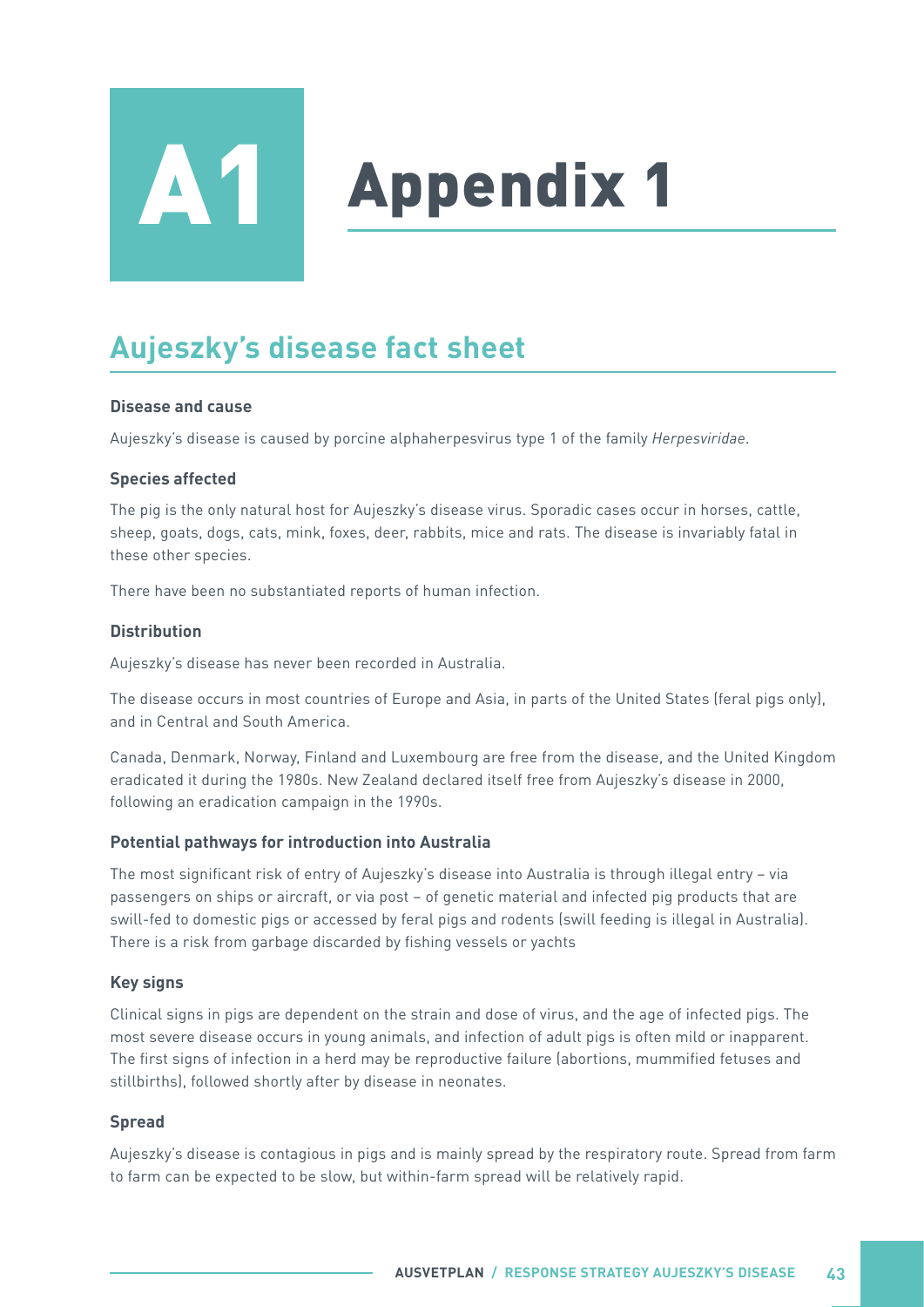<span id="page-48-0"></span>

# **Appendix 1**

# **Aujeszky's disease fact sheet**

#### **Disease and cause**

Aujeszky's disease is caused by porcine alphaherpesvirus type 1 of the family *Herpesviridae*.

#### **Species affected**

The pig is the only natural host for Aujeszky's disease virus. Sporadic cases occur in horses, cattle, sheep, goats, dogs, cats, mink, foxes, deer, rabbits, mice and rats. The disease is invariably fatal in these other species.

There have been no substantiated reports of human infection.

#### **Distribution**

Aujeszky's disease has never been recorded in Australia.

The disease occurs in most countries of Europe and Asia, in parts of the United States (feral pigs only), and in Central and South America.

Canada, Denmark, Norway, Finland and Luxembourg are free from the disease, and the United Kingdom eradicated it during the 1980s. New Zealand declared itself free from Aujeszky's disease in 2000, following an eradication campaign in the 1990s.

#### **Potential pathways for introduction into Australia**

The most significant risk of entry of Aujeszky's disease into Australia is through illegal entry – via passengers on ships or aircraft, or via post – of genetic material and infected pig products that are swill-fed to domestic pigs or accessed by feral pigs and rodents (swill feeding is illegal in Australia). There is a risk from garbage discarded by fishing vessels or yachts

#### **Key signs**

Clinical signs in pigs are dependent on the strain and dose of virus, and the age of infected pigs. The most severe disease occurs in young animals, and infection of adult pigs is often mild or inapparent. The first signs of infection in a herd may be reproductive failure (abortions, mummified fetuses and stillbirths), followed shortly after by disease in neonates.

#### **Spread**

Aujeszky's disease is contagious in pigs and is mainly spread by the respiratory route. Spread from farm to farm can be expected to be slow, but within-farm spread will be relatively rapid.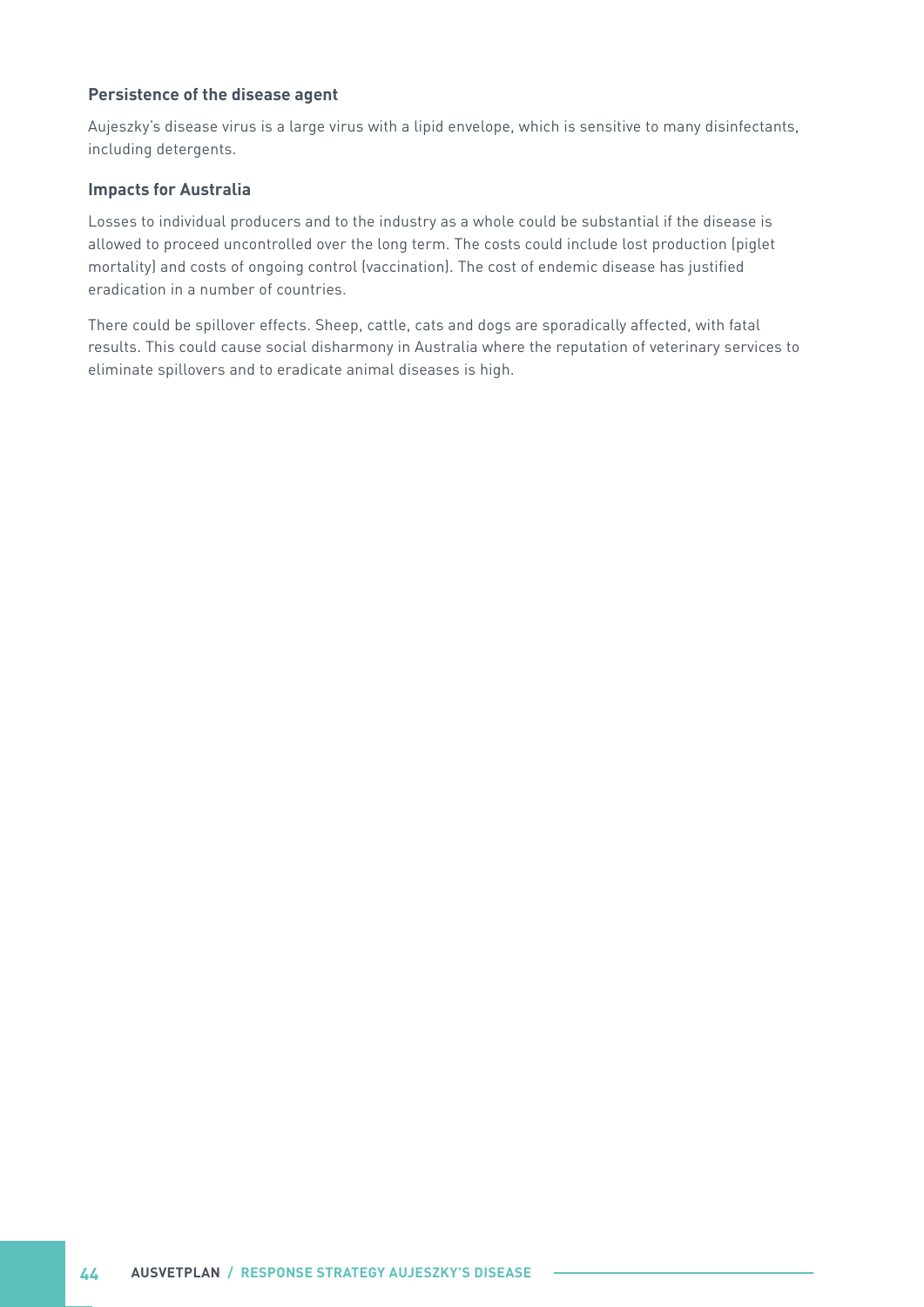#### **Persistence of the disease agent**

Aujeszky's disease virus is a large virus with a lipid envelope, which is sensitive to many disinfectants, including detergents.

#### **Impacts for Australia**

Losses to individual producers and to the industry as a whole could be substantial if the disease is allowed to proceed uncontrolled over the long term. The costs could include lost production (piglet mortality) and costs of ongoing control (vaccination). The cost of endemic disease has justified eradication in a number of countries.

There could be spillover effects. Sheep, cattle, cats and dogs are sporadically affected, with fatal results. This could cause social disharmony in Australia where the reputation of veterinary services to eliminate spillovers and to eradicate animal diseases is high.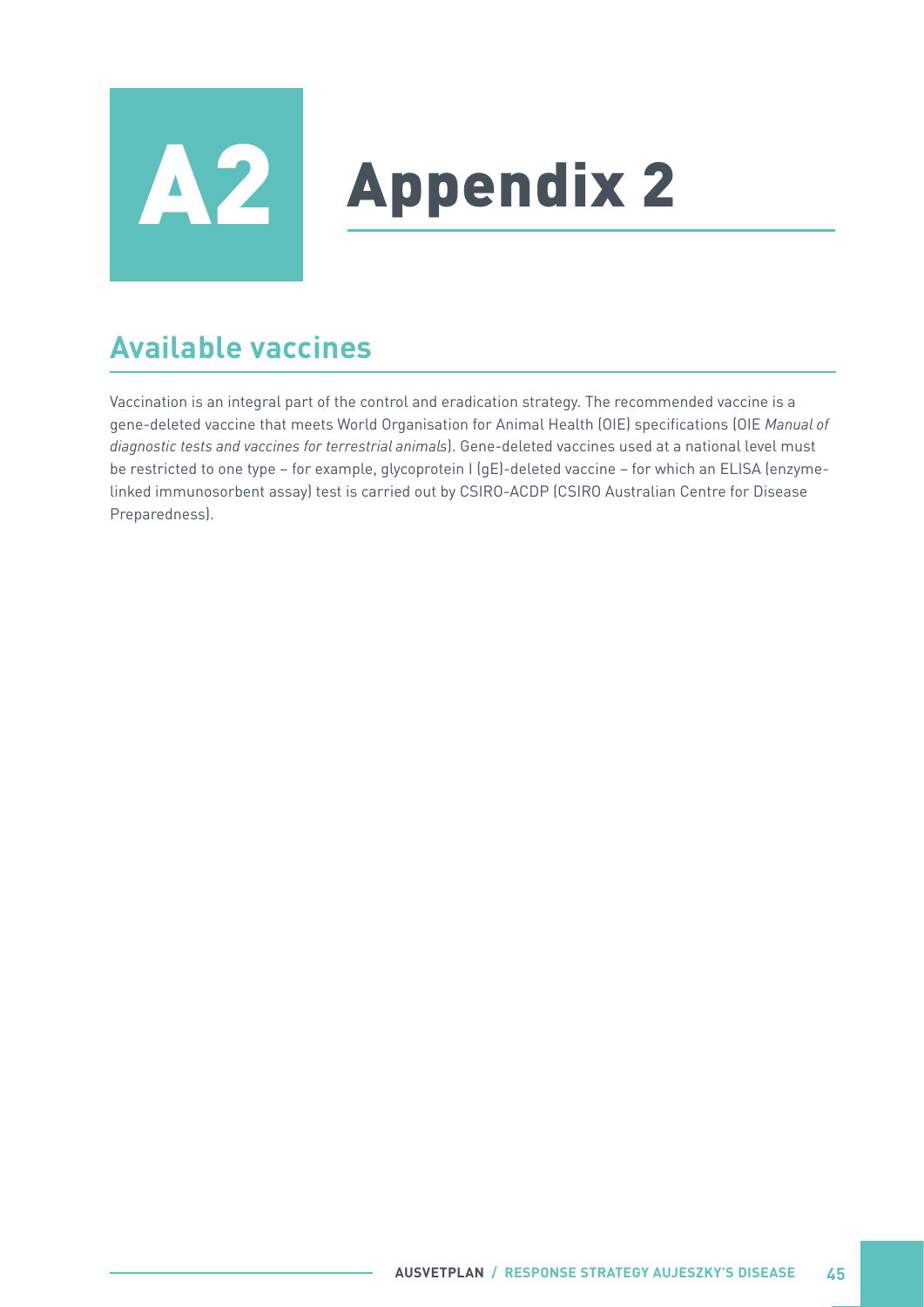<span id="page-50-0"></span>

# **A2** Appendix 2

# **Available vaccines**

Vaccination is an integral part of the control and eradication strategy. The recommended vaccine is a gene-deleted vaccine that meets World Organisation for Animal Health (OIE) specifications (OIE *Manual of diagnostic tests and vaccines for terrestrial animals*). Gene-deleted vaccines used at a national level must be restricted to one type – for example, glycoprotein I (gE)-deleted vaccine – for which an ELISA (enzymelinked immunosorbent assay) test is carried out by CSIRO-ACDP (CSIRO Australian Centre for Disease Preparedness).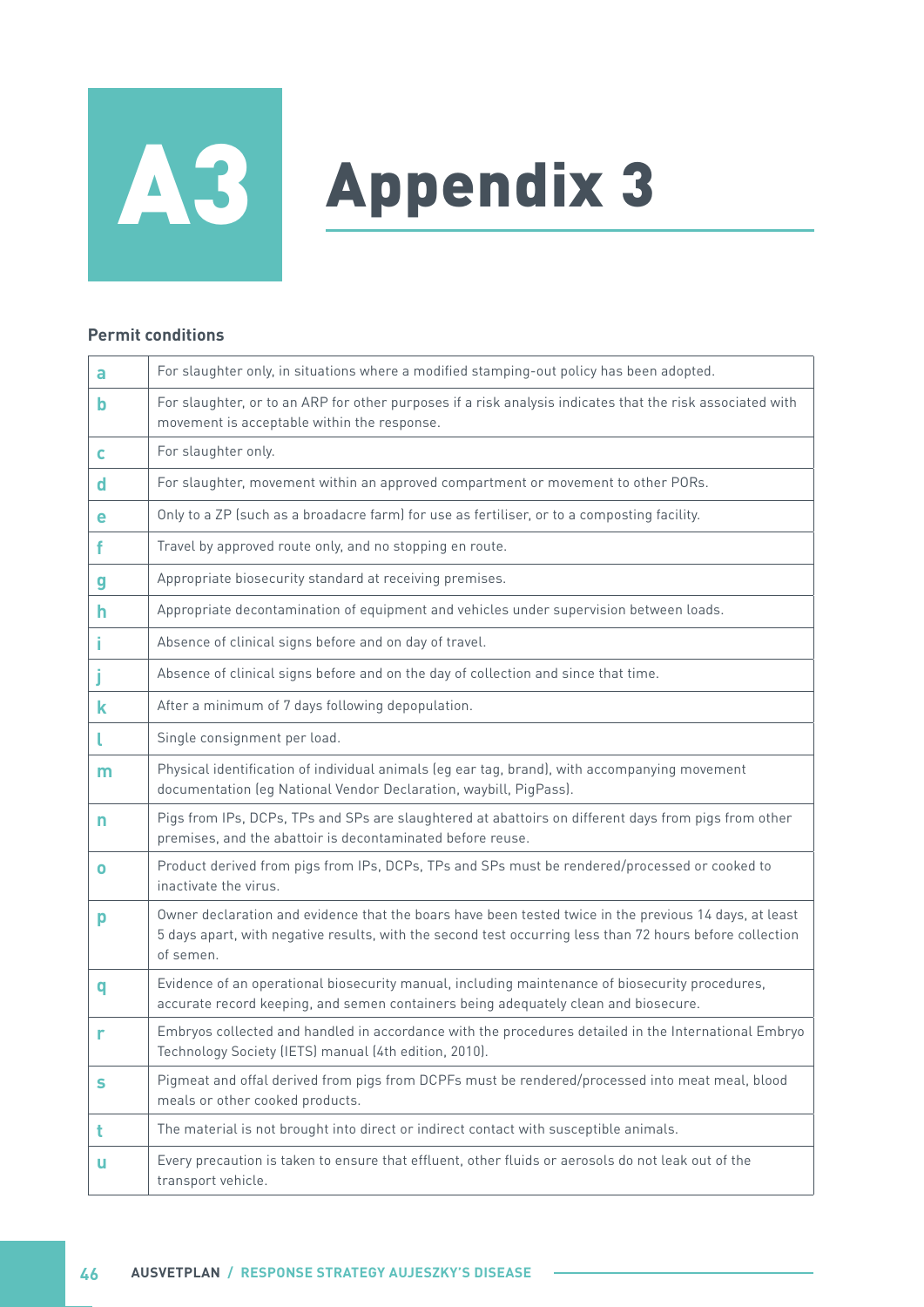# <span id="page-51-0"></span>A3 Appendix 3

#### **Permit conditions**

| a         | For slaughter only, in situations where a modified stamping-out policy has been adopted.                                                                                                                                        |
|-----------|---------------------------------------------------------------------------------------------------------------------------------------------------------------------------------------------------------------------------------|
| b         | For slaughter, or to an ARP for other purposes if a risk analysis indicates that the risk associated with<br>movement is acceptable within the response.                                                                        |
| C         | For slaughter only.                                                                                                                                                                                                             |
| d         | For slaughter, movement within an approved compartment or movement to other PORs.                                                                                                                                               |
| е         | Only to a ZP (such as a broadacre farm) for use as fertiliser, or to a composting facility.                                                                                                                                     |
| f         | Travel by approved route only, and no stopping en route.                                                                                                                                                                        |
| g         | Appropriate biosecurity standard at receiving premises.                                                                                                                                                                         |
| h         | Appropriate decontamination of equipment and vehicles under supervision between loads.                                                                                                                                          |
|           | Absence of clinical signs before and on day of travel.                                                                                                                                                                          |
|           | Absence of clinical signs before and on the day of collection and since that time.                                                                                                                                              |
| k         | After a minimum of 7 days following depopulation.                                                                                                                                                                               |
|           | Single consignment per load.                                                                                                                                                                                                    |
| m         | Physical identification of individual animals (eg ear tag, brand), with accompanying movement<br>documentation (eg National Vendor Declaration, waybill, PigPass).                                                              |
| n         | Pigs from IPs, DCPs, TPs and SPs are slaughtered at abattoirs on different days from pigs from other<br>premises, and the abattoir is decontaminated before reuse.                                                              |
| $\bullet$ | Product derived from pigs from IPs, DCPs, TPs and SPs must be rendered/processed or cooked to<br>inactivate the virus.                                                                                                          |
| p         | Owner declaration and evidence that the boars have been tested twice in the previous 14 days, at least<br>5 days apart, with negative results, with the second test occurring less than 72 hours before collection<br>of semen. |
| q         | Evidence of an operational biosecurity manual, including maintenance of biosecurity procedures,<br>accurate record keeping, and semen containers being adequately clean and biosecure.                                          |
| r         | Embryos collected and handled in accordance with the procedures detailed in the International Embryo<br>Technology Society (IETS) manual (4th edition, 2010).                                                                   |
| s         | Pigmeat and offal derived from pigs from DCPFs must be rendered/processed into meat meal, blood<br>meals or other cooked products.                                                                                              |
| t         | The material is not brought into direct or indirect contact with susceptible animals.                                                                                                                                           |
| u         | Every precaution is taken to ensure that effluent, other fluids or aerosols do not leak out of the<br>transport vehicle.                                                                                                        |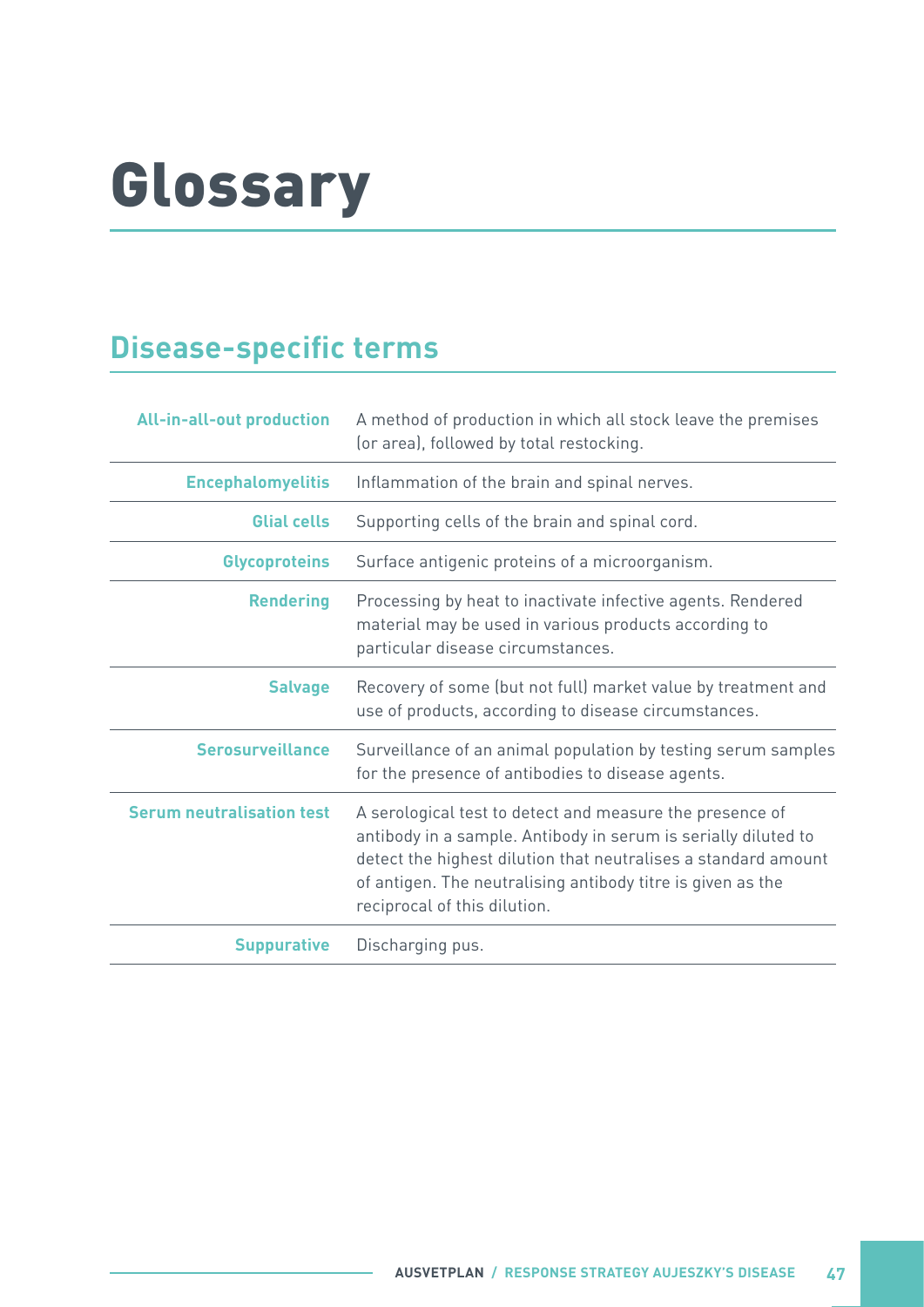# <span id="page-52-0"></span>Glossary

# **Disease-specific terms**

| <b>All-in-all-out production</b> | A method of production in which all stock leave the premises<br>(or area), followed by total restocking.                                                                                                                                                                                    |
|----------------------------------|---------------------------------------------------------------------------------------------------------------------------------------------------------------------------------------------------------------------------------------------------------------------------------------------|
| <b>Encephalomyelitis</b>         | Inflammation of the brain and spinal nerves.                                                                                                                                                                                                                                                |
| <b>Glial cells</b>               | Supporting cells of the brain and spinal cord.                                                                                                                                                                                                                                              |
| <b>Glycoproteins</b>             | Surface antigenic proteins of a microorganism.                                                                                                                                                                                                                                              |
| <b>Rendering</b>                 | Processing by heat to inactivate infective agents. Rendered<br>material may be used in various products according to<br>particular disease circumstances.                                                                                                                                   |
| <b>Salvage</b>                   | Recovery of some (but not full) market value by treatment and<br>use of products, according to disease circumstances.                                                                                                                                                                       |
| <b>Serosurveillance</b>          | Surveillance of an animal population by testing serum samples<br>for the presence of antibodies to disease agents.                                                                                                                                                                          |
| <b>Serum neutralisation test</b> | A serological test to detect and measure the presence of<br>antibody in a sample. Antibody in serum is serially diluted to<br>detect the highest dilution that neutralises a standard amount<br>of antigen. The neutralising antibody titre is given as the<br>reciprocal of this dilution. |
| <b>Suppurative</b>               | Discharging pus.                                                                                                                                                                                                                                                                            |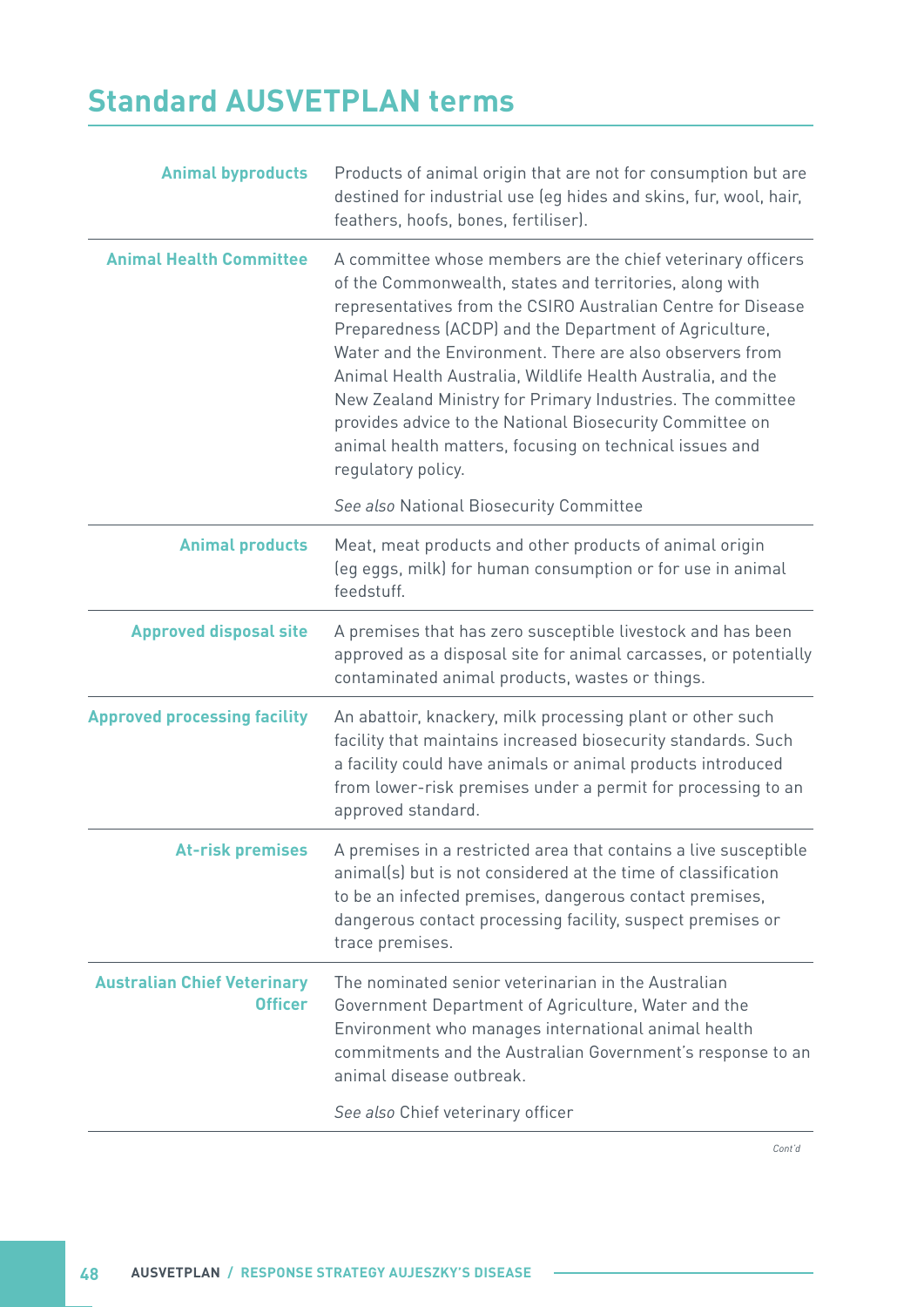# <span id="page-53-0"></span>**Standard AUSVETPLAN terms**

| A committee whose members are the chief veterinary officers                                                                                                                                                                                                                                                                                                                                                                                                                                       |
|---------------------------------------------------------------------------------------------------------------------------------------------------------------------------------------------------------------------------------------------------------------------------------------------------------------------------------------------------------------------------------------------------------------------------------------------------------------------------------------------------|
| of the Commonwealth, states and territories, along with<br>representatives from the CSIRO Australian Centre for Disease<br>Preparedness (ACDP) and the Department of Agriculture,<br>Water and the Environment. There are also observers from<br>Animal Health Australia, Wildlife Health Australia, and the<br>New Zealand Ministry for Primary Industries. The committee<br>provides advice to the National Biosecurity Committee on<br>animal health matters, focusing on technical issues and |
| See also National Biosecurity Committee                                                                                                                                                                                                                                                                                                                                                                                                                                                           |
| Meat, meat products and other products of animal origin<br>(eg eggs, milk) for human consumption or for use in animal                                                                                                                                                                                                                                                                                                                                                                             |
| A premises that has zero susceptible livestock and has been<br>approved as a disposal site for animal carcasses, or potentially<br>contaminated animal products, wastes or things.                                                                                                                                                                                                                                                                                                                |
| An abattoir, knackery, milk processing plant or other such<br>facility that maintains increased biosecurity standards. Such<br>a facility could have animals or animal products introduced<br>from lower-risk premises under a permit for processing to an                                                                                                                                                                                                                                        |
| A premises in a restricted area that contains a live susceptible<br>animal(s) but is not considered at the time of classification<br>to be an infected premises, dangerous contact premises,<br>dangerous contact processing facility, suspect premises or                                                                                                                                                                                                                                        |
| The nominated senior veterinarian in the Australian<br>Government Department of Agriculture, Water and the<br>Environment who manages international animal health<br>commitments and the Australian Government's response to an                                                                                                                                                                                                                                                                   |
|                                                                                                                                                                                                                                                                                                                                                                                                                                                                                                   |

У.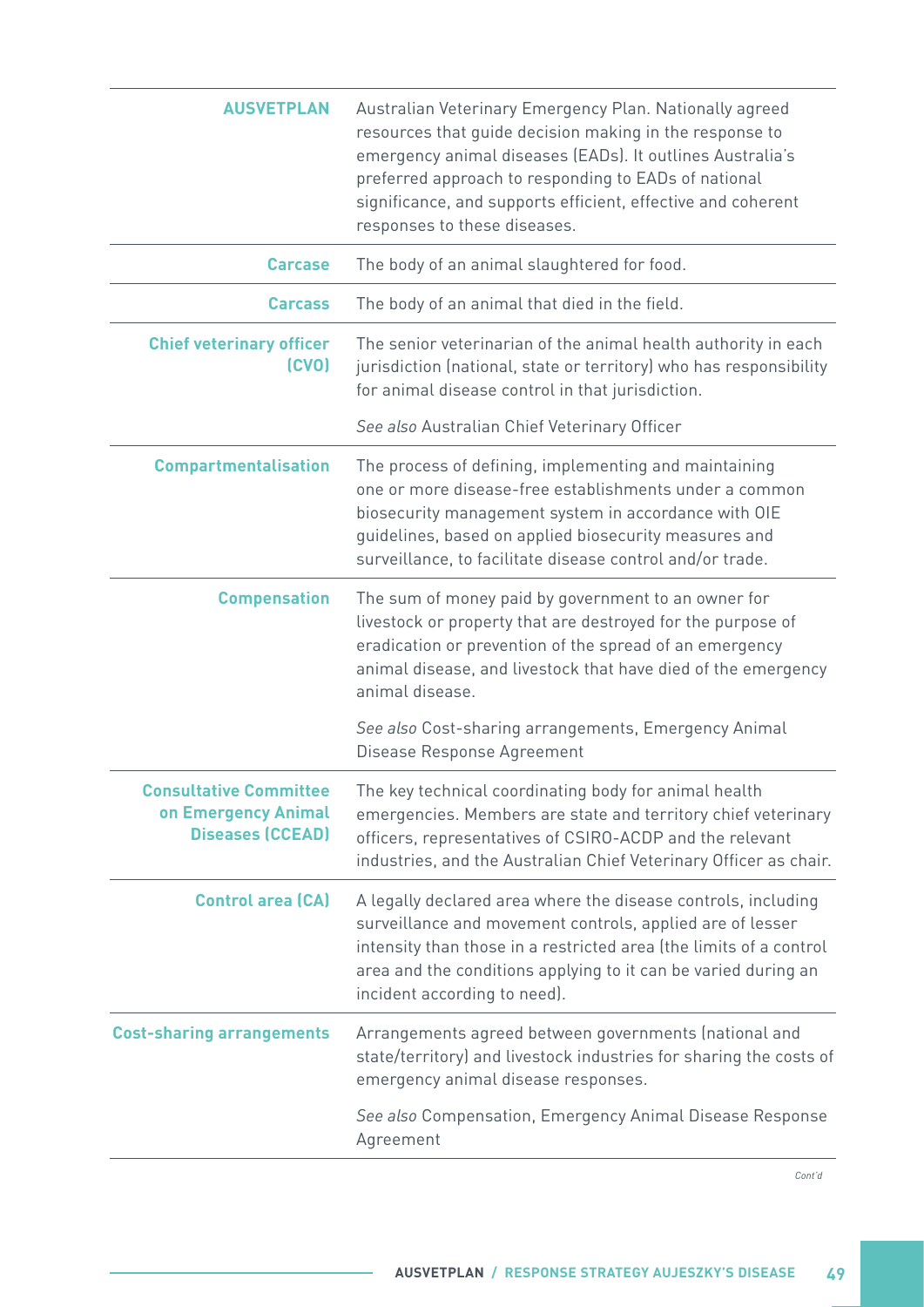| <b>AUSVETPLAN</b>                                                               | Australian Veterinary Emergency Plan. Nationally agreed<br>resources that guide decision making in the response to<br>emergency animal diseases (EADs). It outlines Australia's<br>preferred approach to responding to EADs of national<br>significance, and supports efficient, effective and coherent<br>responses to these diseases. |
|---------------------------------------------------------------------------------|-----------------------------------------------------------------------------------------------------------------------------------------------------------------------------------------------------------------------------------------------------------------------------------------------------------------------------------------|
| <b>Carcase</b>                                                                  | The body of an animal slaughtered for food.                                                                                                                                                                                                                                                                                             |
| <b>Carcass</b>                                                                  | The body of an animal that died in the field.                                                                                                                                                                                                                                                                                           |
| <b>Chief veterinary officer</b><br>(CVO)                                        | The senior veterinarian of the animal health authority in each<br>jurisdiction (national, state or territory) who has responsibility<br>for animal disease control in that jurisdiction.                                                                                                                                                |
|                                                                                 | See also Australian Chief Veterinary Officer                                                                                                                                                                                                                                                                                            |
| <b>Compartmentalisation</b>                                                     | The process of defining, implementing and maintaining<br>one or more disease-free establishments under a common<br>biosecurity management system in accordance with OIE<br>guidelines, based on applied biosecurity measures and<br>surveillance, to facilitate disease control and/or trade.                                           |
| <b>Compensation</b>                                                             | The sum of money paid by government to an owner for<br>livestock or property that are destroyed for the purpose of<br>eradication or prevention of the spread of an emergency<br>animal disease, and livestock that have died of the emergency<br>animal disease.                                                                       |
|                                                                                 | See also Cost-sharing arrangements, Emergency Animal<br>Disease Response Agreement                                                                                                                                                                                                                                                      |
| <b>Consultative Committee</b><br>on Emergency Animal<br><b>Diseases (CCEAD)</b> | The key technical coordinating body for animal health<br>emergencies. Members are state and territory chief veterinary<br>officers, representatives of CSIRO-ACDP and the relevant<br>industries, and the Australian Chief Veterinary Officer as chair.                                                                                 |
| <b>Control area (CA)</b>                                                        | A legally declared area where the disease controls, including<br>surveillance and movement controls, applied are of lesser<br>intensity than those in a restricted area (the limits of a control<br>area and the conditions applying to it can be varied during an<br>incident according to need).                                      |
| <b>Cost-sharing arrangements</b>                                                | Arrangements agreed between governments (national and<br>state/territory) and livestock industries for sharing the costs of<br>emergency animal disease responses.                                                                                                                                                                      |
|                                                                                 | See also Compensation, Emergency Animal Disease Response<br>Agreement                                                                                                                                                                                                                                                                   |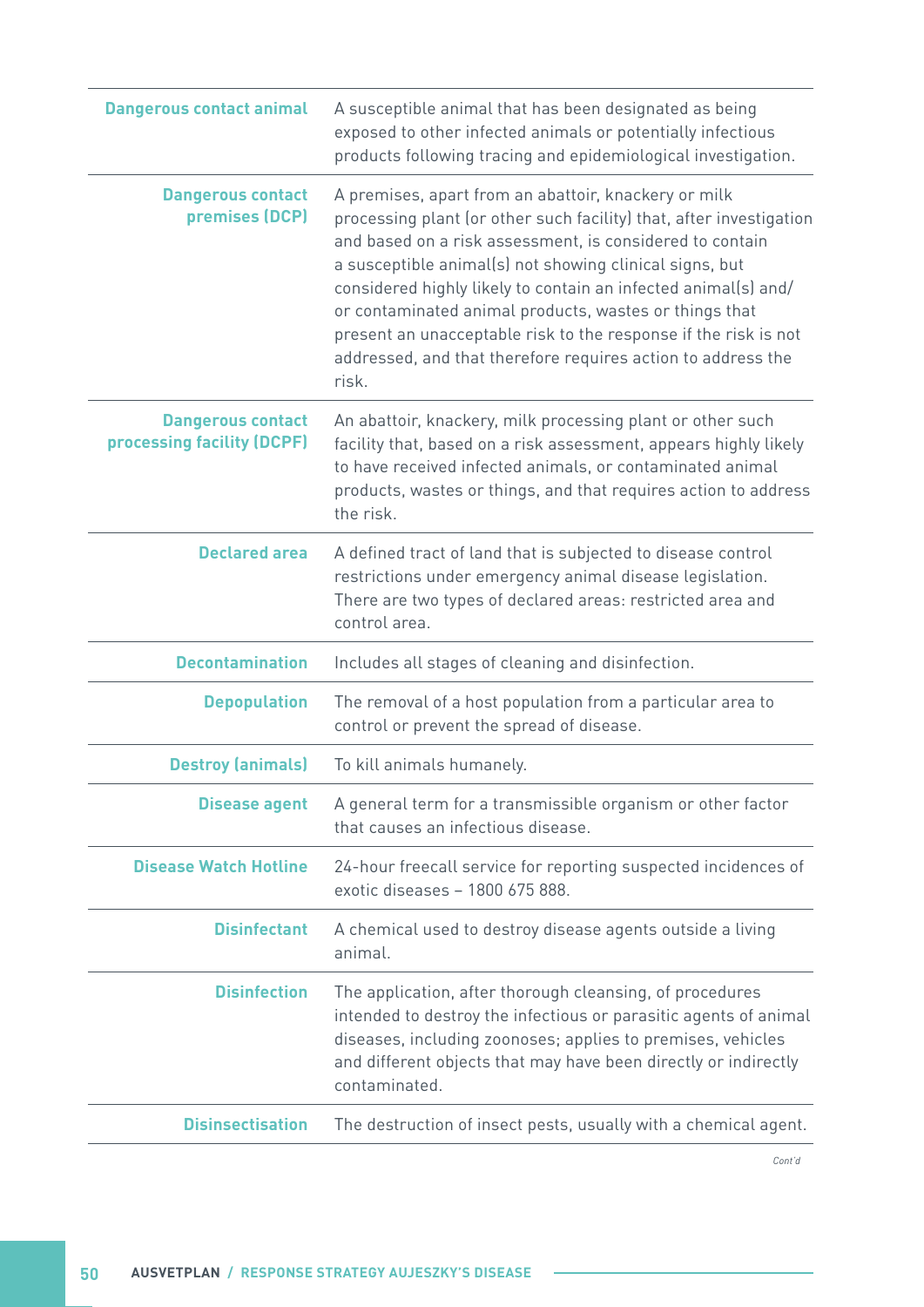| <b>Dangerous contact animal</b>                        | A susceptible animal that has been designated as being<br>exposed to other infected animals or potentially infectious<br>products following tracing and epidemiological investigation.                                                                                                                                                                                                                                                                                                                                     |
|--------------------------------------------------------|----------------------------------------------------------------------------------------------------------------------------------------------------------------------------------------------------------------------------------------------------------------------------------------------------------------------------------------------------------------------------------------------------------------------------------------------------------------------------------------------------------------------------|
| <b>Dangerous contact</b><br>premises (DCP)             | A premises, apart from an abattoir, knackery or milk<br>processing plant (or other such facility) that, after investigation<br>and based on a risk assessment, is considered to contain<br>a susceptible animal(s) not showing clinical signs, but<br>considered highly likely to contain an infected animal(s) and/<br>or contaminated animal products, wastes or things that<br>present an unacceptable risk to the response if the risk is not<br>addressed, and that therefore requires action to address the<br>risk. |
| <b>Dangerous contact</b><br>processing facility (DCPF) | An abattoir, knackery, milk processing plant or other such<br>facility that, based on a risk assessment, appears highly likely<br>to have received infected animals, or contaminated animal<br>products, wastes or things, and that requires action to address<br>the risk.                                                                                                                                                                                                                                                |
| <b>Declared area</b>                                   | A defined tract of land that is subjected to disease control<br>restrictions under emergency animal disease legislation.<br>There are two types of declared areas: restricted area and<br>control area.                                                                                                                                                                                                                                                                                                                    |
| <b>Decontamination</b>                                 | Includes all stages of cleaning and disinfection.                                                                                                                                                                                                                                                                                                                                                                                                                                                                          |
| <b>Depopulation</b>                                    | The removal of a host population from a particular area to<br>control or prevent the spread of disease.                                                                                                                                                                                                                                                                                                                                                                                                                    |
| <b>Destroy (animals)</b>                               | To kill animals humanely.                                                                                                                                                                                                                                                                                                                                                                                                                                                                                                  |
| <b>Disease agent</b>                                   | A general term for a transmissible organism or other factor<br>that causes an infectious disease.                                                                                                                                                                                                                                                                                                                                                                                                                          |
| <b>Disease Watch Hotline</b>                           | 24-hour freecall service for reporting suspected incidences of<br>exotic diseases - 1800 675 888.                                                                                                                                                                                                                                                                                                                                                                                                                          |
| <b>Disinfectant</b>                                    | A chemical used to destroy disease agents outside a living<br>animal.                                                                                                                                                                                                                                                                                                                                                                                                                                                      |
| <b>Disinfection</b>                                    | The application, after thorough cleansing, of procedures<br>intended to destroy the infectious or parasitic agents of animal<br>diseases, including zoonoses; applies to premises, vehicles<br>and different objects that may have been directly or indirectly<br>contaminated.                                                                                                                                                                                                                                            |
| <b>Disinsectisation</b>                                | The destruction of insect pests, usually with a chemical agent.                                                                                                                                                                                                                                                                                                                                                                                                                                                            |
|                                                        |                                                                                                                                                                                                                                                                                                                                                                                                                                                                                                                            |

n e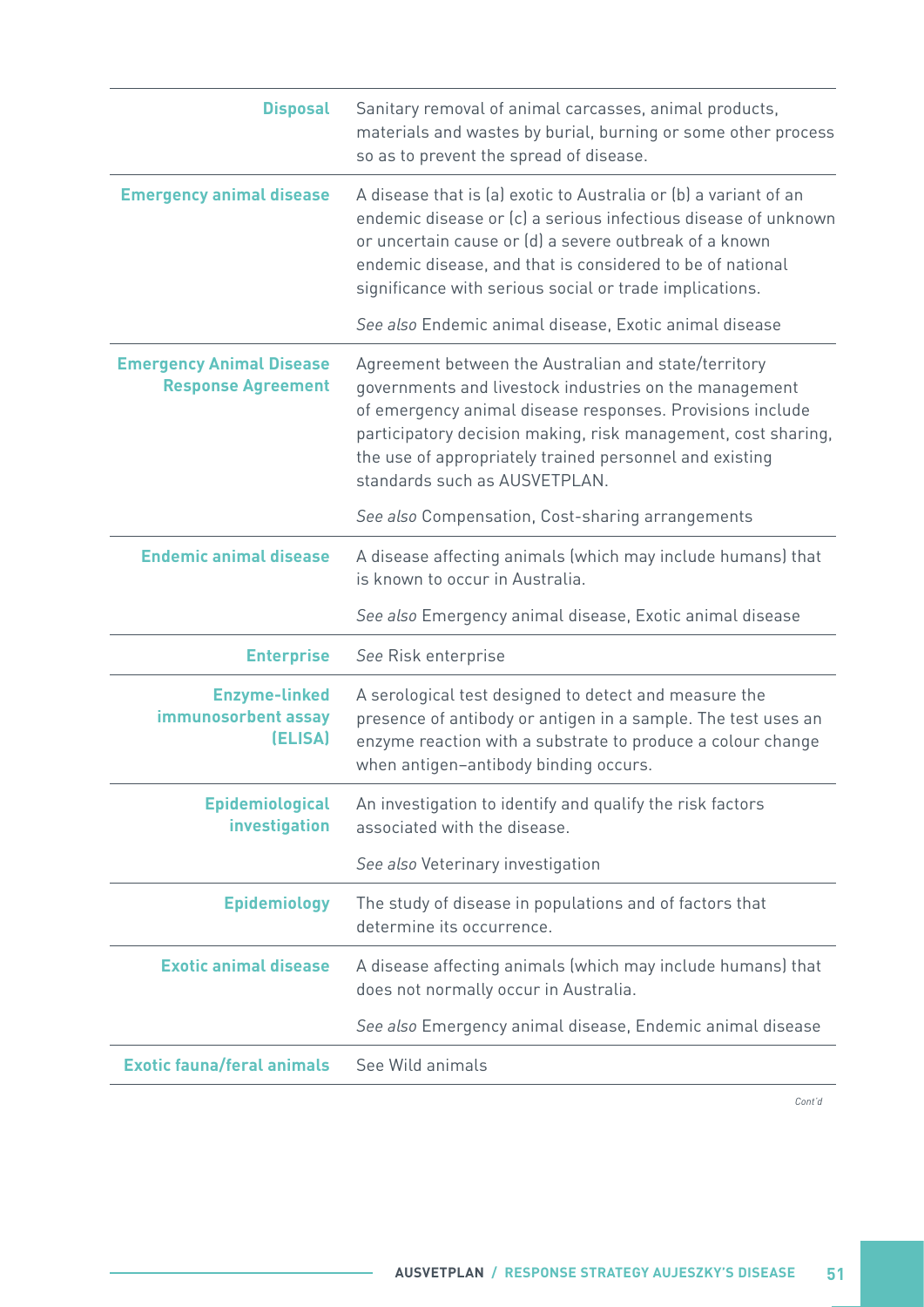| <b>Disposal</b>                                              | Sanitary removal of animal carcasses, animal products,<br>materials and wastes by burial, burning or some other process<br>so as to prevent the spread of disease.                                                                                                                                                                       |
|--------------------------------------------------------------|------------------------------------------------------------------------------------------------------------------------------------------------------------------------------------------------------------------------------------------------------------------------------------------------------------------------------------------|
| <b>Emergency animal disease</b>                              | A disease that is (a) exotic to Australia or (b) a variant of an<br>endemic disease or (c) a serious infectious disease of unknown<br>or uncertain cause or (d) a severe outbreak of a known<br>endemic disease, and that is considered to be of national<br>significance with serious social or trade implications.                     |
|                                                              | See also Endemic animal disease, Exotic animal disease                                                                                                                                                                                                                                                                                   |
| <b>Emergency Animal Disease</b><br><b>Response Agreement</b> | Agreement between the Australian and state/territory<br>governments and livestock industries on the management<br>of emergency animal disease responses. Provisions include<br>participatory decision making, risk management, cost sharing,<br>the use of appropriately trained personnel and existing<br>standards such as AUSVETPLAN. |
|                                                              | See also Compensation, Cost-sharing arrangements                                                                                                                                                                                                                                                                                         |
| <b>Endemic animal disease</b>                                | A disease affecting animals (which may include humans) that<br>is known to occur in Australia.                                                                                                                                                                                                                                           |
|                                                              | See also Emergency animal disease, Exotic animal disease                                                                                                                                                                                                                                                                                 |
| <b>Enterprise</b>                                            | See Risk enterprise                                                                                                                                                                                                                                                                                                                      |
| <b>Enzyme-linked</b><br>immunosorbent assay<br>(ELISA)       | A serological test designed to detect and measure the<br>presence of antibody or antigen in a sample. The test uses an<br>enzyme reaction with a substrate to produce a colour change<br>when antigen-antibody binding occurs.                                                                                                           |
| <b>Epidemiological</b><br>investigation                      | An investigation to identify and qualify the risk factors<br>associated with the disease.                                                                                                                                                                                                                                                |
|                                                              | See also Veterinary investigation                                                                                                                                                                                                                                                                                                        |
| <b>Epidemiology</b>                                          | The study of disease in populations and of factors that<br>determine its occurrence.                                                                                                                                                                                                                                                     |
| <b>Exotic animal disease</b>                                 | A disease affecting animals (which may include humans) that<br>does not normally occur in Australia.                                                                                                                                                                                                                                     |
|                                                              | See also Emergency animal disease, Endemic animal disease                                                                                                                                                                                                                                                                                |
| <b>Exotic fauna/feral animals</b>                            | See Wild animals                                                                                                                                                                                                                                                                                                                         |
|                                                              |                                                                                                                                                                                                                                                                                                                                          |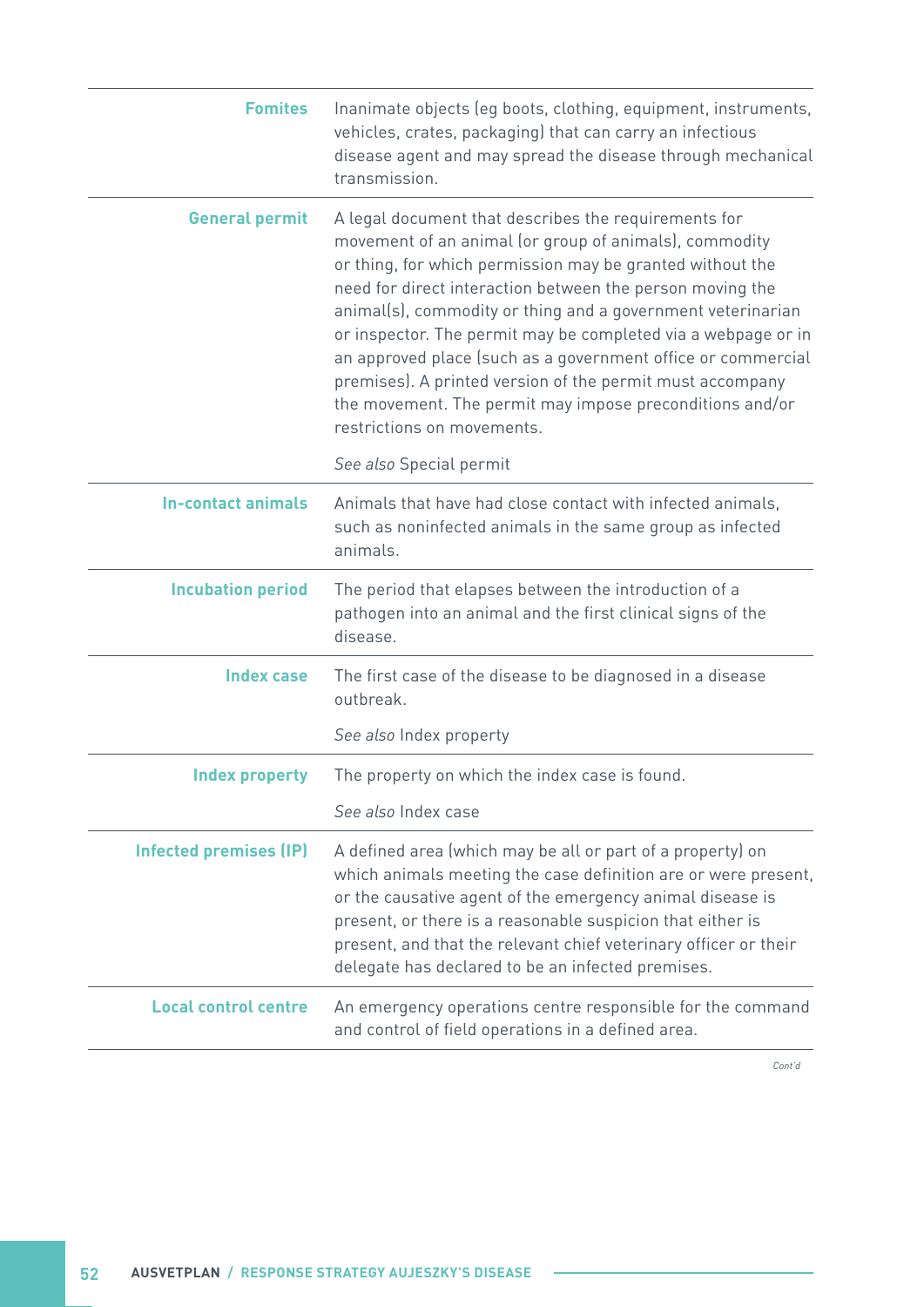| <b>Fomites</b>                | Inanimate objects (eg boots, clothing, equipment, instruments,<br>vehicles, crates, packaging) that can carry an infectious<br>disease agent and may spread the disease through mechanical<br>transmission.                                                                                                                                                                                                                                                                                                                                                                                     |
|-------------------------------|-------------------------------------------------------------------------------------------------------------------------------------------------------------------------------------------------------------------------------------------------------------------------------------------------------------------------------------------------------------------------------------------------------------------------------------------------------------------------------------------------------------------------------------------------------------------------------------------------|
| <b>General permit</b>         | A legal document that describes the requirements for<br>movement of an animal (or group of animals), commodity<br>or thing, for which permission may be granted without the<br>need for direct interaction between the person moving the<br>animal(s), commodity or thing and a government veterinarian<br>or inspector. The permit may be completed via a webpage or in<br>an approved place (such as a government office or commercial<br>premises). A printed version of the permit must accompany<br>the movement. The permit may impose preconditions and/or<br>restrictions on movements. |
|                               | See also Special permit                                                                                                                                                                                                                                                                                                                                                                                                                                                                                                                                                                         |
| <b>In-contact animals</b>     | Animals that have had close contact with infected animals,<br>such as noninfected animals in the same group as infected<br>animals.                                                                                                                                                                                                                                                                                                                                                                                                                                                             |
| <b>Incubation period</b>      | The period that elapses between the introduction of a<br>pathogen into an animal and the first clinical signs of the<br>disease.                                                                                                                                                                                                                                                                                                                                                                                                                                                                |
| <b>Index case</b>             | The first case of the disease to be diagnosed in a disease<br>outbreak.                                                                                                                                                                                                                                                                                                                                                                                                                                                                                                                         |
|                               | See also Index property                                                                                                                                                                                                                                                                                                                                                                                                                                                                                                                                                                         |
| <b>Index property</b>         | The property on which the index case is found.                                                                                                                                                                                                                                                                                                                                                                                                                                                                                                                                                  |
|                               | See also Index case                                                                                                                                                                                                                                                                                                                                                                                                                                                                                                                                                                             |
| <b>Infected premises (IP)</b> | A defined area (which may be all or part of a property) on<br>which animals meeting the case definition are or were present,<br>or the causative agent of the emergency animal disease is<br>present, or there is a reasonable suspicion that either is<br>present, and that the relevant chief veterinary officer or their<br>delegate has declared to be an infected premises.                                                                                                                                                                                                                |
| <b>Local control centre</b>   | An emergency operations centre responsible for the command<br>and control of field operations in a defined area.                                                                                                                                                                                                                                                                                                                                                                                                                                                                                |

 $\sim$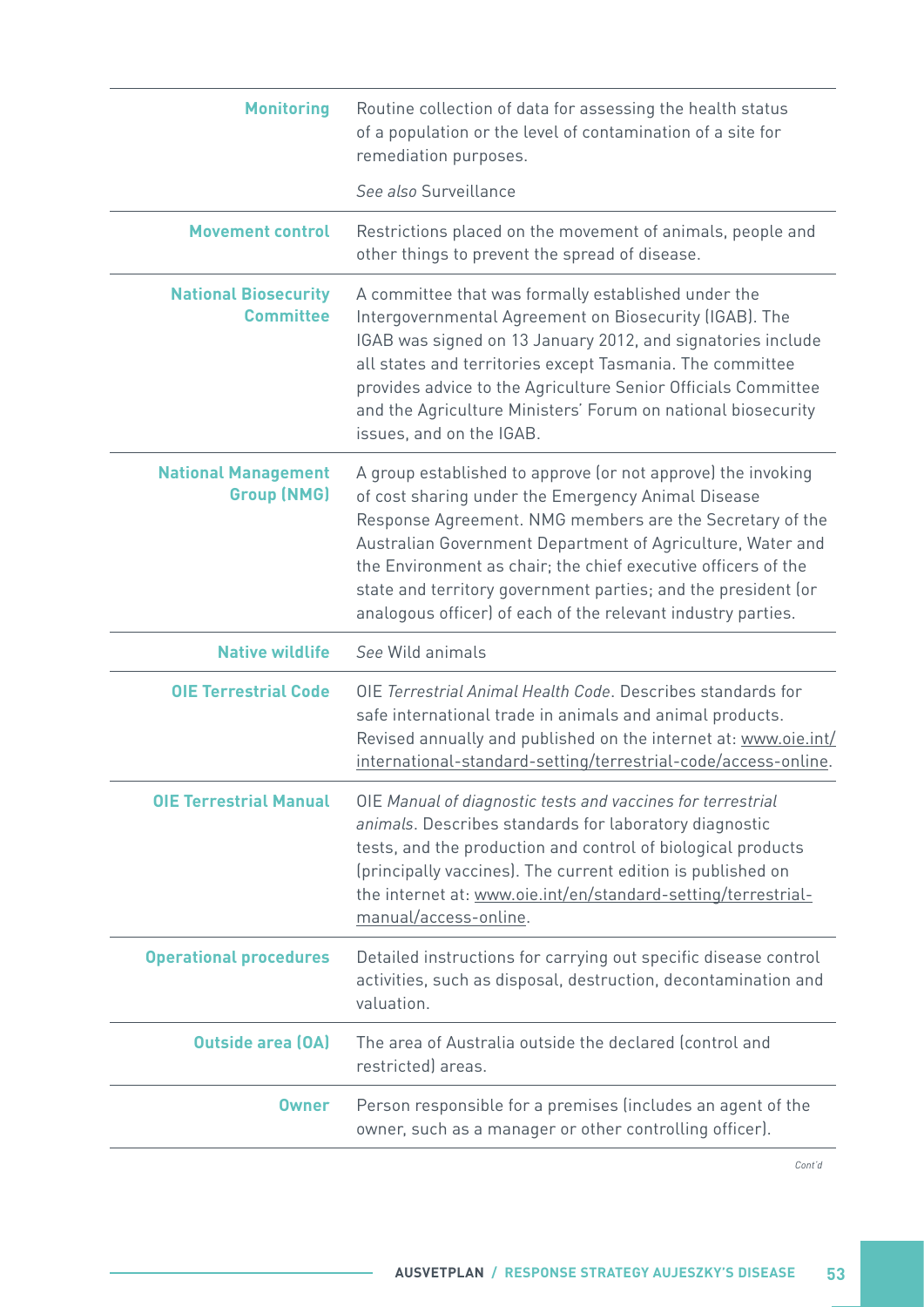| Routine collection of data for assessing the health status<br>of a population or the level of contamination of a site for<br>remediation purposes.                                                                                                                                                                                                                                                                                             |
|------------------------------------------------------------------------------------------------------------------------------------------------------------------------------------------------------------------------------------------------------------------------------------------------------------------------------------------------------------------------------------------------------------------------------------------------|
| See also Surveillance                                                                                                                                                                                                                                                                                                                                                                                                                          |
| Restrictions placed on the movement of animals, people and<br>other things to prevent the spread of disease.                                                                                                                                                                                                                                                                                                                                   |
| A committee that was formally established under the<br>Intergovernmental Agreement on Biosecurity (IGAB). The<br>IGAB was signed on 13 January 2012, and signatories include<br>all states and territories except Tasmania. The committee<br>provides advice to the Agriculture Senior Officials Committee<br>and the Agriculture Ministers' Forum on national biosecurity<br>issues, and on the IGAB.                                         |
| A group established to approve (or not approve) the invoking<br>of cost sharing under the Emergency Animal Disease<br>Response Agreement. NMG members are the Secretary of the<br>Australian Government Department of Agriculture, Water and<br>the Environment as chair; the chief executive officers of the<br>state and territory government parties; and the president (or<br>analogous officer) of each of the relevant industry parties. |
| See Wild animals                                                                                                                                                                                                                                                                                                                                                                                                                               |
| OIE Terrestrial Animal Health Code, Describes standards for<br>safe international trade in animals and animal products.<br>Revised annually and published on the internet at: www.oie.int/<br>international-standard-setting/terrestrial-code/access-online.                                                                                                                                                                                   |
| OIE Manual of diagnostic tests and vaccines for terrestrial<br>animals. Describes standards for laboratory diagnostic<br>tests, and the production and control of biological products<br>(principally vaccines). The current edition is published on<br>the internet at: www.oie.int/en/standard-setting/terrestrial-<br>manual/access-online.                                                                                                 |
| Detailed instructions for carrying out specific disease control<br>activities, such as disposal, destruction, decontamination and<br>valuation.                                                                                                                                                                                                                                                                                                |
| The area of Australia outside the declared (control and<br>restricted) areas.                                                                                                                                                                                                                                                                                                                                                                  |
| Person responsible for a premises (includes an agent of the<br>owner, such as a manager or other controlling officer).                                                                                                                                                                                                                                                                                                                         |
|                                                                                                                                                                                                                                                                                                                                                                                                                                                |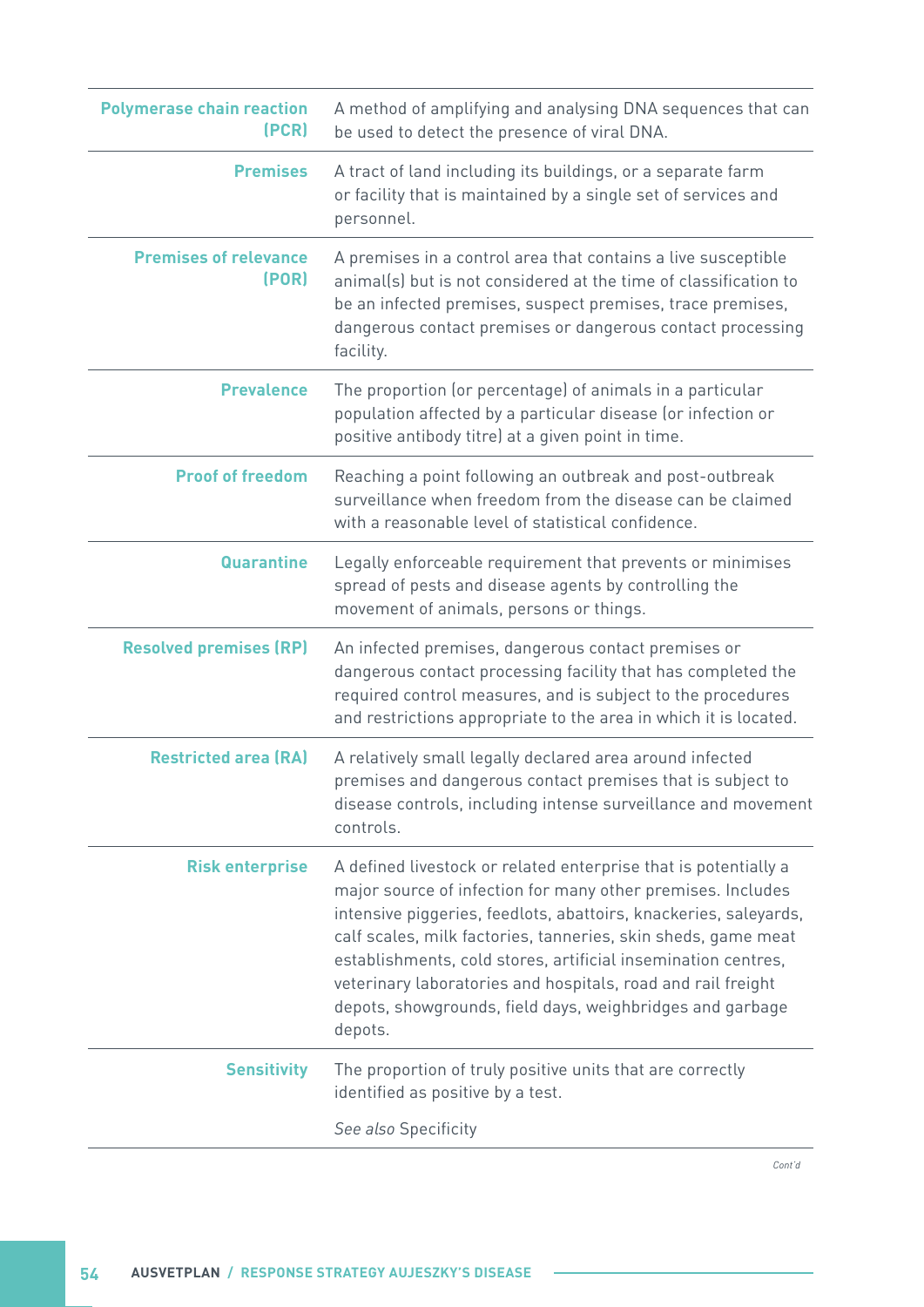| <b>Polymerase chain reaction</b><br>(PCR) | A method of amplifying and analysing DNA sequences that can<br>be used to detect the presence of viral DNA.                                                                                                                                                                                                                                                                                                                                                                  |
|-------------------------------------------|------------------------------------------------------------------------------------------------------------------------------------------------------------------------------------------------------------------------------------------------------------------------------------------------------------------------------------------------------------------------------------------------------------------------------------------------------------------------------|
| <b>Premises</b>                           | A tract of land including its buildings, or a separate farm<br>or facility that is maintained by a single set of services and<br>personnel.                                                                                                                                                                                                                                                                                                                                  |
| <b>Premises of relevance</b><br>(POR)     | A premises in a control area that contains a live susceptible<br>animal(s) but is not considered at the time of classification to<br>be an infected premises, suspect premises, trace premises,<br>dangerous contact premises or dangerous contact processing<br>facility.                                                                                                                                                                                                   |
| <b>Prevalence</b>                         | The proportion (or percentage) of animals in a particular<br>population affected by a particular disease (or infection or<br>positive antibody titre) at a given point in time.                                                                                                                                                                                                                                                                                              |
| <b>Proof of freedom</b>                   | Reaching a point following an outbreak and post-outbreak<br>surveillance when freedom from the disease can be claimed<br>with a reasonable level of statistical confidence.                                                                                                                                                                                                                                                                                                  |
| <b>Quarantine</b>                         | Legally enforceable requirement that prevents or minimises<br>spread of pests and disease agents by controlling the<br>movement of animals, persons or things.                                                                                                                                                                                                                                                                                                               |
| <b>Resolved premises (RP)</b>             | An infected premises, dangerous contact premises or<br>dangerous contact processing facility that has completed the<br>required control measures, and is subject to the procedures<br>and restrictions appropriate to the area in which it is located.                                                                                                                                                                                                                       |
| <b>Restricted area (RA)</b>               | A relatively small legally declared area around infected<br>premises and dangerous contact premises that is subject to<br>disease controls, including intense surveillance and movement<br>controls.                                                                                                                                                                                                                                                                         |
| <b>Risk enterprise</b>                    | A defined livestock or related enterprise that is potentially a<br>major source of infection for many other premises. Includes<br>intensive piggeries, feedlots, abattoirs, knackeries, saleyards,<br>calf scales, milk factories, tanneries, skin sheds, game meat<br>establishments, cold stores, artificial insemination centres,<br>veterinary laboratories and hospitals, road and rail freight<br>depots, showgrounds, field days, weighbridges and garbage<br>depots. |
| <b>Sensitivity</b>                        | The proportion of truly positive units that are correctly<br>identified as positive by a test.                                                                                                                                                                                                                                                                                                                                                                               |
|                                           | See also Specificity                                                                                                                                                                                                                                                                                                                                                                                                                                                         |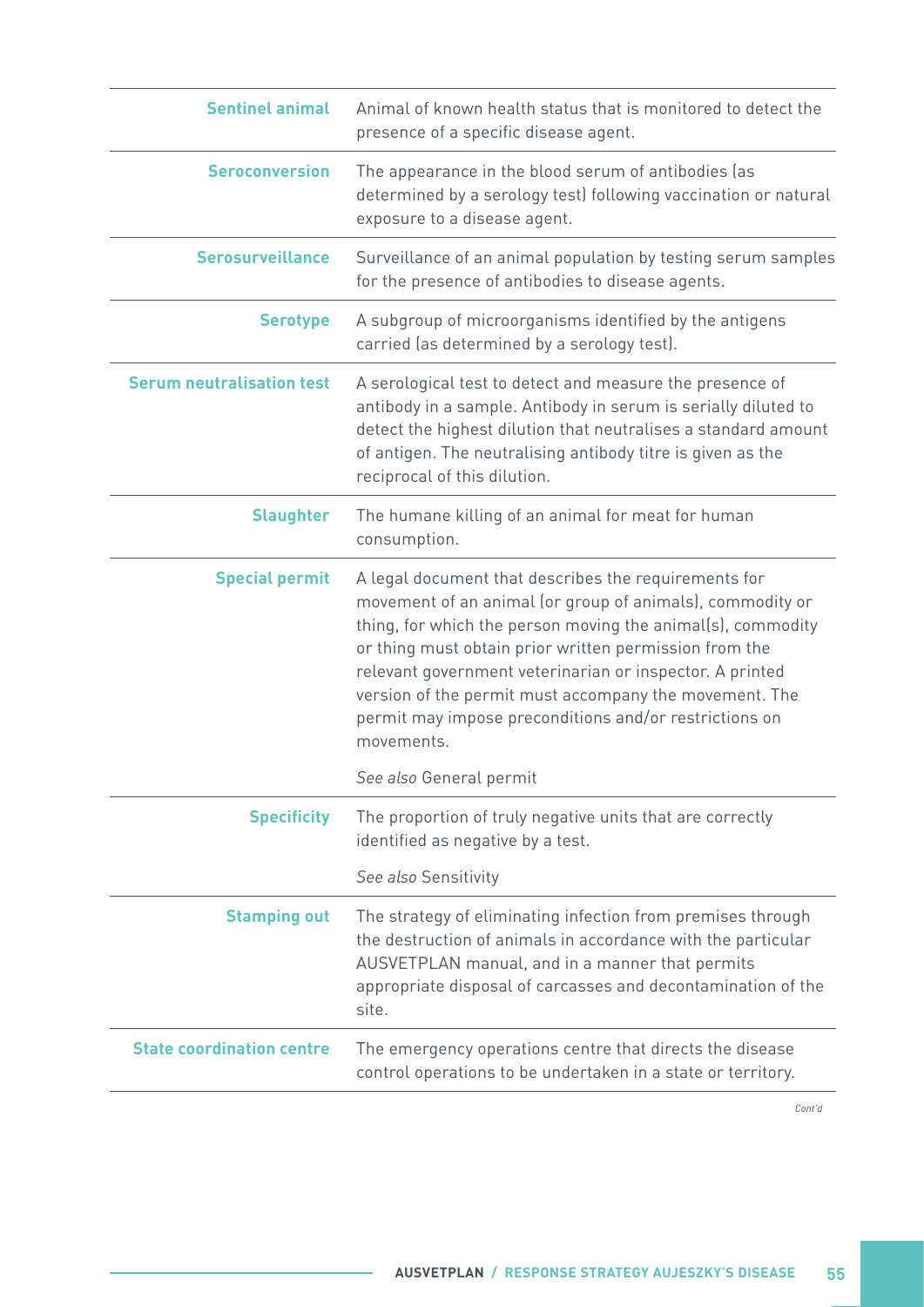| <b>Sentinel animal</b>           | Animal of known health status that is monitored to detect the<br>presence of a specific disease agent.                                                                                                                                                                                                                                                                                                                                   |
|----------------------------------|------------------------------------------------------------------------------------------------------------------------------------------------------------------------------------------------------------------------------------------------------------------------------------------------------------------------------------------------------------------------------------------------------------------------------------------|
| <b>Seroconversion</b>            | The appearance in the blood serum of antibodies (as<br>determined by a serology test) following vaccination or natural<br>exposure to a disease agent.                                                                                                                                                                                                                                                                                   |
| <b>Serosurveillance</b>          | Surveillance of an animal population by testing serum samples<br>for the presence of antibodies to disease agents.                                                                                                                                                                                                                                                                                                                       |
| <b>Serotype</b>                  | A subgroup of microorganisms identified by the antigens<br>carried (as determined by a serology test).                                                                                                                                                                                                                                                                                                                                   |
| <b>Serum neutralisation test</b> | A serological test to detect and measure the presence of<br>antibody in a sample. Antibody in serum is serially diluted to<br>detect the highest dilution that neutralises a standard amount<br>of antigen. The neutralising antibody titre is given as the<br>reciprocal of this dilution.                                                                                                                                              |
| <b>Slaughter</b>                 | The humane killing of an animal for meat for human<br>consumption.                                                                                                                                                                                                                                                                                                                                                                       |
| <b>Special permit</b>            | A legal document that describes the requirements for<br>movement of an animal (or group of animals), commodity or<br>thing, for which the person moving the animal(s), commodity<br>or thing must obtain prior written permission from the<br>relevant government veterinarian or inspector. A printed<br>version of the permit must accompany the movement. The<br>permit may impose preconditions and/or restrictions on<br>movements. |
|                                  | See also General permit                                                                                                                                                                                                                                                                                                                                                                                                                  |
| <b>Specificity</b>               | The proportion of truly negative units that are correctly<br>identified as negative by a test.                                                                                                                                                                                                                                                                                                                                           |
|                                  | See also Sensitivity                                                                                                                                                                                                                                                                                                                                                                                                                     |
| <b>Stamping out</b>              | The strategy of eliminating infection from premises through<br>the destruction of animals in accordance with the particular<br>AUSVETPLAN manual, and in a manner that permits<br>appropriate disposal of carcasses and decontamination of the<br>site.                                                                                                                                                                                  |
| <b>State coordination centre</b> | The emergency operations centre that directs the disease<br>control operations to be undertaken in a state or territory.                                                                                                                                                                                                                                                                                                                 |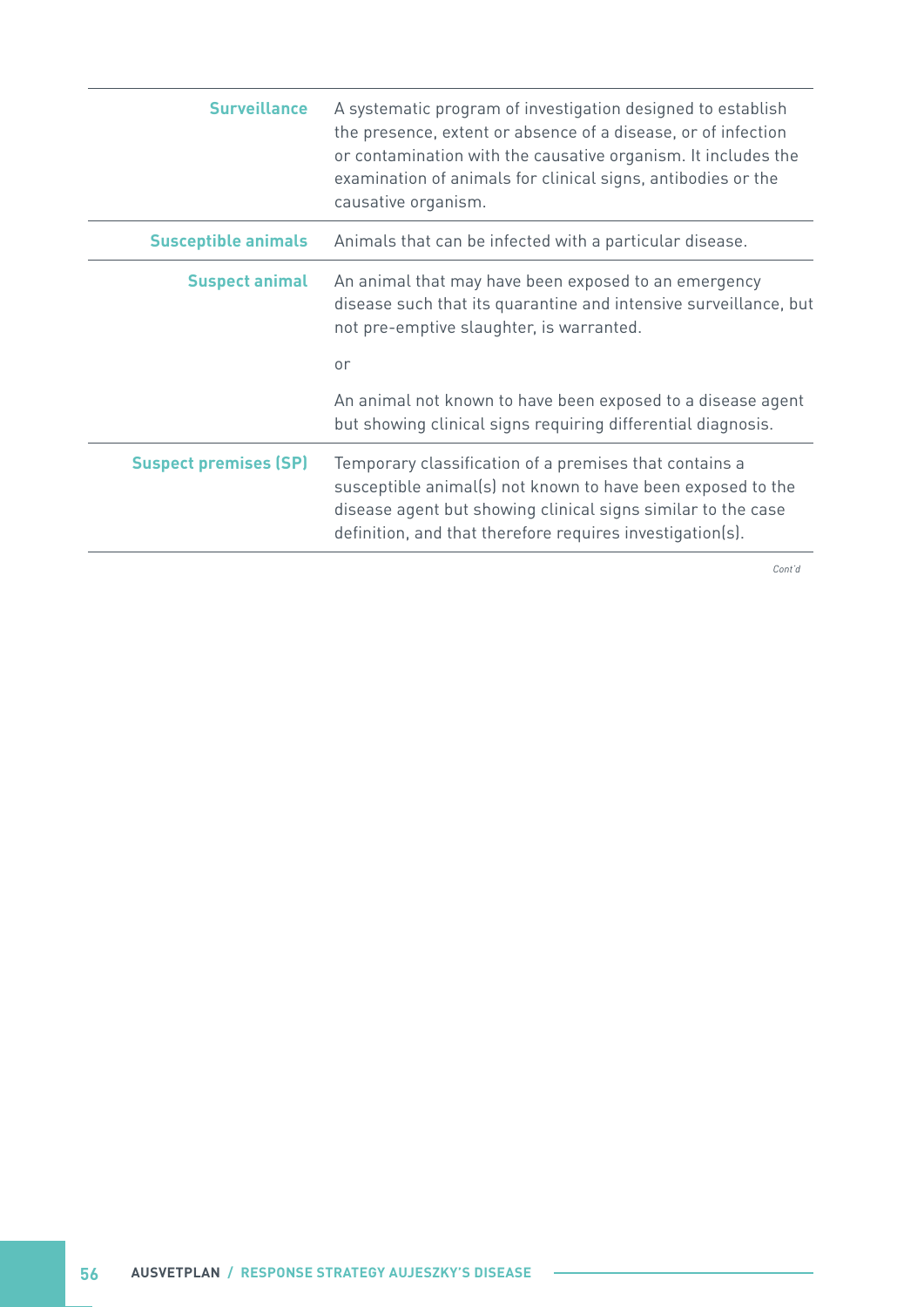| <b>Surveillance</b>          | A systematic program of investigation designed to establish<br>the presence, extent or absence of a disease, or of infection<br>or contamination with the causative organism. It includes the<br>examination of animals for clinical signs, antibodies or the<br>causative organism. |
|------------------------------|--------------------------------------------------------------------------------------------------------------------------------------------------------------------------------------------------------------------------------------------------------------------------------------|
| <b>Susceptible animals</b>   | Animals that can be infected with a particular disease.                                                                                                                                                                                                                              |
| <b>Suspect animal</b>        | An animal that may have been exposed to an emergency<br>disease such that its quarantine and intensive surveillance, but<br>not pre-emptive slaughter, is warranted.                                                                                                                 |
|                              | or                                                                                                                                                                                                                                                                                   |
|                              | An animal not known to have been exposed to a disease agent<br>but showing clinical signs requiring differential diagnosis.                                                                                                                                                          |
| <b>Suspect premises (SP)</b> | Temporary classification of a premises that contains a<br>susceptible animal(s) not known to have been exposed to the<br>disease agent but showing clinical signs similar to the case<br>definition, and that therefore requires investigation(s).                                   |

 $\sim$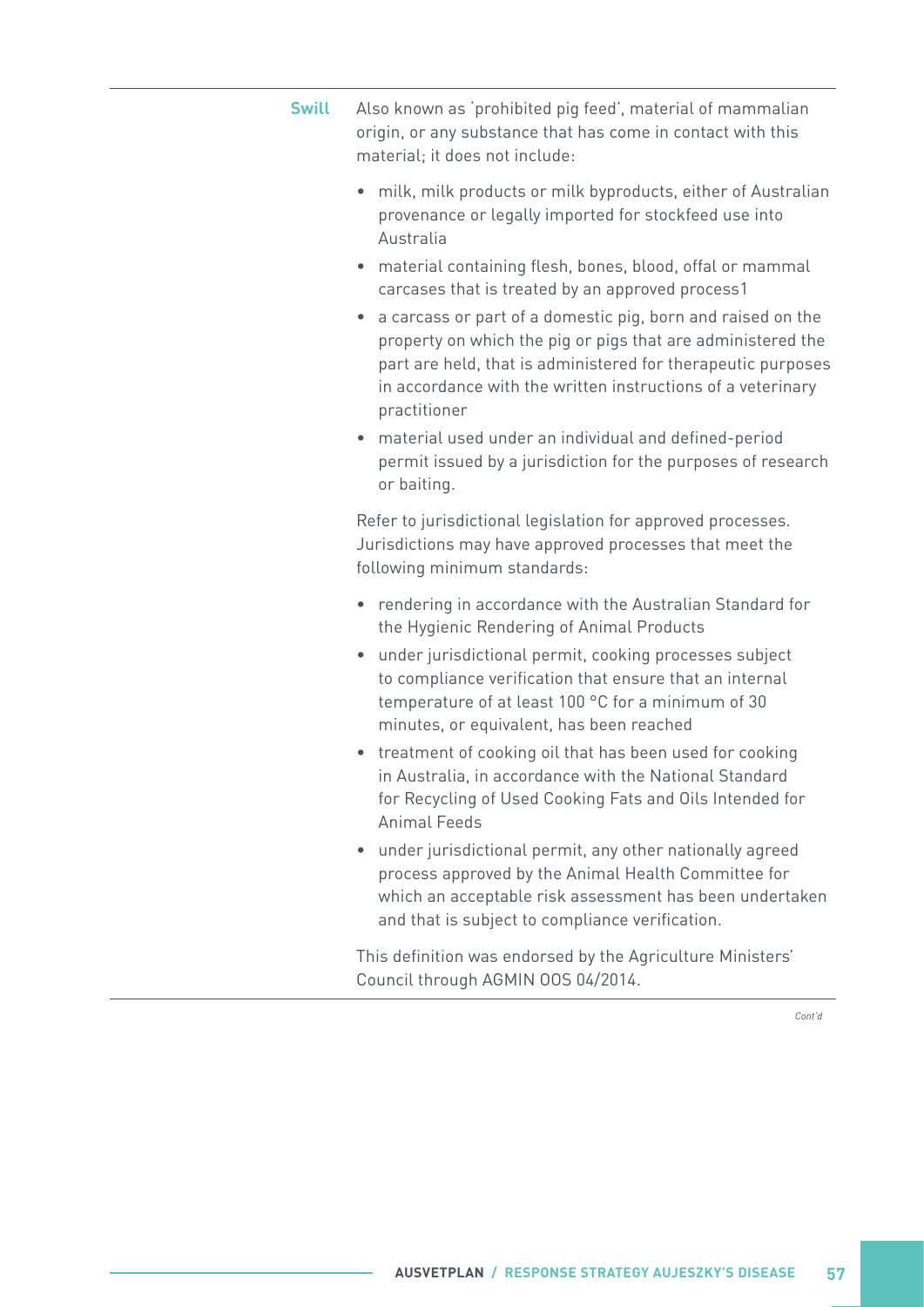- **Swill** Also known as 'prohibited pig feed', material of mammalian origin, or any substance that has come in contact with this material; it does not include:
	- milk, milk products or milk byproducts, either of Australian provenance or legally imported for stockfeed use into Australia
	- material containing flesh, bones, blood, offal or mammal carcases that is treated by an approved process1
	- a carcass or part of a domestic pig, born and raised on the property on which the pig or pigs that are administered the part are held, that is administered for therapeutic purposes in accordance with the written instructions of a veterinary practitioner
	- material used under an individual and defined-period permit issued by a jurisdiction for the purposes of research or baiting.

Refer to jurisdictional legislation for approved processes. Jurisdictions may have approved processes that meet the following minimum standards:

- rendering in accordance with the Australian Standard for the Hygienic Rendering of Animal Products
- under jurisdictional permit, cooking processes subject to compliance verification that ensure that an internal temperature of at least 100 °C for a minimum of 30 minutes, or equivalent, has been reached
- treatment of cooking oil that has been used for cooking in Australia, in accordance with the National Standard for Recycling of Used Cooking Fats and Oils Intended for Animal Feeds
- under jurisdictional permit, any other nationally agreed process approved by the Animal Health Committee for which an acceptable risk assessment has been undertaken and that is subject to compliance verification.

This definition was endorsed by the Agriculture Ministers' Council through AGMIN OOS 04/2014.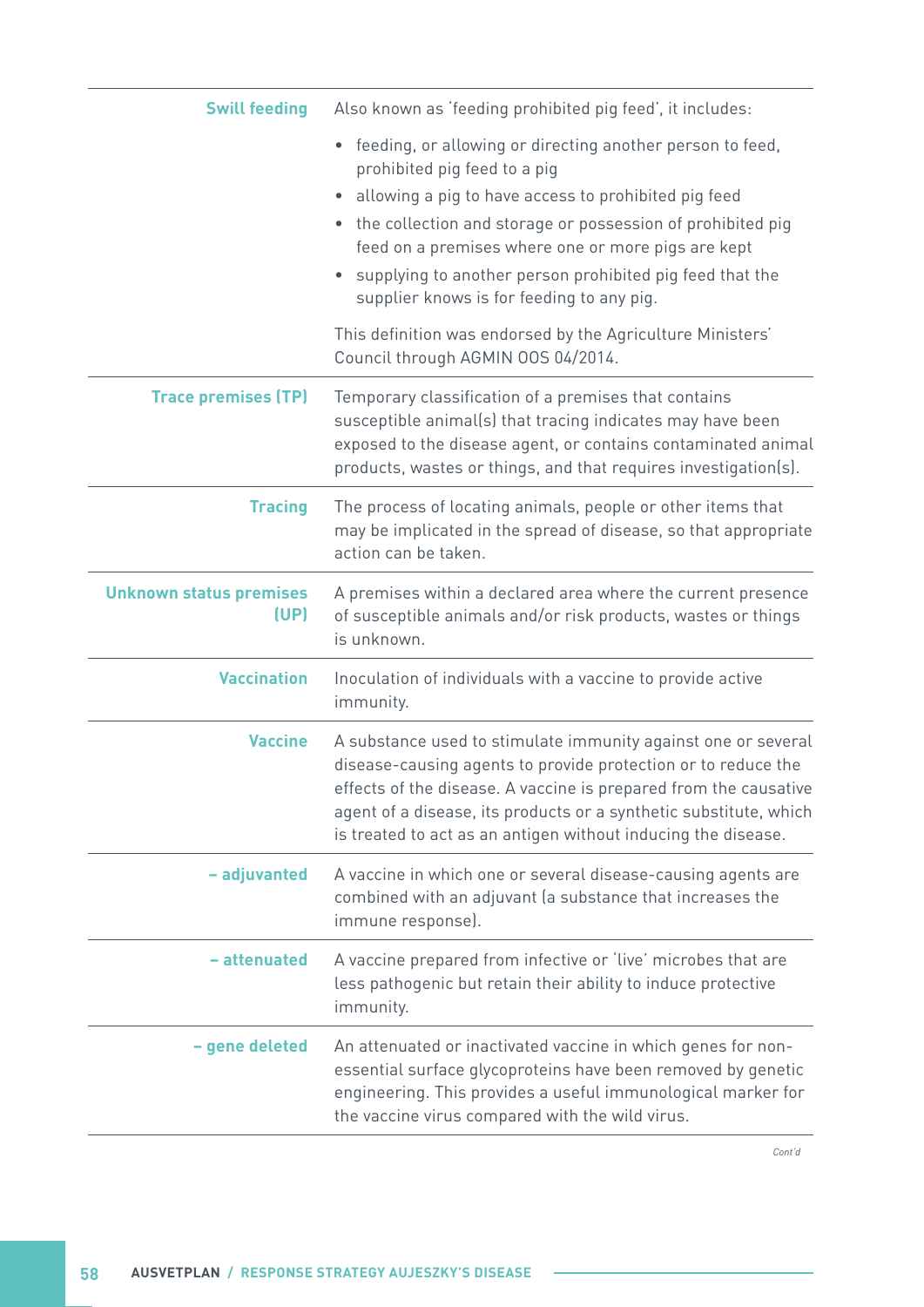| <b>Swill feeding</b>                   | Also known as 'feeding prohibited pig feed', it includes:                                                                                                                                                                                                                                                                                                                                                  |
|----------------------------------------|------------------------------------------------------------------------------------------------------------------------------------------------------------------------------------------------------------------------------------------------------------------------------------------------------------------------------------------------------------------------------------------------------------|
|                                        | feeding, or allowing or directing another person to feed,<br>$\bullet$<br>prohibited pig feed to a pig<br>allowing a pig to have access to prohibited pig feed<br>$\bullet$<br>• the collection and storage or possession of prohibited pig<br>feed on a premises where one or more pigs are kept<br>supplying to another person prohibited pig feed that the<br>supplier knows is for feeding to any pig. |
|                                        | This definition was endorsed by the Agriculture Ministers'<br>Council through AGMIN 00S 04/2014.                                                                                                                                                                                                                                                                                                           |
| <b>Trace premises (TP)</b>             | Temporary classification of a premises that contains<br>susceptible animal(s) that tracing indicates may have been<br>exposed to the disease agent, or contains contaminated animal<br>products, wastes or things, and that requires investigation(s).                                                                                                                                                     |
| <b>Tracing</b>                         | The process of locating animals, people or other items that<br>may be implicated in the spread of disease, so that appropriate<br>action can be taken.                                                                                                                                                                                                                                                     |
| <b>Unknown status premises</b><br>(UP) | A premises within a declared area where the current presence<br>of susceptible animals and/or risk products, wastes or things<br>is unknown.                                                                                                                                                                                                                                                               |
| <b>Vaccination</b>                     | Inoculation of individuals with a vaccine to provide active<br>immunity.                                                                                                                                                                                                                                                                                                                                   |
| <b>Vaccine</b>                         | A substance used to stimulate immunity against one or several<br>disease-causing agents to provide protection or to reduce the<br>effects of the disease. A vaccine is prepared from the causative<br>agent of a disease, its products or a synthetic substitute, which<br>is treated to act as an antigen without inducing the disease.                                                                   |
| - adjuvanted                           | A vaccine in which one or several disease-causing agents are<br>combined with an adjuvant (a substance that increases the<br>immune response).                                                                                                                                                                                                                                                             |
| - attenuated                           | A vaccine prepared from infective or 'live' microbes that are<br>less pathogenic but retain their ability to induce protective<br>immunity.                                                                                                                                                                                                                                                                |
| - gene deleted                         | An attenuated or inactivated vaccine in which genes for non-<br>essential surface glycoproteins have been removed by genetic<br>engineering. This provides a useful immunological marker for<br>the vaccine virus compared with the wild virus.                                                                                                                                                            |

 $\sim$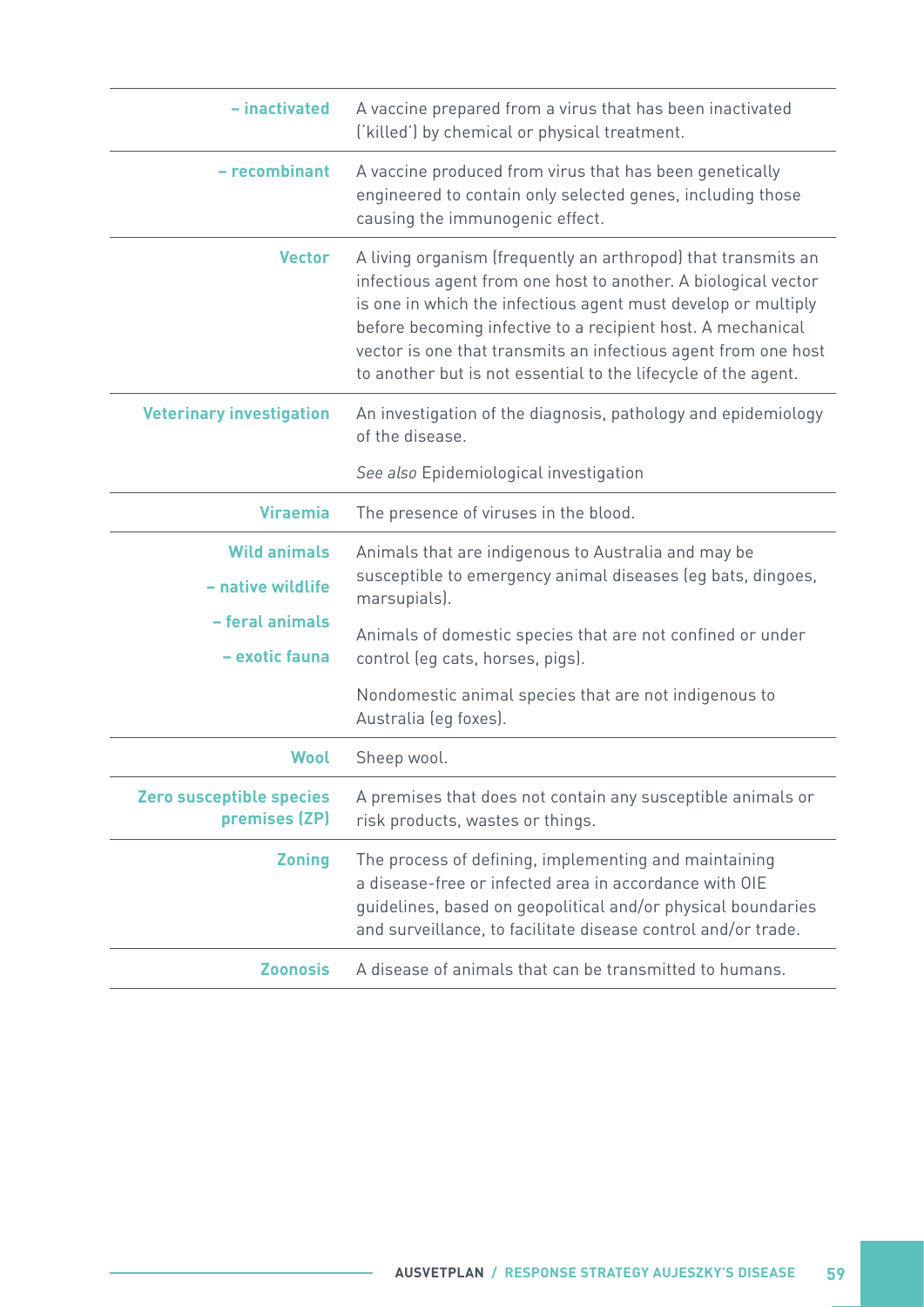| - inactivated                             | A vaccine prepared from a virus that has been inactivated<br>('killed') by chemical or physical treatment.                                                                                                                                                                                                                                                                                          |
|-------------------------------------------|-----------------------------------------------------------------------------------------------------------------------------------------------------------------------------------------------------------------------------------------------------------------------------------------------------------------------------------------------------------------------------------------------------|
| - recombinant                             | A vaccine produced from virus that has been genetically<br>engineered to contain only selected genes, including those<br>causing the immunogenic effect.                                                                                                                                                                                                                                            |
| <b>Vector</b>                             | A living organism (frequently an arthropod) that transmits an<br>infectious agent from one host to another. A biological vector<br>is one in which the infectious agent must develop or multiply<br>before becoming infective to a recipient host. A mechanical<br>vector is one that transmits an infectious agent from one host<br>to another but is not essential to the lifecycle of the agent. |
| <b>Veterinary investigation</b>           | An investigation of the diagnosis, pathology and epidemiology<br>of the disease.                                                                                                                                                                                                                                                                                                                    |
|                                           | See also Epidemiological investigation                                                                                                                                                                                                                                                                                                                                                              |
| <b>Viraemia</b>                           | The presence of viruses in the blood.                                                                                                                                                                                                                                                                                                                                                               |
| <b>Wild animals</b><br>- native wildlife  | Animals that are indigenous to Australia and may be<br>susceptible to emergency animal diseases (eg bats, dingoes,<br>marsupials).                                                                                                                                                                                                                                                                  |
| - feral animals<br>- exotic fauna         | Animals of domestic species that are not confined or under<br>control (eg cats, horses, pigs).                                                                                                                                                                                                                                                                                                      |
|                                           | Nondomestic animal species that are not indigenous to<br>Australia (eg foxes).                                                                                                                                                                                                                                                                                                                      |
| Wool                                      | Sheep wool.                                                                                                                                                                                                                                                                                                                                                                                         |
| Zero susceptible species<br>premises (ZP) | A premises that does not contain any susceptible animals or<br>risk products, wastes or things.                                                                                                                                                                                                                                                                                                     |
| <b>Zoning</b>                             | The process of defining, implementing and maintaining<br>a disease-free or infected area in accordance with OIE<br>guidelines, based on geopolitical and/or physical boundaries<br>and surveillance, to facilitate disease control and/or trade.                                                                                                                                                    |
| <b>Zoonosis</b>                           | A disease of animals that can be transmitted to humans.                                                                                                                                                                                                                                                                                                                                             |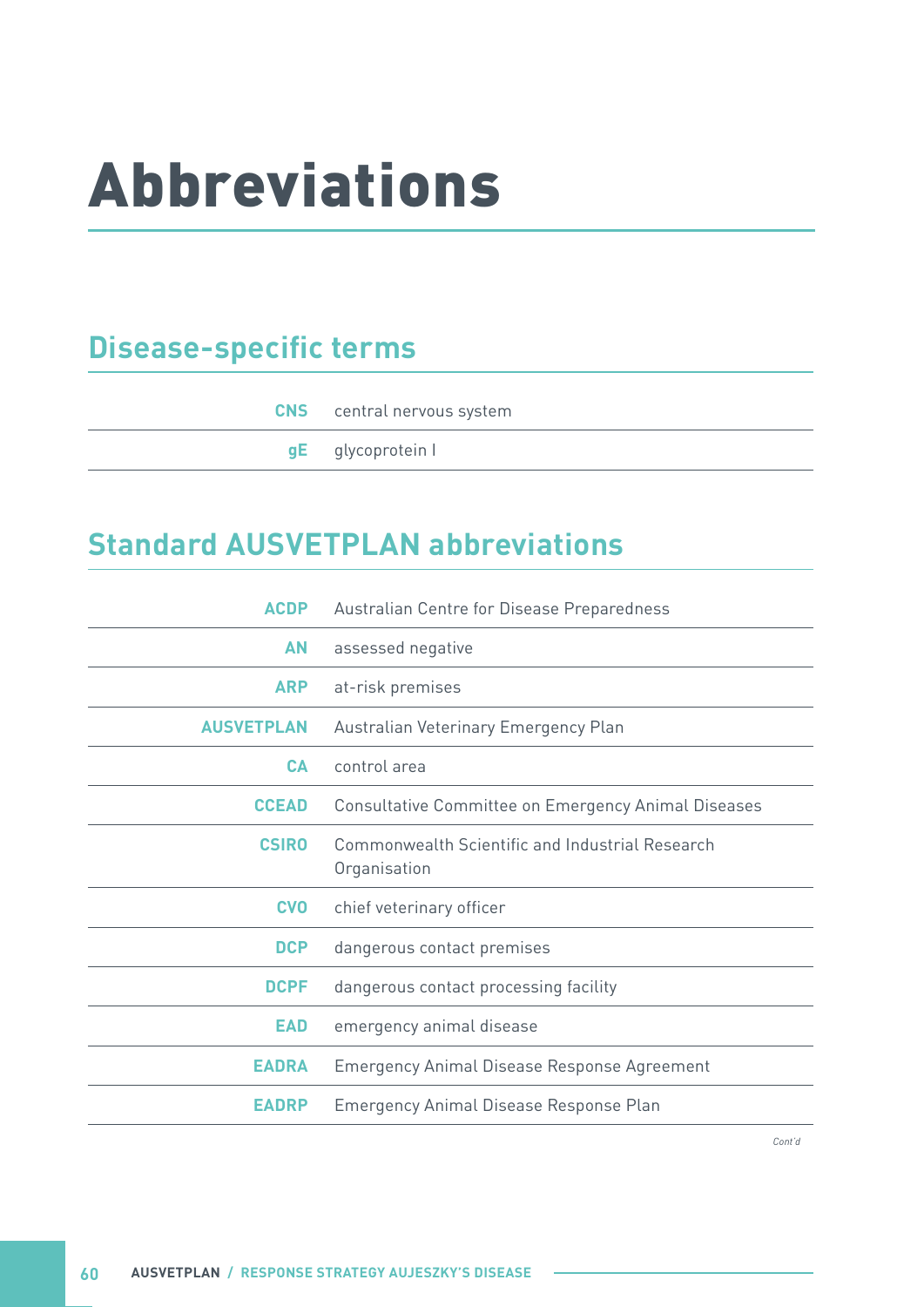# <span id="page-65-0"></span>Abbreviations

# **Disease-specific terms**

| <b>CNS</b> central nervous system |
|-----------------------------------|
| <b>gE</b> glycoprotein I          |

### **Standard AUSVETPLAN abbreviations**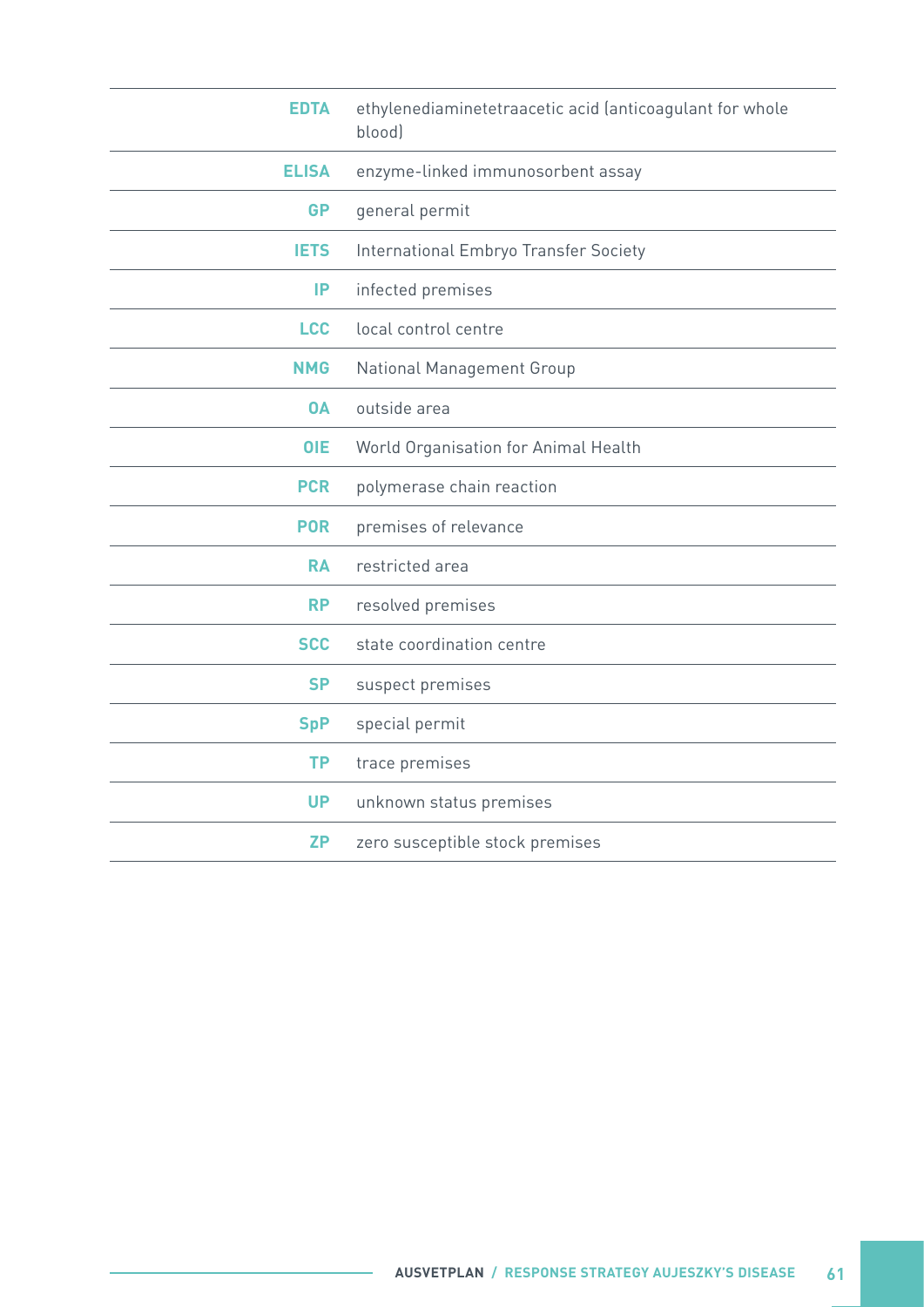| <b>EDTA</b>  | ethylenediaminetetraacetic acid (anticoagulant for whole<br>blood) |
|--------------|--------------------------------------------------------------------|
| <b>ELISA</b> | enzyme-linked immunosorbent assay                                  |
| <b>GP</b>    | general permit                                                     |
| <b>IETS</b>  | International Embryo Transfer Society                              |
| IP           | infected premises                                                  |
| <b>LCC</b>   | local control centre                                               |
| <b>NMG</b>   | <b>National Management Group</b>                                   |
| <b>OA</b>    | outside area                                                       |
| <b>OIE</b>   | World Organisation for Animal Health                               |
| <b>PCR</b>   | polymerase chain reaction                                          |
| <b>POR</b>   | premises of relevance                                              |
| <b>RA</b>    | restricted area                                                    |
| <b>RP</b>    | resolved premises                                                  |
| <b>SCC</b>   | state coordination centre                                          |
| <b>SP</b>    | suspect premises                                                   |
| <b>SpP</b>   | special permit                                                     |
| <b>TP</b>    | trace premises                                                     |
| <b>UP</b>    | unknown status premises                                            |
| <b>ZP</b>    | zero susceptible stock premises                                    |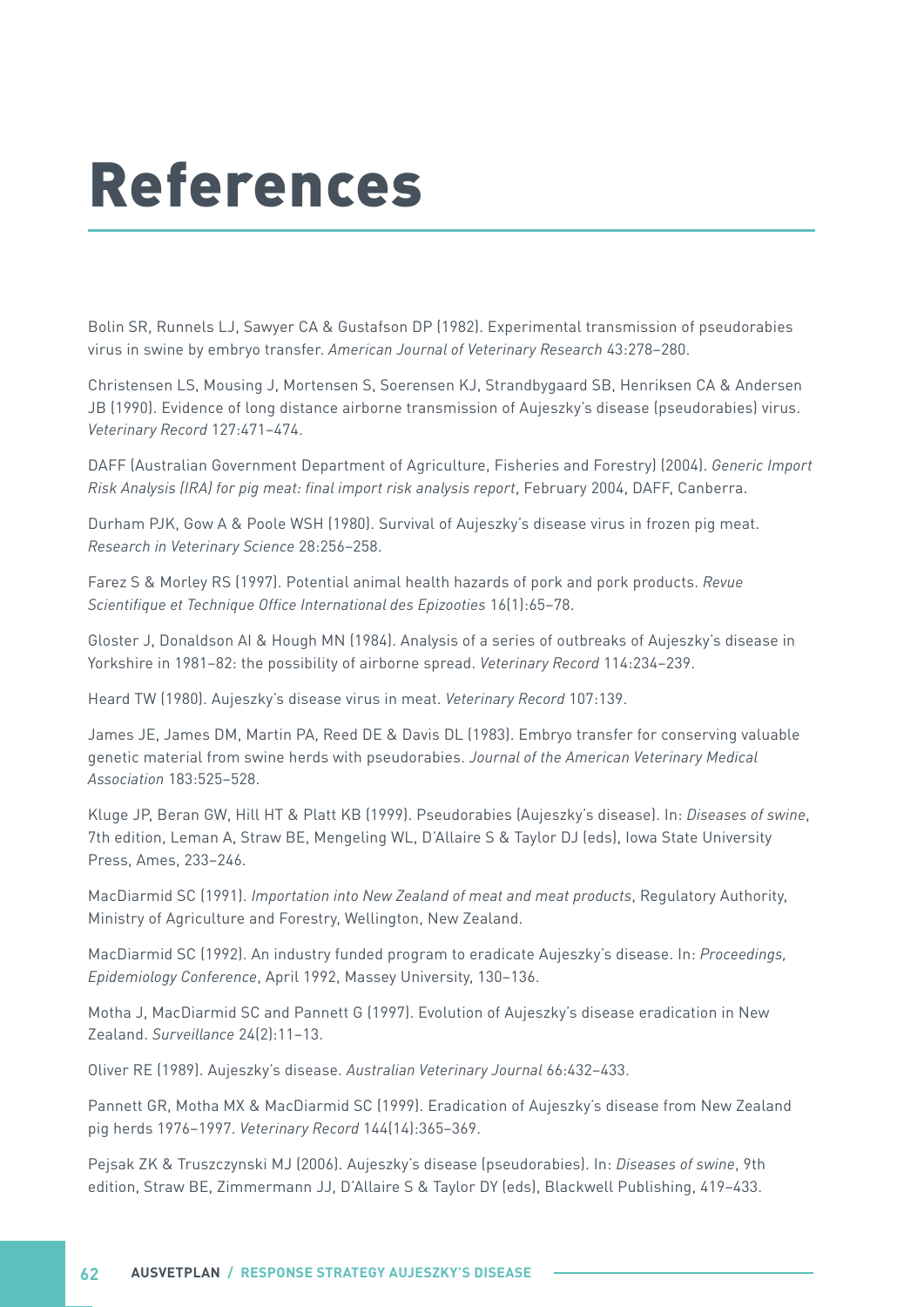# <span id="page-67-0"></span>References

Bolin SR, Runnels LJ, Sawyer CA & Gustafson DP (1982). Experimental transmission of pseudorabies virus in swine by embryo transfer. *American Journal of Veterinary Research* 43:278–280.

Christensen LS, Mousing J, Mortensen S, Soerensen KJ, Strandbygaard SB, Henriksen CA & Andersen JB (1990). Evidence of long distance airborne transmission of Aujeszky's disease (pseudorabies) virus. *Veterinary Record* 127:471–474.

DAFF (Australian Government Department of Agriculture, Fisheries and Forestry) (2004). *Generic Import*  Risk Analysis (IRA) for pig meat: final import risk analysis report, February 2004, DAFF, Canberra.

Durham PJK, Gow A & Poole WSH (1980). Survival of Aujeszky's disease virus in frozen pig meat. *Research in Veterinary Science* 28:256–258.

Farez S & Morley RS (1997). Potential animal health hazards of pork and pork products. *Revue*  Scientifique et Technique Office International des Epizooties 16(1):65–78.

Gloster J, Donaldson AI & Hough MN (1984). Analysis of a series of outbreaks of Aujeszky's disease in Yorkshire in 1981–82: the possibility of airborne spread. *Veterinary Record* 114:234–239.

Heard TW (1980). Aujeszky's disease virus in meat. *Veterinary Record* 107:139.

James JE, James DM, Martin PA, Reed DE & Davis DL (1983). Embryo transfer for conserving valuable genetic material from swine herds with pseudorabies. *Journal of the American Veterinary Medical Association* 183:525–528.

Kluge JP, Beran GW, Hill HT & Platt KB (1999). Pseudorabies (Aujeszky's disease). In: *Diseases of swine*, 7th edition, Leman A, Straw BE, Mengeling WL, D'Allaire S & Taylor DJ (eds), Iowa State University Press, Ames, 233–246.

MacDiarmid SC (1991). *Importation into New Zealand of meat and meat products*, Regulatory Authority, Ministry of Agriculture and Forestry, Wellington, New Zealand.

MacDiarmid SC (1992). An industry funded program to eradicate Aujeszky's disease. In: *Proceedings,*  Epidemiology Conference, April 1992, Massey University, 130–136.

Motha J, MacDiarmid SC and Pannett G (1997). Evolution of Aujeszky's disease eradication in New Zealand. *Surveillance* 24(2):11–13.

Oliver RE (1989). Aujeszky's disease. *Australian Veterinary Journal* 66:432–433.

Pannett GR, Motha MX & MacDiarmid SC (1999). Eradication of Aujeszky's disease from New Zealand pig herds 1976–1997. *Veterinary Record* 144(14):365–369.

Pejsak ZK & Truszczynski MJ (2006). Aujeszky's disease (pseudorabies). In: *Diseases of swine*, 9th edition, Straw BE, Zimmermann JJ, D'Allaire S & Taylor DY (eds), Blackwell Publishing, 419–433.